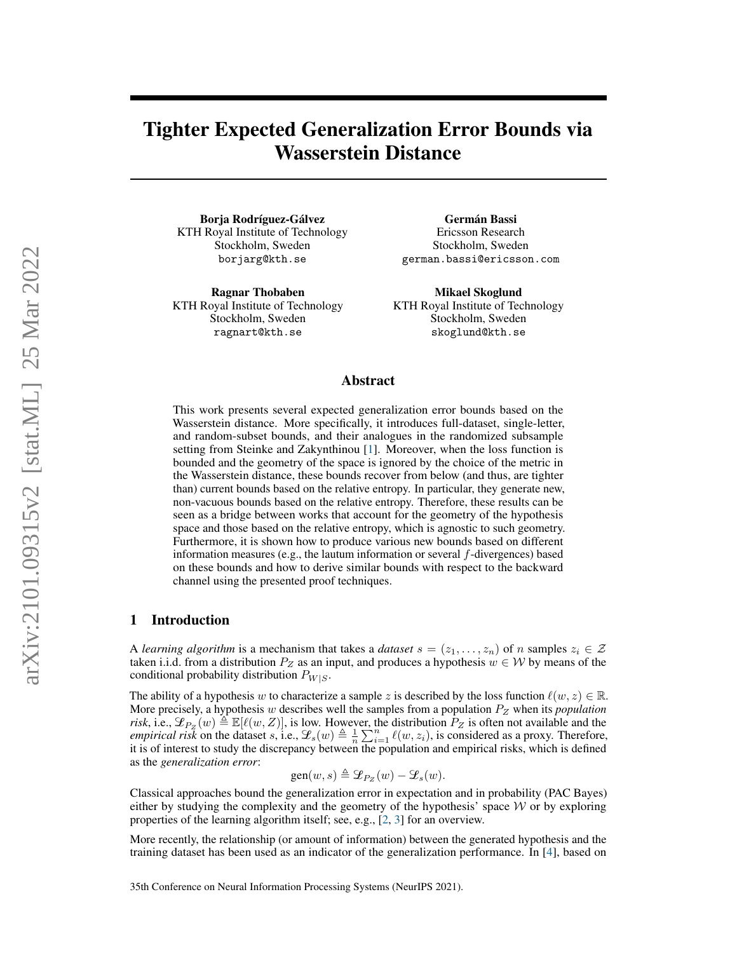# Tighter Expected Generalization Error Bounds via Wasserstein Distance

Borja Rodríguez-Gálvez KTH Royal Institute of Technology Stockholm, Sweden borjarg@kth.se

Ragnar Thobaben KTH Royal Institute of Technology Stockholm, Sweden ragnart@kth.se

Germán Bassi Ericsson Research Stockholm, Sweden german.bassi@ericsson.com

Mikael Skoglund KTH Royal Institute of Technology Stockholm, Sweden skoglund@kth.se

## Abstract

This work presents several expected generalization error bounds based on the Wasserstein distance. More specifically, it introduces full-dataset, single-letter, and random-subset bounds, and their analogues in the randomized subsample setting from Steinke and Zakynthinou [\[1\]](#page-9-0). Moreover, when the loss function is bounded and the geometry of the space is ignored by the choice of the metric in the Wasserstein distance, these bounds recover from below (and thus, are tighter than) current bounds based on the relative entropy. In particular, they generate new, non-vacuous bounds based on the relative entropy. Therefore, these results can be seen as a bridge between works that account for the geometry of the hypothesis space and those based on the relative entropy, which is agnostic to such geometry. Furthermore, it is shown how to produce various new bounds based on different information measures (e.g., the lautum information or several  $f$ -divergences) based on these bounds and how to derive similar bounds with respect to the backward channel using the presented proof techniques.

# 1 Introduction

A *learning algorithm* is a mechanism that takes a *dataset*  $s = (z_1, \ldots, z_n)$  of n samples  $z_i \in \mathcal{Z}$ taken i.i.d. from a distribution  $P_Z$  as an input, and produces a hypothesis  $w \in W$  by means of the conditional probability distribution  $P_{W|S}$ .

The ability of a hypothesis w to characterize a sample z is described by the loss function  $\ell(w, z) \in \mathbb{R}$ . More precisely, a hypothesis w describes well the samples from a population  $P<sub>Z</sub>$  when its *population risk*, i.e.,  $\mathcal{L}_{P_Z}(w) \stackrel{\triangle}{=} \mathbb{E}[\ell(w, Z)]$ , is low. However, the distribution  $P_Z$  is often not available and the *empirical risk* on the dataset s, i.e.,  $\mathcal{L}_s(w) \triangleq \frac{1}{n} \sum_{i=1}^n \ell(w, z_i)$ , is considered as a proxy. Therefore, it is of interest to study the discrepancy between the population and empirical risks, which is defined as the *generalization error*:

$$
\text{gen}(w,s)\triangleq \mathcal{L}_{P_Z}(w)-\mathcal{L}_s(w).
$$

Classical approaches bound the generalization error in expectation and in probability (PAC Bayes) either by studying the complexity and the geometry of the hypothesis' space  $W$  or by exploring properties of the learning algorithm itself; see, e.g., [\[2,](#page-9-1) [3\]](#page-9-2) for an overview.

More recently, the relationship (or amount of information) between the generated hypothesis and the training dataset has been used as an indicator of the generalization performance. In [\[4\]](#page-9-3), based on

35th Conference on Neural Information Processing Systems (NeurIPS 2021).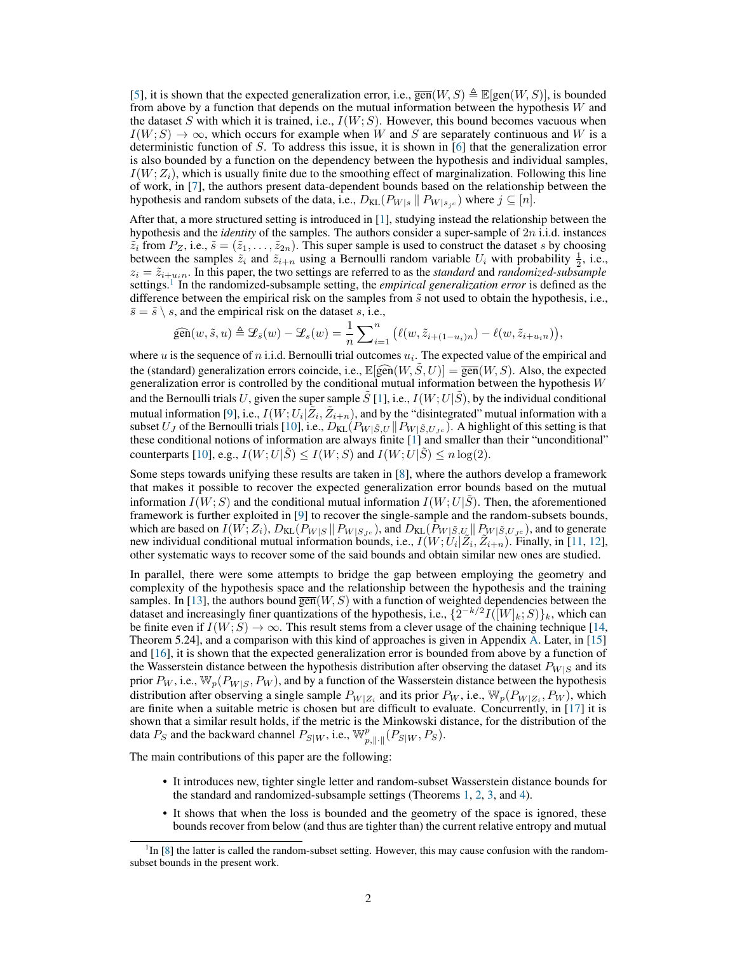[\[5\]](#page-9-4), it is shown that the expected generalization error, i.e.,  $\overline{\text{gen}}(W, S) \triangleq \mathbb{E}[\text{gen}(W, S)]$ , is bounded from above by a function that depends on the mutual information between the hypothesis  $W$  and the dataset S with which it is trained, i.e.,  $I(W; S)$ . However, this bound becomes vacuous when  $I(W; S) \rightarrow \infty$ , which occurs for example when W and S are separately continuous and W is a deterministic function of S. To address this issue, it is shown in [\[6\]](#page-9-5) that the generalization error is also bounded by a function on the dependency between the hypothesis and individual samples,  $I(W; Z<sub>i</sub>)$ , which is usually finite due to the smoothing effect of marginalization. Following this line of work, in [\[7\]](#page-9-6), the authors present data-dependent bounds based on the relationship between the hypothesis and random subsets of the data, i.e.,  $D_{KL}(P_{W|s} || P_{W|s,c})$  where  $j \subseteq [n]$ .

After that, a more structured setting is introduced in [\[1\]](#page-9-0), studying instead the relationship between the hypothesis and the *identity* of the samples. The authors consider a super-sample of 2n i.i.d. instances  $\tilde{z}_i$  from  $P_Z$ , i.e.,  $\tilde{s} = (\tilde{z}_1, \ldots, \tilde{z}_{2n})$ . This super sample is used to construct the dataset s by choosing between the samples  $\tilde{z}_i$  and  $\tilde{z}_{i+n}$  using a Bernoulli random variable  $U_i$  with probability  $\frac{1}{2}$ , i.e.,  $z_i = \tilde{z}_{i+u_i n}$ . In this paper, the two settings are referred to as the *standard* and *randomized-subsample* settings.<sup>[1](#page-1-0)</sup> In the randomized-subsample setting, the *empirical generalization error* is defined as the difference between the empirical risk on the samples from  $\tilde{s}$  not used to obtain the hypothesis, i.e.,  $\overline{s} = \tilde{s} \setminus s$ , and the empirical risk on the dataset s, i.e.,

$$
\widehat{\text{gen}}(w,\tilde{s},u) \triangleq \mathcal{L}_{\tilde{s}}(w) - \mathcal{L}_{s}(w) = \frac{1}{n} \sum_{i=1}^{n} (\ell(w,\tilde{z}_{i+(1-u_i)n}) - \ell(w,\tilde{z}_{i+u_in})),
$$

where  $u$  is the sequence of  $n$  i.i.d. Bernoulli trial outcomes  $u_i$ . The expected value of the empirical and the (standard) generalization errors coincide, i.e.,  $\mathbb{E}[\widehat{gen}(W, \tilde{S}, U)] = \overline{gen}(W, S)$ . Also, the expected generalization error is controlled by the conditional mutual information between the hypothesis  $W$ and the Bernoulli trials U, given the super sample  $\tilde{S}[1]$  $\tilde{S}[1]$ , i.e.,  $I(W;U|\tilde{S})$ , by the individual conditional mutual information [\[9\]](#page-9-7), i.e.,  $I(W; U_i | \tilde{Z}_i, \tilde{Z}_{i+n})$ , and by the "disintegrated" mutual information with a subset  $U_J$  of the Bernoulli trials [\[10\]](#page-9-8), i.e.,  $D_{KL}(P_{W|\tilde{S},U} \| P_{W|\tilde{S},U_{Jc}})$ . A highlight of this setting is that these conditional notions of information are always finite [\[1\]](#page-9-0) and smaller than their "unconditional" counterparts [\[10\]](#page-9-8), e.g.,  $I(W; U|\hat{S}) \leq I(W; S)$  and  $I(W; U|\hat{S}) \leq n \log(2)$ .

Some steps towards unifying these results are taken in [\[8\]](#page-9-9), where the authors develop a framework that makes it possible to recover the expected generalization error bounds based on the mutual information  $I(W; S)$  and the conditional mutual information  $I(W; U | S)$ . Then, the aforementioned framework is further exploited in [\[9\]](#page-9-7) to recover the single-sample and the random-subsets bounds, which are based on  $I(W; Z_i)$ ,  $D_{KL}(P_{W|S} || P_{W|S,c})$ , and  $D_{KL}(P_{W|\tilde{S},U} || P_{W|\tilde{S},U,c})$ , and to generate new individual conditional mutual information bounds, i.e.,  $\overline{I}(W; \overline{U}_i | \overline{Z}_i, \overline{Z}_{i+n})$ . Finally, in [\[11,](#page-9-10) [12\]](#page-9-11), other systematic ways to recover some of the said bounds and obtain similar new ones are studied.

In parallel, there were some attempts to bridge the gap between employing the geometry and complexity of the hypothesis space and the relationship between the hypothesis and the training samples. In [\[13\]](#page-9-12), the authors bound  $\overline{\text{gen}}(W, S)$  with a function of weighted dependencies between the dataset and increasingly finer quantizations of the hypothesis, i.e.,  $\{2^{-k/2}I([W]_k;S)\}_k$ , which can be finite even if  $I(W; S) \to \infty$ . This result stems from a clever usage of the chaining technique [\[14,](#page-9-13) Theorem 5.24], and a comparison with this kind of approaches is given in Appendix [A.](#page-12-0) Later, in [\[15\]](#page-9-14) and [\[16\]](#page-9-15), it is shown that the expected generalization error is bounded from above by a function of the Wasserstein distance between the hypothesis distribution after observing the dataset  $P_{W|S}$  and its prior  $P_W$ , i.e.,  $\mathbb{W}_p(P_{W|S}, P_W)$ , and by a function of the Wasserstein distance between the hypothesis distribution after observing a single sample  $P_{W|Z_i}$  and its prior  $P_W$ , i.e.,  $\mathbb{W}_p(P_{W|Z_i}, P_W)$ , which are finite when a suitable metric is chosen but are difficult to evaluate. Concurrently, in [\[17\]](#page-9-16) it is shown that a similar result holds, if the metric is the Minkowski distance, for the distribution of the data  $P_S$  and the backward channel  $P_{S|W}$ , i.e.,  $\mathbb{W}_{p, \|\cdot\|}^p(P_{S|W}, P_S)$ .

The main contributions of this paper are the following:

- It introduces new, tighter single letter and random-subset Wasserstein distance bounds for the standard and randomized-subsample settings (Theorems [1,](#page-3-0) [2,](#page-4-0) [3,](#page-5-0) and [4\)](#page-6-0).
- It shows that when the loss is bounded and the geometry of the space is ignored, these bounds recover from below (and thus are tighter than) the current relative entropy and mutual

<span id="page-1-0"></span> ${}^{1}$ In [\[8\]](#page-9-9) the latter is called the random-subset setting. However, this may cause confusion with the randomsubset bounds in the present work.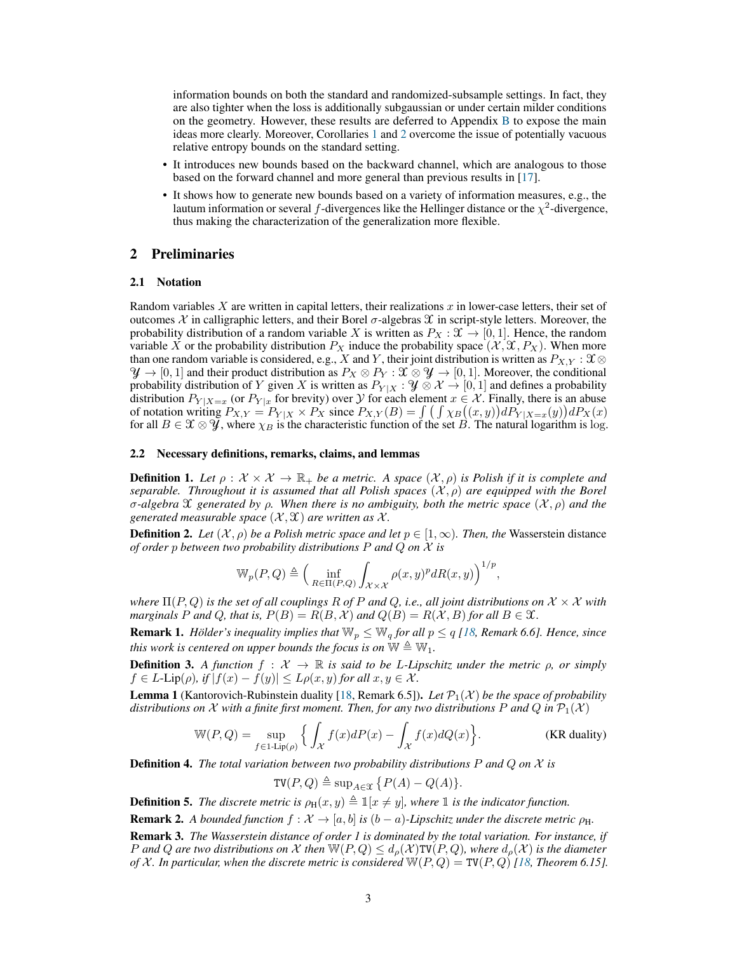information bounds on both the standard and randomized-subsample settings. In fact, they are also tighter when the loss is additionally subgaussian or under certain milder conditions on the geometry. However, these results are deferred to Appendix [B](#page-13-0) to expose the main ideas more clearly. Moreover, Corollaries [1](#page-3-1) and [2](#page-4-1) overcome the issue of potentially vacuous relative entropy bounds on the standard setting.

- It introduces new bounds based on the backward channel, which are analogous to those based on the forward channel and more general than previous results in [\[17\]](#page-9-16).
- It shows how to generate new bounds based on a variety of information measures, e.g., the lautum information or several f-divergences like the Hellinger distance or the  $\chi^2$ -divergence, thus making the characterization of the generalization more flexible.

# 2 Preliminaries

## 2.1 Notation

Random variables X are written in capital letters, their realizations x in lower-case letters, their set of outcomes X in calligraphic letters, and their Borel σ-algebras  $\mathcal X$  in script-style letters. Moreover, the probability distribution of a random variable X is written as  $P_X : \mathfrak{X} \to [0,1]$ . Hence, the random variable X or the probability distribution  $P_X$  induce the probability space  $(\mathcal{X}, \mathcal{X}, P_X)$ . When more than one random variable is considered, e.g., X and Y, their joint distribution is written as  $P_{X,Y}$ :  $\mathfrak{X} \otimes$  $\mathcal{Y} \to [0, 1]$  and their product distribution as  $P_X \otimes P_Y : \mathcal{X} \otimes \mathcal{Y} \to [0, 1]$ . Moreover, the conditional probability distribution of Y given X is written as  $P_{Y|X}$ :  $\mathcal{Y} \otimes \mathcal{X} \to [0, 1]$  and defines a probability distribution  $P_{Y|X=x}$  (or  $P_{Y|x}$  for brevity) over  $Y$  for each element  $x \in X$ . Finally, there is an abuse of notation writing  $P_{X,Y} = P_{Y|X} \times P_X$  since  $P_{X,Y}(B) = \int \left( \int \chi_B((x,y)) dP_{Y|X=x}(y) \right) dP_X(x)$ for all  $B \in \mathfrak{X} \otimes \mathcal{Y}$ , where  $\chi_B$  is the characteristic function of the set  $B$ . The natural logarithm is log.

#### 2.2 Necessary definitions, remarks, claims, and lemmas

**Definition 1.** Let  $\rho : \mathcal{X} \times \mathcal{X} \to \mathbb{R}_+$  be a metric. A space  $(\mathcal{X}, \rho)$  is Polish if it is complete and *separable. Throughout it is assumed that all Polish spaces*  $(\mathcal{X}, \rho)$  *are equipped with the Borel* σ*-algebra* X *generated by* ρ*. When there is no ambiguity, both the metric space* (X , ρ) *and the generated measurable space*  $(\mathcal{X}, \mathcal{X})$  *are written as*  $\mathcal{X}$ *.* 

**Definition 2.** *Let*  $(X, \rho)$  *be a Polish metric space and let*  $p \in [1, \infty)$ *. Then, the* Wasserstein distance *of order* p *between two probability distributions* P *and* Q *on* X *is*

$$
\mathbb{W}_p(P,Q) \triangleq \Big(\inf_{R \in \Pi(P,Q)} \int_{\mathcal{X} \times \mathcal{X}} \rho(x,y)^p dR(x,y)\Big)^{1/p},
$$

*where*  $\Pi(P,Q)$  *is the set of all couplings* R *of* P *and* Q, *i.e., all joint distributions on*  $X \times X$  *with marginals* P and Q, that is,  $P(B) = R(B, \mathcal{X})$  and  $Q(B) = R(\mathcal{X}, B)$  for all  $B \in \mathcal{X}$ .

<span id="page-2-2"></span>**Remark 1.** *Hölder's inequality implies that*  $\mathbb{W}_p \leq \mathbb{W}_q$  *for all*  $p \leq q$  [\[18,](#page-10-0) *Remark 6.6*]. *Hence, since this work is centered on upper bounds the focus is on*  $\mathbb{W} \triangleq \mathbb{W}_1$ *.* 

**Definition 3.** A function  $f: \mathcal{X} \to \mathbb{R}$  is said to be L-Lipschitz under the metric  $\rho$ , or simply  $f \in L$ -Lip( $\rho$ ), if  $|f(x) - f(y)| \leq L\rho(x, y)$  for all  $x, y \in \mathcal{X}$ .

**Lemma 1** (Kantorovich-Rubinstein duality [\[18,](#page-10-0) Remark 6.5]). Let  $\mathcal{P}_1(\mathcal{X})$  be the space of probability *distributions on* X with a finite first moment. Then, for any two distributions P and Q in  $\mathcal{P}_1(\mathcal{X})$ 

$$
\mathbb{W}(P,Q) = \sup_{f \in 1 \text{-Lip}(\rho)} \left\{ \int_{\mathcal{X}} f(x) dP(x) - \int_{\mathcal{X}} f(x) dQ(x) \right\}.
$$
 (KR duality)

Definition 4. *The total variation between two probability distributions* P *and* Q *on* X *is*

$$
\mathsf{TV}(P,Q) \triangleq \sup\nolimits_{A \in \mathfrak{X}} \big\{ P(A) - Q(A) \big\}.
$$

**Definition 5.** The discrete metric is  $\rho_H(x, y) \triangleq \mathbb{1}[x \neq y]$ , where  $\mathbb{1}$  is the indicator function.

<span id="page-2-0"></span>**Remark 2.** A bounded function  $f : \mathcal{X} \to [a, b]$  is  $(b - a)$ -Lipschitz under the discrete metric  $\rho_{\text{H}}$ .

<span id="page-2-1"></span>Remark 3. *The Wasserstein distance of order 1 is dominated by the total variation. For instance, if* P and Q are two distributions on X then  $\mathbb{W}(P,Q) \leq d_{\rho}(\mathcal{X}) \mathbb{T} \mathbb{V}(P,Q)$ , where  $d_{\rho}(\mathcal{X})$  is the diameter *of* X. In particular, when the discrete metric is considered  $W(P,Q) = TV(P,Q)$  [\[18,](#page-10-0) Theorem 6.15].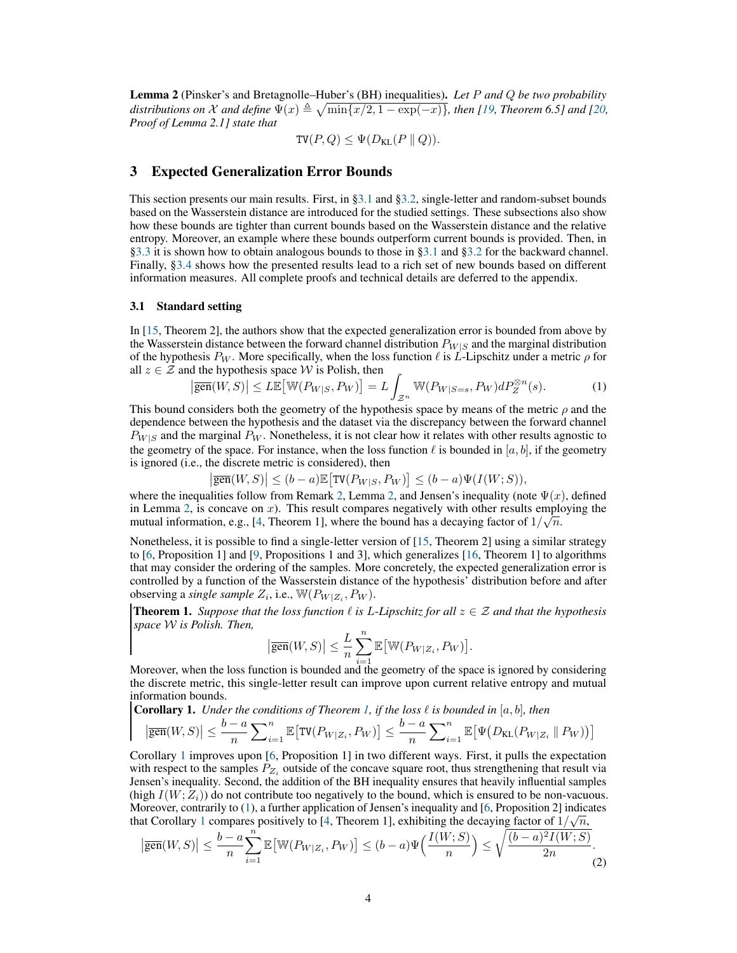<span id="page-3-3"></span>Lemma 2 (Pinsker's and Bretagnolle–Huber's (BH) inequalities). *Let* P *and* Q *be two probability* distributions on X and define  $\Psi(x) \triangleq \sqrt{\min\{x/2, 1 - \exp(-x)\}}$ , then [\[19,](#page-10-1) Theorem 6.5] and [\[20,](#page-10-2) *Proof of Lemma 2.1] state that*

$$
TV(P, Q) \leq \Psi(D_{KL}(P \parallel Q)).
$$

# <span id="page-3-5"></span>3 Expected Generalization Error Bounds

This section presents our main results. First, in [§3.1](#page-3-2) and [§3.2,](#page-5-1) single-letter and random-subset bounds based on the Wasserstein distance are introduced for the studied settings. These subsections also show how these bounds are tighter than current bounds based on the Wasserstein distance and the relative entropy. Moreover, an example where these bounds outperform current bounds is provided. Then, in [§3.3](#page-7-0) it is shown how to obtain analogous bounds to those in [§3.1](#page-3-2) and [§3.2](#page-5-1) for the backward channel. Finally, [§3.4](#page-7-1) shows how the presented results lead to a rich set of new bounds based on different information measures. All complete proofs and technical details are deferred to the appendix.

#### <span id="page-3-2"></span>3.1 Standard setting

In [\[15,](#page-9-14) Theorem 2], the authors show that the expected generalization error is bounded from above by the Wasserstein distance between the forward channel distribution  $P_{W|S}$  and the marginal distribution of the hypothesis  $P_W$ . More specifically, when the loss function  $\ell$  is L-Lipschitz under a metric  $\rho$  for all  $z \in \mathcal{Z}$  and the hypothesis space W is Polish, then

<span id="page-3-4"></span>
$$
\left|\overline{\text{gen}}(W,S)\right| \leq L\mathbb{E}\left[\mathbb{W}(P_{W|S}, P_W)\right] = L \int_{\mathcal{Z}^n} \mathbb{W}(P_{W|S=s}, P_W) dP_Z^{\otimes n}(s). \tag{1}
$$

This bound considers both the geometry of the hypothesis space by means of the metric  $\rho$  and the dependence between the hypothesis and the dataset via the discrepancy between the forward channel  $P_{W|S}$  and the marginal  $P_W$ . Nonetheless, it is not clear how it relates with other results agnostic to the geometry of the space. For instance, when the loss function  $\ell$  is bounded in [a, b], if the geometry is ignored (i.e., the discrete metric is considered), then

$$
\big|\overline{\text{gen}}(W,S)\big|\le (b-a)\mathbb{E}\big[\text{TV}\big(P_{W|S},P_{W}\big)\big]\le (b-a)\Psi\big(I(W;S)\big),
$$

where the inequalities follow from Remark [2,](#page-3-3) Lemma 2, and Jensen's inequality (note  $\Psi(x)$ , defined in Lemma [2,](#page-3-3) is concave on  $x$ ). This result compares negatively with other results employing the mutual information, e.g., [\[4,](#page-9-3) Theorem 1], where the bound has a decaying factor of  $1/\sqrt{n}$ .

Nonetheless, it is possible to find a single-letter version of [\[15,](#page-9-14) Theorem 2] using a similar strategy to [\[6,](#page-9-5) Proposition 1] and [\[9,](#page-9-7) Propositions 1 and 3], which generalizes [\[16,](#page-9-15) Theorem 1] to algorithms that may consider the ordering of the samples. More concretely, the expected generalization error is controlled by a function of the Wasserstein distance of the hypothesis' distribution before and after observing a *single sample*  $Z_i$ , i.e.,  $\mathbb{W}(P_{W|Z_i}, P_W)$ .

<span id="page-3-0"></span>**Theorem 1.** *Suppose that the loss function*  $\ell$  *is L-Lipschitz for all*  $z \in \mathcal{Z}$  *and that the hypothesis space* W *is Polish. Then,*

<span id="page-3-6"></span>
$$
\left|\overline{\text{gen}}(W,S)\right| \leq \frac{L}{n} \sum_{i=1}^n \mathbb{E}\big[\mathbb{W}(P_{W|Z_i},P_W)\big].
$$

Moreover, when the loss function is bounded and the geometry of the space is ignored by considering the discrete metric, this single-letter result can improve upon current relative entropy and mutual information bounds.

<span id="page-3-1"></span>**Corollary 1.** *Under the conditions of Theorem [1,](#page-3-0) if the loss*  $\ell$  *is bounded in* [a, b], then

$$
\left|\overline{\text{gen}}(W,S)\right| \leq \frac{b-a}{n} \sum_{i=1}^n \mathbb{E}\big[\text{TV}(P_{W|Z_i}, P_W)\big] \leq \frac{b-a}{n} \sum_{i=1}^n \mathbb{E}\big[\Psi\big(D_{\text{KL}}(P_{W|Z_i} \parallel P_W)\big)\big]
$$

Corollary [1](#page-3-1) improves upon [\[6,](#page-9-5) Proposition 1] in two different ways. First, it pulls the expectation with respect to the samples  $P_{Z_i}$  outside of the concave square root, thus strengthening that result via Jensen's inequality. Second, the addition of the BH inequality ensures that heavily influential samples (high  $I(W; Z<sub>i</sub>)$ ) do not contribute too negatively to the bound, which is ensured to be non-vacuous. Moreover, contrarily to [\(1\)](#page-3-4), a further application of Jensen's inequality and [\[6,](#page-9-5) Proposition 2] indicates that Corollary [1](#page-3-1) compares positively to [\[4,](#page-9-3) Theorem 1], exhibiting the decaying factor of  $1/\sqrt{n}$ ,

$$
\left|\overline{\text{gen}}(W,S)\right| \leq \frac{b-a}{n}\sum_{i=1}^{n}\mathbb{E}\left[\mathbb{W}(P_{W|Z_i}, P_W)\right] \leq (b-a)\Psi\left(\frac{I(W;S)}{n}\right) \leq \sqrt{\frac{(b-a)^2I(W;S)}{2n}}.
$$
\n(2)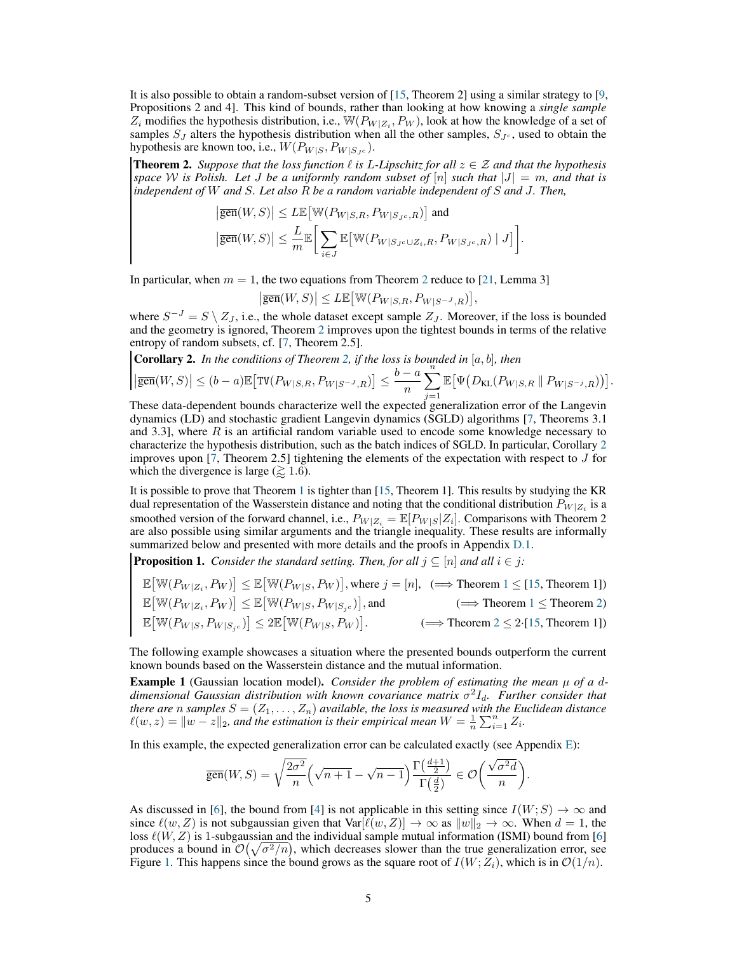It is also possible to obtain a random-subset version of [\[15,](#page-9-14) Theorem 2] using a similar strategy to [\[9,](#page-9-7) Propositions 2 and 4]. This kind of bounds, rather than looking at how knowing a *single sample*  $Z_i$  modifies the hypothesis distribution, i.e.,  $\mathbb{W}(P_{W|Z_i}, P_W)$ , look at how the knowledge of a set of samples  $S_J$  alters the hypothesis distribution when all the other samples,  $S_{J_c}$ , used to obtain the hypothesis are known too, i.e.,  $W(P_{W|S}, P_{W|S_{T_c}})$ .

<span id="page-4-0"></span>**Theorem 2.** *Suppose that the loss function*  $\ell$  *is L-Lipschitz for all*  $z \in \mathcal{Z}$  *and that the hypothesis space* W is Polish. Let J be a uniformly random subset of  $[n]$  *such that*  $|J| = m$ *, and that is independent of* W *and* S*. Let also* R *be a random variable independent of* S *and* J*. Then,*

$$
\begin{aligned} &\left|\overline{\text{gen}}(W,S)\right|\leq L\mathbb{E}\big[\mathbb{W}(P_{W|S,R},P_{W|S_{J^c},R})\big] \text{ and }\\ &\left|\overline{\text{gen}}(W,S)\right|\leq \frac{L}{m}\mathbb{E}\bigg[\sum_{i\in J}\mathbb{E}\big[\mathbb{W}(P_{W|S_{J^c}\cup Z_i,R},P_{W|S_{J^c},R})\mid J\big]\bigg]. \end{aligned}
$$

In particular, when  $m = 1$ , the two equations from Theorem [2](#page-4-0) reduce to [\[21,](#page-10-3) Lemma 3]

 $\left|\overline{\text{gen}}(W,S)\right|\leq L\mathbb{E}\!\left[\mathbb{W}(P_{W|S,R},P_{W|S^{-J},R})\right]\!,$ 

where  $S^{-J} = S \setminus Z_J$ , i.e., the whole dataset except sample  $Z_J$ . Moreover, if the loss is bounded and the geometry is ignored, Theorem [2](#page-4-0) improves upon the tightest bounds in terms of the relative entropy of random subsets, cf. [\[7,](#page-9-6) Theorem 2.5].

<span id="page-4-1"></span>**Corollary 2.** In the conditions of Theorem 2, if the loss is bounded in [a, b], then\n
$$
\left|\overline{\text{gen}}(W, S)\right| \le (b - a) \mathbb{E}\left[\text{TV}(P_{W|S,R}, P_{W|S^{-J}, R})\right] \le \frac{b - a}{n} \sum_{j=1}^{n} \mathbb{E}\left[\Psi\big(D_{\text{KL}}(P_{W|S,R} \parallel P_{W|S^{-j}, R})\big)\right].
$$

These data-dependent bounds characterize well the expected generalization error of the Langevin dynamics (LD) and stochastic gradient Langevin dynamics (SGLD) algorithms [\[7,](#page-9-6) Theorems 3.1 and 3.3], where  $R$  is an artificial random variable used to encode some knowledge necessary to characterize the hypothesis distribution, such as the batch indices of SGLD. In particular, Corollary [2](#page-4-1) improves upon  $[7,$  Theorem 2.5] tightening the elements of the expectation with respect to  $J$  for which the divergence is large ( $\geq 1.6$ ).

It is possible to prove that Theorem [1](#page-3-0) is tighter than [\[15,](#page-9-14) Theorem 1]. This results by studying the KR dual representation of the Wasserstein distance and noting that the conditional distribution  $P_{W|Z_i}$  is a smoothed version of the forward channel, i.e.,  $P_{W|Z_i} = \mathbb{E}[P_{W|S}|Z_i]$ . Comparisons with Theorem 2 are also possible using similar arguments and the triangle inequality. These results are informally summarized below and presented with more details and the proofs in Appendix [D.1.](#page-18-0)

**Proposition 1.** *Consider the standard setting. Then, for all*  $j \subseteq [n]$  *and all*  $i \in j$ *:* 

$$
\mathbb{E}\left[\mathbb{W}(P_{W|Z_i}, P_W)\right] \leq \mathbb{E}\left[\mathbb{W}(P_{W|S}, P_W)\right], \text{where } j = [n], \text{ } (\Longrightarrow \text{ Theorem 1} \leq [15, \text{ Theorem 1}])
$$
\n
$$
\mathbb{E}\left[\mathbb{W}(P_{W|Z_i}, P_W)\right] \leq \mathbb{E}\left[\mathbb{W}(P_{W|S}, P_{W|S_{j^c}})\right], \text{and } (\Longrightarrow \text{ Theorem 1} \leq \text{ Theorem 2})
$$
\n
$$
\mathbb{E}\left[\mathbb{W}(P_{W|S}, P_{W|S_{j^c}})\right] \leq 2\mathbb{E}\left[\mathbb{W}(P_{W|S}, P_W)\right]. \qquad (\Longrightarrow \text{ Theorem 2} \leq 2 \cdot [15, \text{ Theorem 1}])
$$

The following example showcases a situation where the presented bounds outperform the current known bounds based on the Wasserstein distance and the mutual information.

**Example 1** (Gaussian location model). *Consider the problem of estimating the mean*  $\mu$  *of a d* $d$ imensional Gaussian distribution with known covariance matrix  $\sigma^2 I_d$ . Further consider that *there are* n *samples*  $S = (Z_1, \ldots, Z_n)$  *available, the loss is measured with the Euclidean distance*  $\ell(w, z) = \|w - z\|_2$ , and the estimation is their empirical mean  $W = \frac{1}{n} \sum_{i=1}^n Z_i$ .

In this example, the expected generalization error can be calculated exactly (see Appendix [E\)](#page-23-0):

$$
\overline{\text{gen}}(W,S)=\sqrt{\frac{2\sigma^2}{n}}\Big(\sqrt{n+1}-\sqrt{n-1}\Big)\frac{\Gamma\big(\frac{d+1}{2}\big)}{\Gamma\big(\frac{d}{2}\big)}\in \mathcal{O}\bigg(\frac{\sqrt{\sigma^2d}}{n}\bigg).
$$

As discussed in [\[6\]](#page-9-5), the bound from [\[4\]](#page-9-3) is not applicable in this setting since  $I(W; S) \rightarrow \infty$  and since  $\ell(w, Z)$  is not subgaussian given that Var $[\ell(w, Z)] \to \infty$  as  $||w||_2 \to \infty$ . When  $d = 1$ , the loss  $\ell(W, Z)$  is 1-subgaussian and the individual sample mutual information (ISMI) bound from [\[6\]](#page-9-5) produces a bound in  $\mathcal{O}(\sqrt{\sigma^2/n})$ , which decreases slower than the true generalization error, see Figure [1.](#page-5-2) This happens since the bound grows as the square root of  $I(W;Z_i)$ , which is in  $\mathcal{O}(1/n)$ .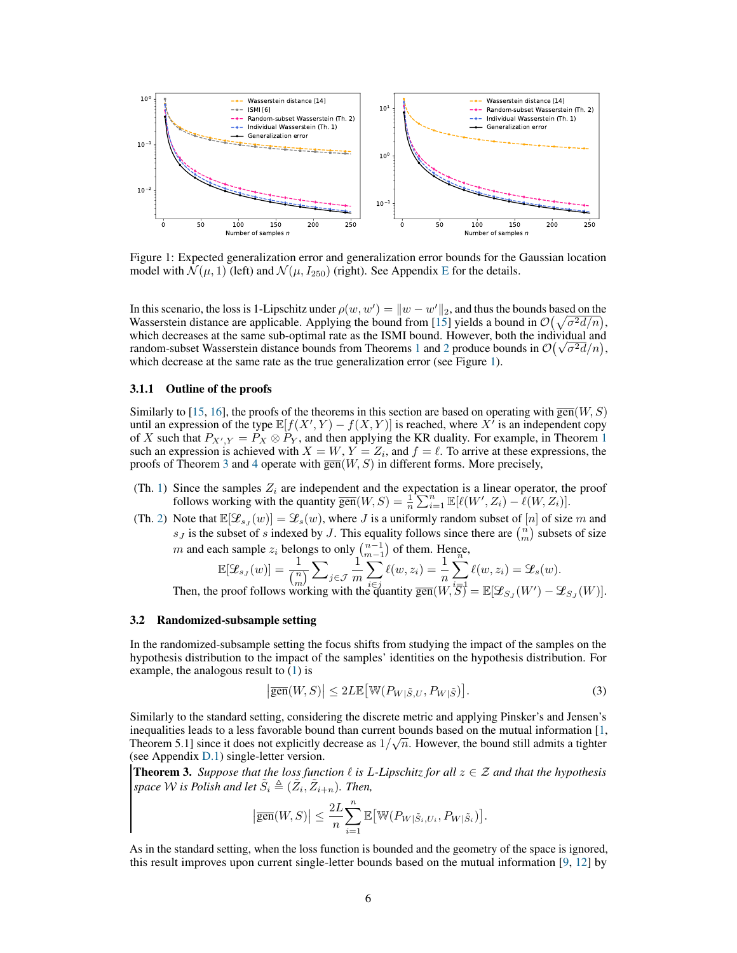<span id="page-5-2"></span>

Figure 1: Expected generalization error and generalization error bounds for the Gaussian location model with  $\mathcal{N}(\mu, 1)$  (left) and  $\mathcal{N}(\mu, I_{250})$  (right). See Appendix [E](#page-23-0) for the details.

In this scenario, the loss is 1-Lipschitz under  $\rho(w, w') = ||w - w'||_2$ , and thus the bounds based on the Wasserstein distance are applicable. Applying the bound from [\[15\]](#page-9-14) yields a bound in  $\mathcal{O}(\sqrt{\sigma^2 d/n})$ , which decreases at the same sub-optimal rate as the ISMI bound. However, both the individual and random-subset Wasserstein distance bounds from Theorems [1](#page-3-0) and [2](#page-4-0) produce bounds in  $\mathcal{O}(\sqrt{\sigma^2d}/n)$ , which decrease at the same rate as the true generalization error (see Figure [1\)](#page-5-2).

## 3.1.1 Outline of the proofs

Similarly to [\[15,](#page-9-14) [16\]](#page-9-15), the proofs of the theorems in this section are based on operating with  $\overline{gen}(W, S)$ until an expression of the type  $\mathbb{E}[f(X', Y) - f(X, Y)]$  is reached, where X' is an independent copy of X such that  $P_{X',Y} = P_X \otimes P_Y$ , and then applying the KR duality. For example, in Theorem [1](#page-3-0) such an expression is achieved with  $X = W$ ,  $Y = Z_i$ , and  $f = \ell$ . To arrive at these expressions, the proofs of Theorem [3](#page-5-0) and [4](#page-6-0) operate with  $\overline{gen}(W, S)$  in different forms. More precisely,

- (Th. [1\)](#page-3-0) Since the samples  $Z_i$  are independent and the expectation is a linear operator, the proof follows working with the quantity  $\overline{\text{gen}}(W, S) = \frac{1}{n} \sum_{i=1}^{n} \mathbb{E}[\ell(W', Z_i) - \ell(W, Z_i)].$
- (Th. [2\)](#page-4-0) Note that  $\mathbb{E}[\mathcal{L}_{s_J}(w)] = \mathcal{L}_s(w)$ , where J is a uniformly random subset of  $[n]$  of size m and  $s_J$  is the subset of s indexed by J. This equality follows since there are  $\binom{n}{m}$  subsets of size

*m* and each sample 
$$
z_i
$$
 belongs to only  $\binom{n-1}{m-1}$  of them. Hence,  
\n
$$
\mathbb{E}[\mathcal{L}_{s,j}(w)] = \frac{1}{\binom{n}{m}} \sum_{j \in \mathcal{J}} \frac{1}{m} \sum_{i \in j}^m \ell(w, z_i) = \frac{1}{n} \sum_{i \in \mathcal{J}}^n \ell(w, z_i) = \mathcal{L}_s(w).
$$
\nThen, the proof follows working with the quantity  $\overline{\text{gen}}(W, \overline{S}) = \mathbb{E}[\mathcal{L}_{S,j}(W') - \mathcal{L}_{S,j}(W)].$ 

#### <span id="page-5-1"></span>3.2 Randomized-subsample setting

In the randomized-subsample setting the focus shifts from studying the impact of the samples on the hypothesis distribution to the impact of the samples' identities on the hypothesis distribution. For example, the analogous result to  $(1)$  is

<span id="page-5-3"></span>
$$
\left|\overline{\text{gen}}(W,S)\right| \le 2L\mathbb{E}\left[\mathbb{W}(P_{W|\tilde{S},U},P_{W|\tilde{S}})\right].\tag{3}
$$

Similarly to the standard setting, considering the discrete metric and applying Pinsker's and Jensen's inequalities leads to a less favorable bound than current bounds based on the mutual information [\[1,](#page-9-0) Theorem 5.1] since it does not explicitly decrease as  $1/\sqrt{n}$ . However, the bound still admits a tighter (see Appendix [D.1\)](#page-18-0) single-letter version.

<span id="page-5-0"></span>**Theorem 3.** *Suppose that the loss function*  $\ell$  *is L-Lipschitz for all*  $z \in \mathcal{Z}$  *and that the hypothesis* space W is Polish and let  $\tilde{S}_i \triangleq (\tilde{Z}_i, \tilde{Z}_{i+n})$ . Then,

$$
\left|\overline{\text{gen}}(W,S)\right| \leq \frac{2L}{n} \sum_{i=1}^{n} \mathbb{E}\left[\mathbb{W}(P_{W|\tilde{S}_i,U_i},P_{W|\tilde{S}_i})\right].
$$

As in the standard setting, when the loss function is bounded and the geometry of the space is ignored, this result improves upon current single-letter bounds based on the mutual information [\[9,](#page-9-7) [12\]](#page-9-11) by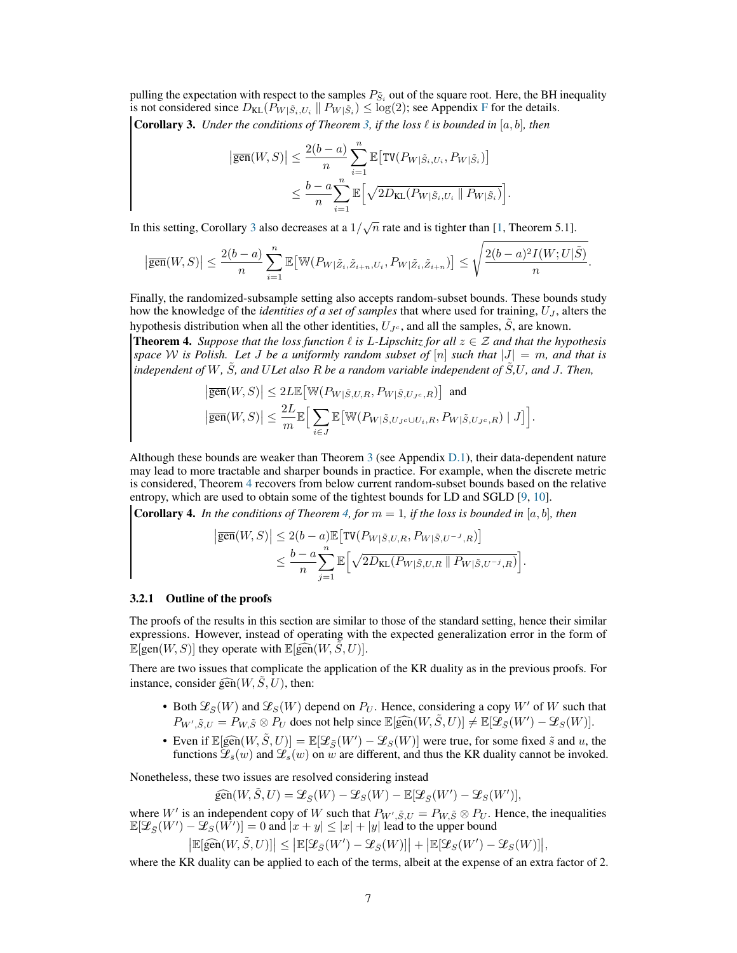<span id="page-6-1"></span>pulling the expectation with respect to the samples  $P_{\tilde{S}_i}$  out of the square root. Here, the BH inequality is not considered since  $D_{KL}(P_{W|\tilde{S}_i,U_i} || P_{W|\tilde{S}_i}) \leq \log(2)$ ; see Appendix [F](#page-25-0) for the details. **Corollary 3.** *Under the conditions of Theorem [3,](#page-5-0) if the loss*  $\ell$  *is bounded in* [a, b], *then* 

$$
\left| \overline{\text{gen}}(W, S) \right| \leq \frac{2(b-a)}{n} \sum_{i=1}^{n} \mathbb{E} \left[ \text{TV}(P_{W|\tilde{S}_i, U_i}, P_{W|\tilde{S}_i}) \right]
$$
  

$$
\leq \frac{b-a}{n} \sum_{i=1}^{n} \mathbb{E} \left[ \sqrt{2D_{\text{KL}}(P_{W|\tilde{S}_i, U_i} \parallel P_{W|\tilde{S}_i})} \right].
$$

In this setting, Corollary [3](#page-6-1) also decreases at a  $1/\sqrt{n}$  rate and is tighter than [\[1,](#page-9-0) Theorem 5.1].

$$
\big\vert \overline{\text{gen}}(W,S) \big\vert \leq \frac{2(b-a)}{n} \sum_{i=1}^n \mathbb{E} \big[ \mathbb{W} (P_{W|\tilde{Z}_i,\tilde{Z}_{i+n},U_i},P_{W|\tilde{Z}_i,\tilde{Z}_{i+n}}) \big] \leq \sqrt{\frac{2(b-a)^2 I(W;U|\tilde{S})}{n}}.
$$

Finally, the randomized-subsample setting also accepts random-subset bounds. These bounds study how the knowledge of the *identities of a set of samples* that where used for training,  $U_J$ , alters the hypothesis distribution when all the other identities,  $U_{J<sub>c</sub>}$ , and all the samples,  $\ddot{S}$ , are known.

<span id="page-6-0"></span>**Theorem 4.** *Suppose that the loss function*  $\ell$  *is L-Lipschitz for all*  $z \in \mathcal{Z}$  *and that the hypothesis space* W is Polish. Let J be a uniformly random subset of  $[n]$  such that  $|J| = m$ , and that is *independent of*  $W$ *,*  $\tilde{S}$ *, and ULet also R be a random variable independent of*  $\tilde{S}$ *,U, and J. Then,* 

$$
\begin{aligned} \big|\overline{\text{gen}}(W,S)\big|&\leq 2L\mathbb{E}\big[\mathbb{W}(P_{W|\tilde{S},U,R},P_{W|\tilde{S},U_{J^c},R})\big]\ \ \text{and}\\ \big|\overline{\text{gen}}(W,S)\big|\leq \frac{2L}{m}\mathbb{E}\Big[\sum_{i\in J}\mathbb{E}\big[\mathbb{W}(P_{W|\tilde{S},U_{J^c}\cup U_i,R},P_{W|\tilde{S},U_{J^c},R})\mid J\big]\Big].\end{aligned}
$$

Although these bounds are weaker than Theorem [3](#page-5-0) (see Appendix [D.1\)](#page-18-0), their data-dependent nature may lead to more tractable and sharper bounds in practice. For example, when the discrete metric is considered, Theorem [4](#page-6-0) recovers from below current random-subset bounds based on the relative entropy, which are used to obtain some of the tightest bounds for LD and SGLD [\[9,](#page-9-7) [10\]](#page-9-8).

<span id="page-6-2"></span>**Corollary 4.** *In the conditions of Theorem [4,](#page-6-0) for*  $m = 1$ *, if the loss is bounded in* [a, b]*, then* 

$$
\begin{aligned} \left| \overline{\text{gen}}(W,S) \right| &\leq 2(b-a) \mathbb{E} \left[ \text{TV}(P_{W|\tilde{S},U,R}, P_{W|\tilde{S},U^{-J},R}) \right] \\ &\leq \frac{b-a}{n} \sum_{j=1}^n \mathbb{E} \Big[ \sqrt{2 D_{\text{KL}}(P_{W|\tilde{S},U,R} \parallel P_{W|\tilde{S},U^{-j},R})} \Big]. \end{aligned}
$$

#### 3.2.1 Outline of the proofs

 $\overline{\phantom{a}}$ 

The proofs of the results in this section are similar to those of the standard setting, hence their similar expressions. However, instead of operating with the expected generalization error in the form of  $\mathbb{E}[\text{gen}(W, S)]$  they operate with  $\mathbb{E}[\widehat{\text{gen}}(W, \widetilde{S}, U)]$ .

There are two issues that complicate the application of the KR duality as in the previous proofs. For instance, consider  $\widehat{\text{gen}}(W, \tilde{S}, U)$ , then:

- Both  $\mathcal{L}_{\bar{S}}(W)$  and  $\mathcal{L}_{S}(W)$  depend on  $P_U$ . Hence, considering a copy W' of W such that  $P_{W', \tilde{S}, U} = P_{W, \tilde{S}} \otimes P_U$  does not help since  $\mathbb{E}[\widehat{\text{gen}}(W, \tilde{S}, U)] \neq \mathbb{E}[\mathcal{L}_{\bar{S}}(W') - \mathcal{L}_S(W)].$
- Even if  $\mathbb{E}[\widehat{gen}(W, \tilde{S}, U)] = \mathbb{E}[\mathcal{L}_{\bar{S}}(W') \mathcal{L}_{S}(W)]$  were true, for some fixed  $\tilde{s}$  and u, the functions  $\mathcal{L}_{s}(\omega)$  and  $\mathcal{L}_{s}(\omega)$  and  $\omega$  and  $\tilde{s}$ . functions  $\mathcal{L}_{\bar{s}}(w)$  and  $\mathcal{L}_{s}(w)$  on w are different, and thus the KR duality cannot be invoked.

Nonetheless, these two issues are resolved considering instead

$$
\widehat{\text{gen}}(W, \tilde{S}, U) = \mathcal{L}_{\bar{S}}(W) - \mathcal{L}_{S}(W) - \mathbb{E}[\mathcal{L}_{\bar{S}}(W') - \mathcal{L}_{S}(W')],
$$

where W' is an independent copy of W such that  $P_{W', \tilde{S}, U} = P_{W, \tilde{S}} \otimes P_{U}$ . Hence, the inequalities  $\mathbb{E}[\mathcal{L}_{\bar{S}}(W') - \mathcal{L}_S(W')] = 0$  and  $|x+y| \leq |x| + |y|$  lead to the upper bound

$$
\big|\mathbb{E}[\widehat{\text{gen}}(W,\tilde{S},U)]\big|\leq \big|\mathbb{E}[\mathcal{L}_{\bar{S}}(W')-\mathcal{L}_{\bar{S}}(W)]\big|+\big|\mathbb{E}[\mathcal{L}_{S}(W')-\mathcal{L}_{S}(W)]\big|,
$$

where the KR duality can be applied to each of the terms, albeit at the expense of an extra factor of 2.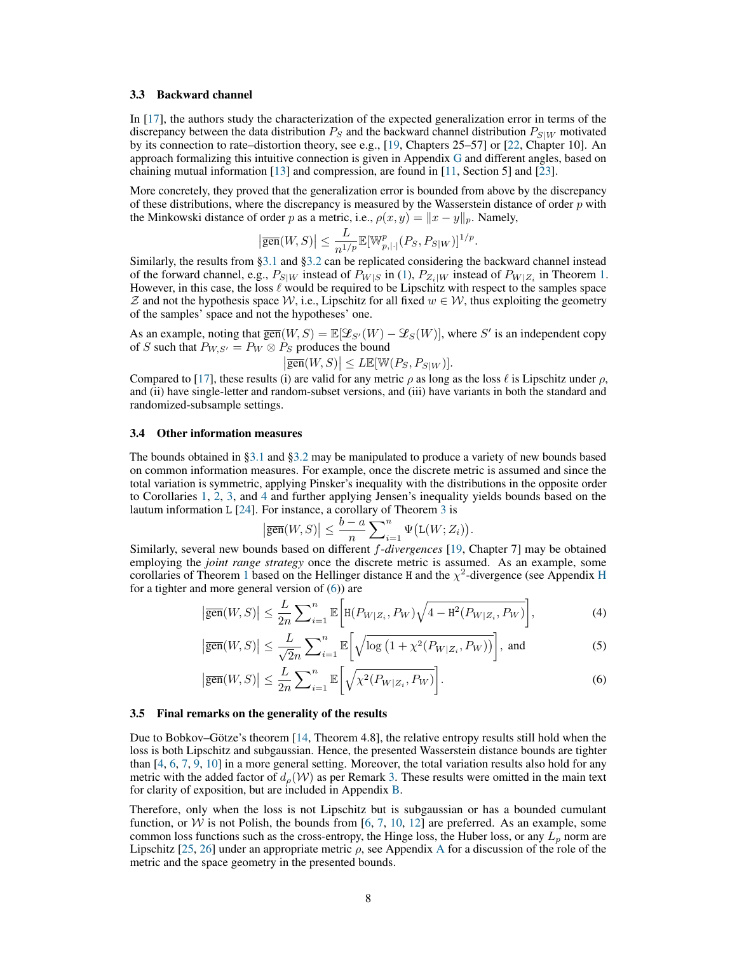#### <span id="page-7-0"></span>3.3 Backward channel

In [\[17\]](#page-9-16), the authors study the characterization of the expected generalization error in terms of the discrepancy between the data distribution  $P_S$  and the backward channel distribution  $P_{S|W}$  motivated by its connection to rate–distortion theory, see e.g., [\[19,](#page-10-1) Chapters 25–57] or [\[22,](#page-10-4) Chapter 10]. An approach formalizing this intuitive connection is given in Appendix [G](#page-26-0) and different angles, based on chaining mutual information [\[13\]](#page-9-12) and compression, are found in [\[11,](#page-9-10) Section 5] and [\[23\]](#page-10-5).

More concretely, they proved that the generalization error is bounded from above by the discrepancy of these distributions, where the discrepancy is measured by the Wasserstein distance of order  $p$  with the Minkowski distance of order p as a metric, i.e.,  $\rho(x, y) = ||x - y||_p$ . Namely,

$$
\left|\overline{\text{gen}}(W,S)\right| \leq \frac{L}{n^{1/p}} \mathbb{E}[\mathbb{W}_{p,|\cdot|}^p(P_S, P_{S|W})]^{1/p}.
$$

Similarly, the results from [§3.1](#page-3-2) and [§3.2](#page-5-1) can be replicated considering the backward channel instead of the forward channel, e.g.,  $P_{S|W}$  instead of  $P_{W|S}$  in [\(1\)](#page-3-4),  $P_{Z_i|W}$  instead of  $P_{W|Z_i}$  in Theorem [1.](#page-3-0) However, in this case, the loss  $\ell$  would be required to be Lipschitz with respect to the samples space Z and not the hypothesis space W, i.e., Lipschitz for all fixed  $w \in W$ , thus exploiting the geometry of the samples' space and not the hypotheses' one.

As an example, noting that  $\overline{\text{gen}}(W, S) = \mathbb{E}[\mathcal{L}_{S'}(W) - \mathcal{L}_S(W)]$ , where S' is an independent copy of S such that  $P_{W,S'} = P_W \otimes P_S$  produces the bound

$$
\left|\overline{\text{gen}}(W,S)\right| \leq L \mathbb{E}[\mathbb{W}(P_S, P_{S|W})].
$$

Compared to [\[17\]](#page-9-16), these results (i) are valid for any metric  $\rho$  as long as the loss  $\ell$  is Lipschitz under  $\rho$ , and (ii) have single-letter and random-subset versions, and (iii) have variants in both the standard and randomized-subsample settings.

#### <span id="page-7-1"></span>3.4 Other information measures

The bounds obtained in [§3.1](#page-3-2) and [§3.2](#page-5-1) may be manipulated to produce a variety of new bounds based on common information measures. For example, once the discrete metric is assumed and since the total variation is symmetric, applying Pinsker's inequality with the distributions in the opposite order to Corollaries [1,](#page-3-1) [2,](#page-4-1) [3,](#page-6-1) and [4](#page-6-2) and further applying Jensen's inequality yields bounds based on the lautum information L [\[24\]](#page-10-6). For instance, a corollary of Theorem [3](#page-5-0) is

$$
\left|\overline{\text{gen}}(W,S)\right| \leq \frac{b-a}{n} \sum_{i=1}^n \Psi\big(\mathsf{L}(W;Z_i)\big).
$$

Similarly, several new bounds based on different f-*divergences* [\[19,](#page-10-1) Chapter 7] may be obtained employing the *joint range strategy* once the discrete metric is assumed. As an example, some corollaries of Theorem [1](#page-3-0) based on the [H](#page-27-0)ellinger distance H and the  $\chi^2$ -divergence (see Appendix H for a tighter and more general version of [\(6\)](#page-7-2)) are

$$
\left|\overline{\text{gen}}(W,S)\right| \leq \frac{L}{2n} \sum_{i=1}^{n} \mathbb{E}\left[\mathbf{H}(P_{W|Z_i}, P_W)\sqrt{4-\mathbf{H}^2(P_{W|Z_i}, P_W)}\right],\tag{4}
$$

$$
\left|\overline{\text{gen}}(W,S)\right| \le \frac{L}{\sqrt{2}n} \sum_{i=1}^n \mathbb{E}\left[\sqrt{\log\left(1 + \chi^2(P_{W|Z_i}, P_W)\right)}\right], \text{ and } (5)
$$

$$
\left|\overline{\text{gen}}(W,S)\right| \le \frac{L}{2n} \sum_{i=1}^n \mathbb{E}\bigg[\sqrt{\chi^2(P_{W|Z_i}, P_W)}\bigg].\tag{6}
$$

#### 3.5 Final remarks on the generality of the results

<span id="page-7-3"></span><span id="page-7-2"></span> $\overline{\phantom{a}}$ 

Due to Bobkov–Götze's theorem [\[14,](#page-9-13) Theorem 4.8], the relative entropy results still hold when the loss is both Lipschitz and subgaussian. Hence, the presented Wasserstein distance bounds are tighter than [\[4,](#page-9-3) [6,](#page-9-5) [7,](#page-9-6) [9,](#page-9-7) [10\]](#page-9-8) in a more general setting. Moreover, the total variation results also hold for any metric with the added factor of  $d_o(\mathcal{W})$  as per Remark [3.](#page-2-1) These results were omitted in the main text for clarity of exposition, but are included in Appendix [B.](#page-13-0)

Therefore, only when the loss is not Lipschitz but is subgaussian or has a bounded cumulant function, or  $W$  is not Polish, the bounds from [\[6,](#page-9-5) [7,](#page-9-6) [10,](#page-9-8) [12\]](#page-9-11) are preferred. As an example, some common loss functions such as the cross-entropy, the Hinge loss, the Huber loss, or any  $L_p$  norm are Lipschitz [\[25,](#page-10-7) [26\]](#page-10-8) under an appropriate metric  $\rho$ , see [A](#page-12-0)ppendix A for a discussion of the role of the metric and the space geometry in the presented bounds.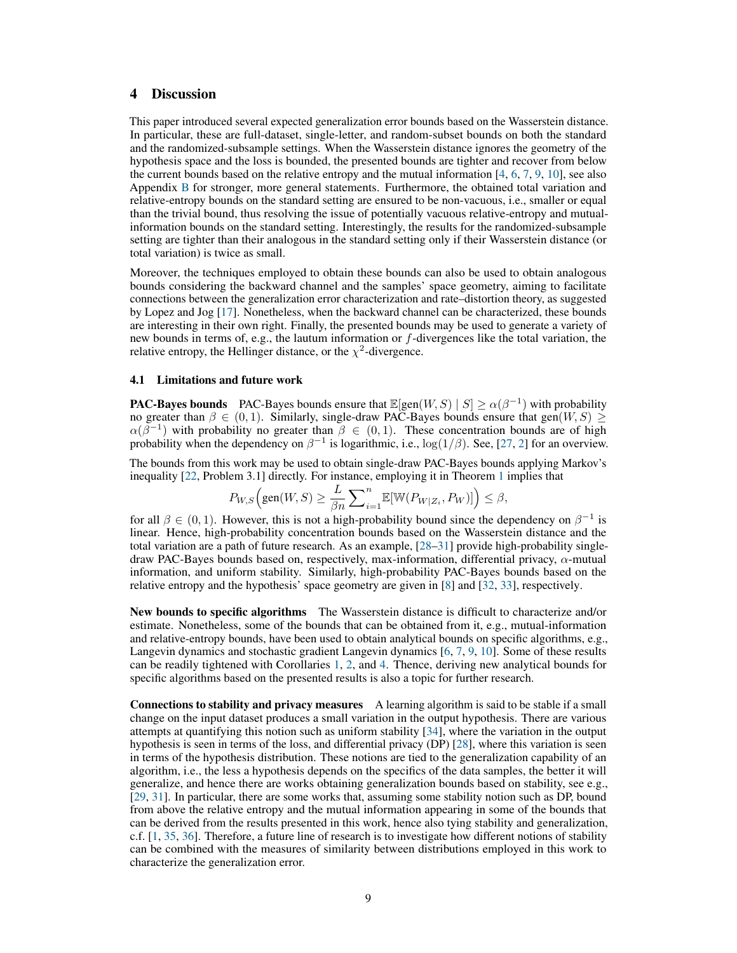# 4 Discussion

This paper introduced several expected generalization error bounds based on the Wasserstein distance. In particular, these are full-dataset, single-letter, and random-subset bounds on both the standard and the randomized-subsample settings. When the Wasserstein distance ignores the geometry of the hypothesis space and the loss is bounded, the presented bounds are tighter and recover from below the current bounds based on the relative entropy and the mutual information [\[4,](#page-9-3) [6,](#page-9-5) [7,](#page-9-6) [9,](#page-9-7) [10\]](#page-9-8), see also Appendix [B](#page-13-0) for stronger, more general statements. Furthermore, the obtained total variation and relative-entropy bounds on the standard setting are ensured to be non-vacuous, i.e., smaller or equal than the trivial bound, thus resolving the issue of potentially vacuous relative-entropy and mutualinformation bounds on the standard setting. Interestingly, the results for the randomized-subsample setting are tighter than their analogous in the standard setting only if their Wasserstein distance (or total variation) is twice as small.

Moreover, the techniques employed to obtain these bounds can also be used to obtain analogous bounds considering the backward channel and the samples' space geometry, aiming to facilitate connections between the generalization error characterization and rate–distortion theory, as suggested by Lopez and Jog [\[17\]](#page-9-16). Nonetheless, when the backward channel can be characterized, these bounds are interesting in their own right. Finally, the presented bounds may be used to generate a variety of new bounds in terms of, e.g., the lautum information or f-divergences like the total variation, the relative entropy, the Hellinger distance, or the  $\chi^2$ -divergence.

# 4.1 Limitations and future work

**PAC-Bayes bounds** PAC-Bayes bounds ensure that  $\mathbb{E}[\text{gen}(W, S) | S] \ge \alpha(\beta^{-1})$  with probability no greater than  $\beta \in (0,1)$ . Similarly, single-draw PAC-Bayes bounds ensure that gen $(W, S) \geq$  $\alpha(\beta^{-1})$  with probability no greater than  $\beta \in (0,1)$ . These concentration bounds are of high probability when the dependency on  $\beta^{-1}$  is logarithmic, i.e.,  $\log(1/\beta)$ . See, [\[27,](#page-10-9) [2\]](#page-9-1) for an overview.

The bounds from this work may be used to obtain single-draw PAC-Bayes bounds applying Markov's inequality [\[22,](#page-10-4) Problem 3.1] directly. For instance, employing it in Theorem [1](#page-3-0) implies that

$$
P_{W,S}\Big(\text{gen}(W,S)\geq \frac{L}{\beta n}\sum\nolimits_{i=1}^n\mathbb{E}[\mathbb{W}(P_{W|Z_i},P_W)]\Big)\leq \beta,
$$

for all  $\beta \in (0, 1)$ . However, this is not a high-probability bound since the dependency on  $\beta^{-1}$  is linear. Hence, high-probability concentration bounds based on the Wasserstein distance and the total variation are a path of future research. As an example, [\[28–](#page-10-10)[31\]](#page-10-11) provide high-probability singledraw PAC-Bayes bounds based on, respectively, max-information, differential privacy,  $\alpha$ -mutual information, and uniform stability. Similarly, high-probability PAC-Bayes bounds based on the relative entropy and the hypothesis' space geometry are given in [\[8\]](#page-9-9) and [\[32,](#page-10-12) [33\]](#page-10-13), respectively.

New bounds to specific algorithms The Wasserstein distance is difficult to characterize and/or estimate. Nonetheless, some of the bounds that can be obtained from it, e.g., mutual-information and relative-entropy bounds, have been used to obtain analytical bounds on specific algorithms, e.g., Langevin dynamics and stochastic gradient Langevin dynamics [\[6,](#page-9-5) [7,](#page-9-6) [9,](#page-9-7) [10\]](#page-9-8). Some of these results can be readily tightened with Corollaries [1,](#page-3-1) [2,](#page-4-1) and [4.](#page-6-2) Thence, deriving new analytical bounds for specific algorithms based on the presented results is also a topic for further research.

Connections to stability and privacy measures A learning algorithm is said to be stable if a small change on the input dataset produces a small variation in the output hypothesis. There are various attempts at quantifying this notion such as uniform stability [\[34\]](#page-10-14), where the variation in the output hypothesis is seen in terms of the loss, and differential privacy (DP) [\[28\]](#page-10-10), where this variation is seen in terms of the hypothesis distribution. These notions are tied to the generalization capability of an algorithm, i.e., the less a hypothesis depends on the specifics of the data samples, the better it will generalize, and hence there are works obtaining generalization bounds based on stability, see e.g., [\[29,](#page-10-15) [31\]](#page-10-11). In particular, there are some works that, assuming some stability notion such as DP, bound from above the relative entropy and the mutual information appearing in some of the bounds that can be derived from the results presented in this work, hence also tying stability and generalization, c.f. [\[1,](#page-9-0) [35,](#page-10-16) [36\]](#page-10-17). Therefore, a future line of research is to investigate how different notions of stability can be combined with the measures of similarity between distributions employed in this work to characterize the generalization error.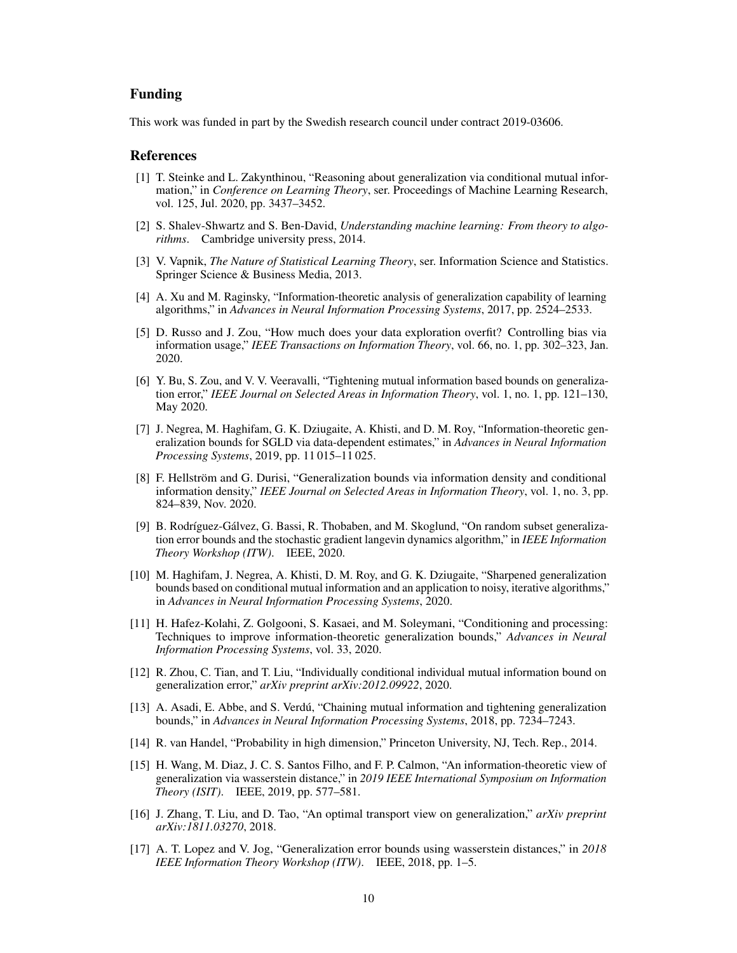# Funding

This work was funded in part by the Swedish research council under contract 2019-03606.

## References

- <span id="page-9-0"></span>[1] T. Steinke and L. Zakynthinou, "Reasoning about generalization via conditional mutual information," in *Conference on Learning Theory*, ser. Proceedings of Machine Learning Research, vol. 125, Jul. 2020, pp. 3437–3452.
- <span id="page-9-1"></span>[2] S. Shalev-Shwartz and S. Ben-David, *Understanding machine learning: From theory to algorithms*. Cambridge university press, 2014.
- <span id="page-9-2"></span>[3] V. Vapnik, *The Nature of Statistical Learning Theory*, ser. Information Science and Statistics. Springer Science & Business Media, 2013.
- <span id="page-9-3"></span>[4] A. Xu and M. Raginsky, "Information-theoretic analysis of generalization capability of learning algorithms," in *Advances in Neural Information Processing Systems*, 2017, pp. 2524–2533.
- <span id="page-9-4"></span>[5] D. Russo and J. Zou, "How much does your data exploration overfit? Controlling bias via information usage," *IEEE Transactions on Information Theory*, vol. 66, no. 1, pp. 302–323, Jan. 2020.
- <span id="page-9-5"></span>[6] Y. Bu, S. Zou, and V. V. Veeravalli, "Tightening mutual information based bounds on generalization error," *IEEE Journal on Selected Areas in Information Theory*, vol. 1, no. 1, pp. 121–130, May 2020.
- <span id="page-9-6"></span>[7] J. Negrea, M. Haghifam, G. K. Dziugaite, A. Khisti, and D. M. Roy, "Information-theoretic generalization bounds for SGLD via data-dependent estimates," in *Advances in Neural Information Processing Systems*, 2019, pp. 11 015–11 025.
- <span id="page-9-9"></span>[8] F. Hellström and G. Durisi, "Generalization bounds via information density and conditional information density," *IEEE Journal on Selected Areas in Information Theory*, vol. 1, no. 3, pp. 824–839, Nov. 2020.
- <span id="page-9-7"></span>[9] B. Rodríguez-Gálvez, G. Bassi, R. Thobaben, and M. Skoglund, "On random subset generalization error bounds and the stochastic gradient langevin dynamics algorithm," in *IEEE Information Theory Workshop (ITW)*. IEEE, 2020.
- <span id="page-9-8"></span>[10] M. Haghifam, J. Negrea, A. Khisti, D. M. Roy, and G. K. Dziugaite, "Sharpened generalization bounds based on conditional mutual information and an application to noisy, iterative algorithms," in *Advances in Neural Information Processing Systems*, 2020.
- <span id="page-9-10"></span>[11] H. Hafez-Kolahi, Z. Golgooni, S. Kasaei, and M. Soleymani, "Conditioning and processing: Techniques to improve information-theoretic generalization bounds," *Advances in Neural Information Processing Systems*, vol. 33, 2020.
- <span id="page-9-11"></span>[12] R. Zhou, C. Tian, and T. Liu, "Individually conditional individual mutual information bound on generalization error," *arXiv preprint arXiv:2012.09922*, 2020.
- <span id="page-9-12"></span>[13] A. Asadi, E. Abbe, and S. Verdú, "Chaining mutual information and tightening generalization bounds," in *Advances in Neural Information Processing Systems*, 2018, pp. 7234–7243.
- <span id="page-9-13"></span>[14] R. van Handel, "Probability in high dimension," Princeton University, NJ, Tech. Rep., 2014.
- <span id="page-9-14"></span>[15] H. Wang, M. Diaz, J. C. S. Santos Filho, and F. P. Calmon, "An information-theoretic view of generalization via wasserstein distance," in *2019 IEEE International Symposium on Information Theory (ISIT)*. IEEE, 2019, pp. 577–581.
- <span id="page-9-15"></span>[16] J. Zhang, T. Liu, and D. Tao, "An optimal transport view on generalization," *arXiv preprint arXiv:1811.03270*, 2018.
- <span id="page-9-16"></span>[17] A. T. Lopez and V. Jog, "Generalization error bounds using wasserstein distances," in *2018 IEEE Information Theory Workshop (ITW)*. IEEE, 2018, pp. 1–5.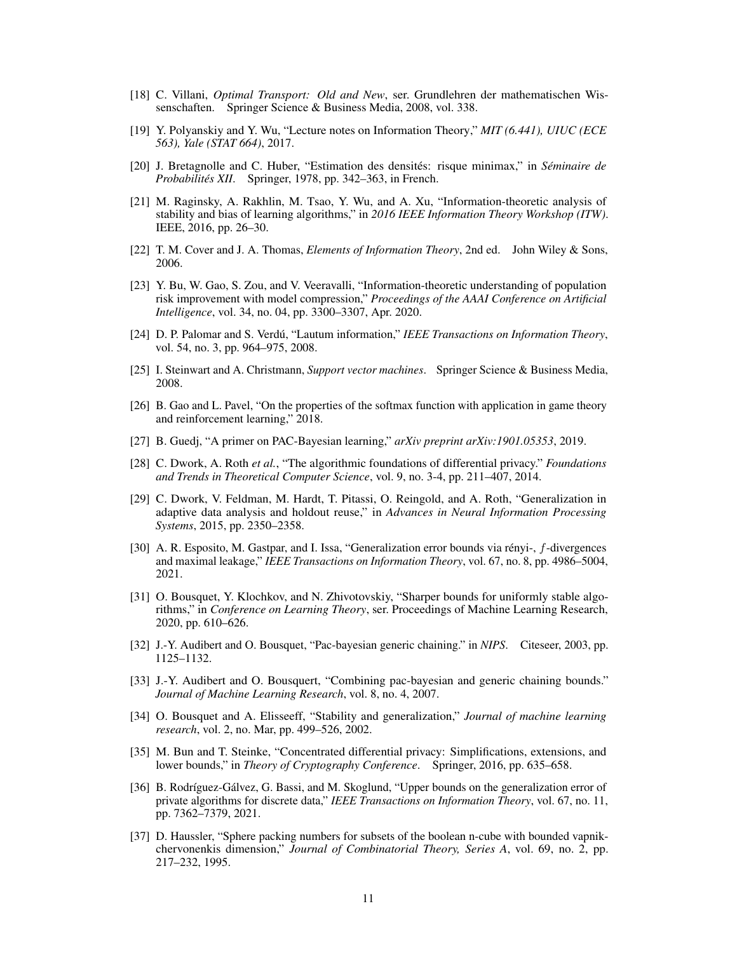- <span id="page-10-0"></span>[18] C. Villani, *Optimal Transport: Old and New*, ser. Grundlehren der mathematischen Wissenschaften. Springer Science & Business Media, 2008, vol. 338.
- <span id="page-10-1"></span>[19] Y. Polyanskiy and Y. Wu, "Lecture notes on Information Theory," *MIT (6.441), UIUC (ECE 563), Yale (STAT 664)*, 2017.
- <span id="page-10-2"></span>[20] J. Bretagnolle and C. Huber, "Estimation des densités: risque minimax," in *Séminaire de Probabilités XII*. Springer, 1978, pp. 342–363, in French.
- <span id="page-10-3"></span>[21] M. Raginsky, A. Rakhlin, M. Tsao, Y. Wu, and A. Xu, "Information-theoretic analysis of stability and bias of learning algorithms," in *2016 IEEE Information Theory Workshop (ITW)*. IEEE, 2016, pp. 26–30.
- <span id="page-10-4"></span>[22] T. M. Cover and J. A. Thomas, *Elements of Information Theory*, 2nd ed. John Wiley & Sons, 2006.
- <span id="page-10-5"></span>[23] Y. Bu, W. Gao, S. Zou, and V. Veeravalli, "Information-theoretic understanding of population risk improvement with model compression," *Proceedings of the AAAI Conference on Artificial Intelligence*, vol. 34, no. 04, pp. 3300–3307, Apr. 2020.
- <span id="page-10-6"></span>[24] D. P. Palomar and S. Verdú, "Lautum information," *IEEE Transactions on Information Theory*, vol. 54, no. 3, pp. 964–975, 2008.
- <span id="page-10-7"></span>[25] I. Steinwart and A. Christmann, *Support vector machines*. Springer Science & Business Media, 2008.
- <span id="page-10-8"></span>[26] B. Gao and L. Pavel, "On the properties of the softmax function with application in game theory and reinforcement learning," 2018.
- <span id="page-10-9"></span>[27] B. Guedj, "A primer on PAC-Bayesian learning," *arXiv preprint arXiv:1901.05353*, 2019.
- <span id="page-10-10"></span>[28] C. Dwork, A. Roth *et al.*, "The algorithmic foundations of differential privacy." *Foundations and Trends in Theoretical Computer Science*, vol. 9, no. 3-4, pp. 211–407, 2014.
- <span id="page-10-15"></span>[29] C. Dwork, V. Feldman, M. Hardt, T. Pitassi, O. Reingold, and A. Roth, "Generalization in adaptive data analysis and holdout reuse," in *Advances in Neural Information Processing Systems*, 2015, pp. 2350–2358.
- [30] A. R. Esposito, M. Gastpar, and I. Issa, "Generalization error bounds via rényi-, f-divergences and maximal leakage," *IEEE Transactions on Information Theory*, vol. 67, no. 8, pp. 4986–5004, 2021.
- <span id="page-10-11"></span>[31] O. Bousquet, Y. Klochkov, and N. Zhivotovskiy, "Sharper bounds for uniformly stable algorithms," in *Conference on Learning Theory*, ser. Proceedings of Machine Learning Research, 2020, pp. 610–626.
- <span id="page-10-12"></span>[32] J.-Y. Audibert and O. Bousquet, "Pac-bayesian generic chaining." in *NIPS*. Citeseer, 2003, pp. 1125–1132.
- <span id="page-10-13"></span>[33] J.-Y. Audibert and O. Bousquert, "Combining pac-bayesian and generic chaining bounds." *Journal of Machine Learning Research*, vol. 8, no. 4, 2007.
- <span id="page-10-14"></span>[34] O. Bousquet and A. Elisseeff, "Stability and generalization," *Journal of machine learning research*, vol. 2, no. Mar, pp. 499–526, 2002.
- <span id="page-10-16"></span>[35] M. Bun and T. Steinke, "Concentrated differential privacy: Simplifications, extensions, and lower bounds," in *Theory of Cryptography Conference*. Springer, 2016, pp. 635–658.
- <span id="page-10-17"></span>[36] B. Rodríguez-Gálvez, G. Bassi, and M. Skoglund, "Upper bounds on the generalization error of private algorithms for discrete data," *IEEE Transactions on Information Theory*, vol. 67, no. 11, pp. 7362–7379, 2021.
- <span id="page-10-18"></span>[37] D. Haussler, "Sphere packing numbers for subsets of the boolean n-cube with bounded vapnikchervonenkis dimension," *Journal of Combinatorial Theory, Series A*, vol. 69, no. 2, pp. 217–232, 1995.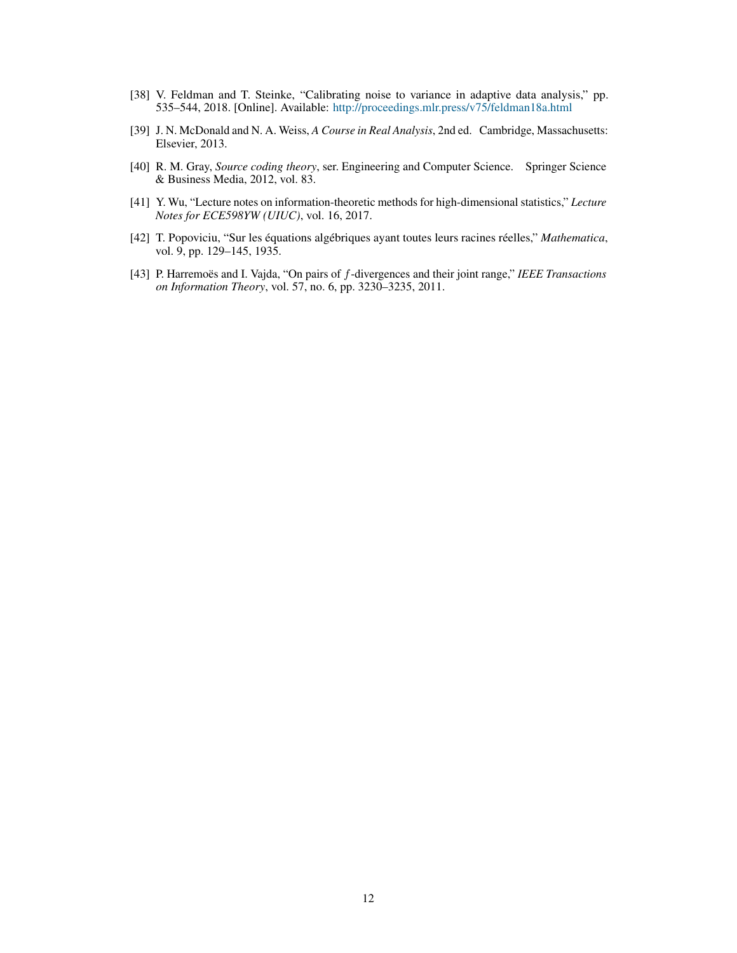- <span id="page-11-0"></span>[38] V. Feldman and T. Steinke, "Calibrating noise to variance in adaptive data analysis," pp. 535–544, 2018. [Online]. Available: <http://proceedings.mlr.press/v75/feldman18a.html>
- <span id="page-11-1"></span>[39] J. N. McDonald and N. A. Weiss, *A Course in Real Analysis*, 2nd ed. Cambridge, Massachusetts: Elsevier, 2013.
- <span id="page-11-2"></span>[40] R. M. Gray, *Source coding theory*, ser. Engineering and Computer Science. Springer Science & Business Media, 2012, vol. 83.
- <span id="page-11-3"></span>[41] Y. Wu, "Lecture notes on information-theoretic methods for high-dimensional statistics," *Lecture Notes for ECE598YW (UIUC)*, vol. 16, 2017.
- <span id="page-11-4"></span>[42] T. Popoviciu, "Sur les équations algébriques ayant toutes leurs racines réelles," *Mathematica*, vol. 9, pp. 129–145, 1935.
- <span id="page-11-5"></span>[43] P. Harremoës and I. Vajda, "On pairs of f-divergences and their joint range," *IEEE Transactions on Information Theory*, vol. 57, no. 6, pp. 3230–3235, 2011.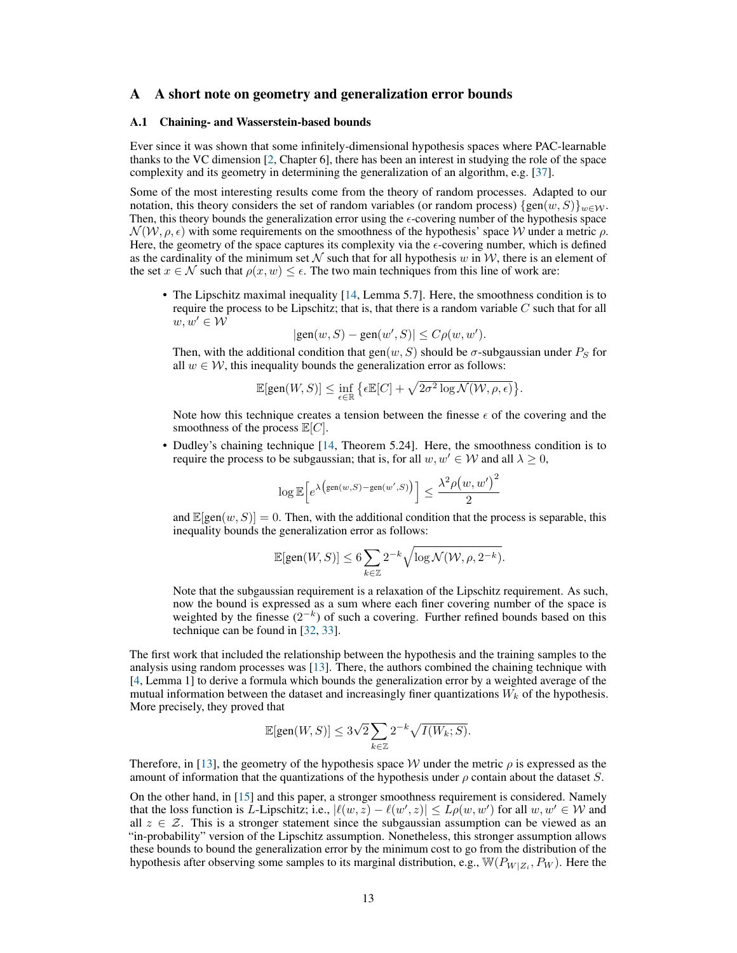## <span id="page-12-0"></span>A A short note on geometry and generalization error bounds

# A.1 Chaining- and Wasserstein-based bounds

Ever since it was shown that some infinitely-dimensional hypothesis spaces where PAC-learnable thanks to the VC dimension [\[2,](#page-9-1) Chapter 6], there has been an interest in studying the role of the space complexity and its geometry in determining the generalization of an algorithm, e.g. [\[37\]](#page-10-18).

Some of the most interesting results come from the theory of random processes. Adapted to our notation, this theory considers the set of random variables (or random process)  $\{gen(w, S)\}_{w\in\mathcal{W}}$ . Then, this theory bounds the generalization error using the  $\epsilon$ -covering number of the hypothesis space  $\mathcal{N}(\mathcal{W}, \rho, \epsilon)$  with some requirements on the smoothness of the hypothesis' space W under a metric  $\rho$ . Here, the geometry of the space captures its complexity via the  $\epsilon$ -covering number, which is defined as the cardinality of the minimum set  $N$  such that for all hypothesis w in W, there is an element of the set  $x \in \mathcal{N}$  such that  $\rho(x, w) \leq \epsilon$ . The two main techniques from this line of work are:

• The Lipschitz maximal inequality [\[14,](#page-9-13) Lemma 5.7]. Here, the smoothness condition is to require the process to be Lipschitz; that is, that there is a random variable  $C$  such that for all  $w, w' \in \mathcal{W}$ 

$$
|\text{gen}(w, S) - \text{gen}(w', S)| \le C\rho(w, w').
$$

Then, with the additional condition that  $gen(w, S)$  should be  $\sigma$ -subgaussian under  $P_S$  for all  $w \in \mathcal{W}$ , this inequality bounds the generalization error as follows:

$$
\mathbb{E}[\text{gen}(W,S)] \leq \inf_{\epsilon \in \mathbb{R}} \big\{ \epsilon \mathbb{E}[C] + \sqrt{2\sigma^2 \log \mathcal{N}(\mathcal{W}, \rho, \epsilon)} \big\}.
$$

Note how this technique creates a tension between the finesse  $\epsilon$  of the covering and the smoothness of the process  $\mathbb{E}[C]$ .

• Dudley's chaining technique [\[14,](#page-9-13) Theorem 5.24]. Here, the smoothness condition is to require the process to be subgaussian; that is, for all  $w, w' \in W$  and all  $\lambda \geq 0$ ,

$$
\log \mathbb{E}\Big[e^{\lambda\big(\text{gen}(w,S)-\text{gen}(w',S)\big)}\Big]\leq \frac{\lambda^2\rho\big(w,w'\big)^2}{2}
$$

and  $\mathbb{E}[\text{gen}(w, S)] = 0$ . Then, with the additional condition that the process is separable, this inequality bounds the generalization error as follows:

$$
\mathbb{E}[\text{gen}(W,S)] \leq 6 \sum_{k \in \mathbb{Z}} 2^{-k} \sqrt{\log \mathcal{N}(\mathcal{W}, \rho, 2^{-k})}.
$$

Note that the subgaussian requirement is a relaxation of the Lipschitz requirement. As such, now the bound is expressed as a sum where each finer covering number of the space is weighted by the finesse  $(2^{-k})$  of such a covering. Further refined bounds based on this technique can be found in [\[32,](#page-10-12) [33\]](#page-10-13).

The first work that included the relationship between the hypothesis and the training samples to the analysis using random processes was [\[13\]](#page-9-12). There, the authors combined the chaining technique with [\[4,](#page-9-3) Lemma 1] to derive a formula which bounds the generalization error by a weighted average of the mutual information between the dataset and increasingly finer quantizations  $W_k$  of the hypothesis. More precisely, they proved that

$$
\mathbb{E}[\text{gen}(W,S)] \leq 3\sqrt{2} \sum_{k \in \mathbb{Z}} 2^{-k} \sqrt{I(W_k;S)}.
$$

Therefore, in [\[13\]](#page-9-12), the geometry of the hypothesis space W under the metric  $\rho$  is expressed as the amount of information that the quantizations of the hypothesis under  $\rho$  contain about the dataset S.

On the other hand, in [\[15\]](#page-9-14) and this paper, a stronger smoothness requirement is considered. Namely that the loss function is L-Lipschitz; i.e.,  $|\ell(w, z) - \ell(w', z)| \le L\rho(w, w')$  for all  $w, w' \in W$  and all  $z \in \mathcal{Z}$ . This is a stronger statement since the subgaussian assumption can be viewed as an "in-probability" version of the Lipschitz assumption. Nonetheless, this stronger assumption allows these bounds to bound the generalization error by the minimum cost to go from the distribution of the hypothesis after observing some samples to its marginal distribution, e.g.,  $\mathbb{W}(P_{W|Z_i}, P_W)$ . Here the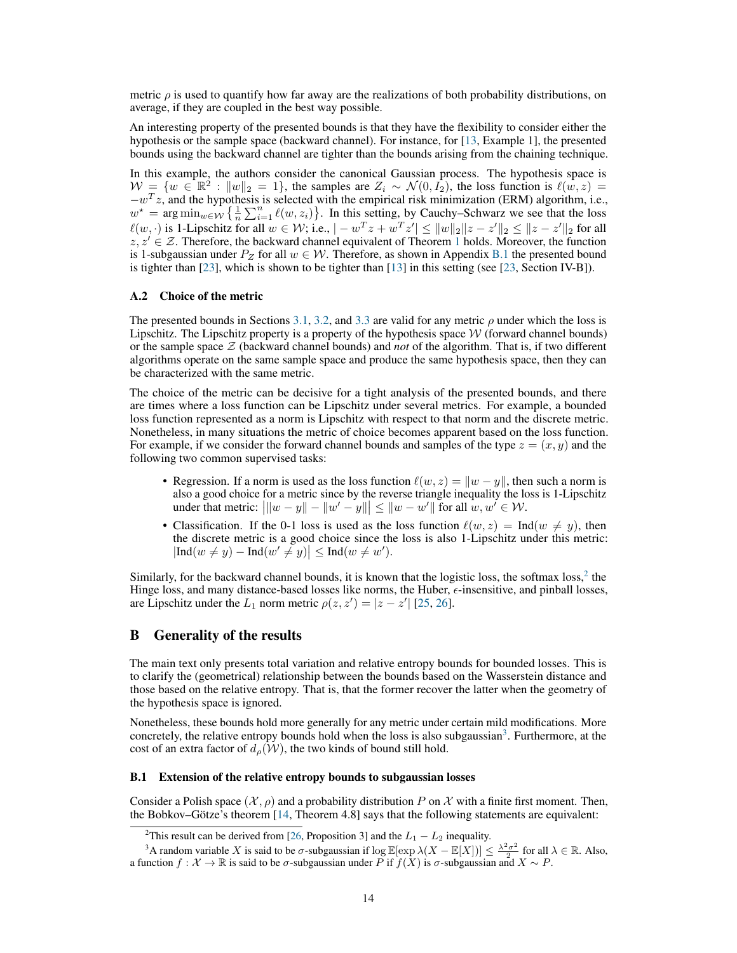metric  $\rho$  is used to quantify how far away are the realizations of both probability distributions, on average, if they are coupled in the best way possible.

An interesting property of the presented bounds is that they have the flexibility to consider either the hypothesis or the sample space (backward channel). For instance, for [\[13,](#page-9-12) Example 1], the presented bounds using the backward channel are tighter than the bounds arising from the chaining technique.

In this example, the authors consider the canonical Gaussian process. The hypothesis space is  $W = \{w \in \mathbb{R}^2 : ||w||_2 = 1\}$ , the samples are  $Z_i \sim \mathcal{N}(0, I_2)$ , the loss function is  $\ell(w, z) =$  $-w^T z$ , and the hypothesis is selected with the empirical risk minimization (ERM) algorithm, i.e.,  $w^* = \arg\min_{w \in \mathcal{W}} \left\{ \frac{1}{n} \sum_{i=1}^n \ell(w, z_i) \right\}$ . In this setting, by Cauchy–Schwarz we see that the loss  $\ell(w, \cdot)$  is 1-Lipschitz for all  $w \in \mathcal{W}$ ; i.e.,  $|-w^T z + w^T z'| \le ||w||_2 ||z - z'||_2 \le ||z - z'||_2$  for all  $z, z' \in \mathcal{Z}$ . Therefore, the backward channel equivalent of Theorem [1](#page-3-0) holds. Moreover, the function is 1-subgaussian under  $P_Z$  for all  $w \in \mathcal{W}$ . Therefore, as shown in Appendix [B.1](#page-13-1) the presented bound is tighter than [\[23\]](#page-10-5), which is shown to be tighter than [\[13\]](#page-9-12) in this setting (see [\[23,](#page-10-5) Section IV-B]).

# A.2 Choice of the metric

The presented bounds in Sections [3.1,](#page-3-2) [3.2,](#page-5-1) and [3.3](#page-7-0) are valid for any metric  $\rho$  under which the loss is Lipschitz. The Lipschitz property is a property of the hypothesis space  $W$  (forward channel bounds) or the sample space Z (backward channel bounds) and *not* of the algorithm. That is, if two different algorithms operate on the same sample space and produce the same hypothesis space, then they can be characterized with the same metric.

The choice of the metric can be decisive for a tight analysis of the presented bounds, and there are times where a loss function can be Lipschitz under several metrics. For example, a bounded loss function represented as a norm is Lipschitz with respect to that norm and the discrete metric. Nonetheless, in many situations the metric of choice becomes apparent based on the loss function. For example, if we consider the forward channel bounds and samples of the type  $z = (x, y)$  and the following two common supervised tasks:

- Regression. If a norm is used as the loss function  $\ell(w, z) = ||w y||$ , then such a norm is also a good choice for a metric since by the reverse triangle inequality the loss is 1-Lipschitz under that metric:  $||w - y|| - ||w' - y|| \le ||w - w'||$  for all  $w, w' \in W$ .
- Classification. If the 0-1 loss is used as the loss function  $\ell(w, z) = \text{Ind}(w \neq y)$ , then the discrete metric is a good choice since the loss is also 1-Lipschitz under this metric:  $|\text{Ind}(w \neq y) - \text{Ind}(w' \neq y)| \leq \text{Ind}(w \neq w').$

Similarly, for the backward channel bounds, it is known that the logistic loss, the softmax loss, $2$  the Hinge loss, and many distance-based losses like norms, the Huber,  $\epsilon$ -insensitive, and pinball losses, are Lipschitz under the  $L_1$  norm metric  $\rho(z, z') = |z - z'|$  [\[25,](#page-10-7) [26\]](#page-10-8).

## <span id="page-13-0"></span>B Generality of the results

The main text only presents total variation and relative entropy bounds for bounded losses. This is to clarify the (geometrical) relationship between the bounds based on the Wasserstein distance and those based on the relative entropy. That is, that the former recover the latter when the geometry of the hypothesis space is ignored.

Nonetheless, these bounds hold more generally for any metric under certain mild modifications. More concretely, the relative entropy bounds hold when the loss is also subgaussian<sup>[3](#page-13-3)</sup>. Furthermore, at the cost of an extra factor of  $d_{\rho}(\mathcal{W})$ , the two kinds of bound still hold.

#### <span id="page-13-1"></span>B.1 Extension of the relative entropy bounds to subgaussian losses

Consider a Polish space  $(\mathcal{X}, \rho)$  and a probability distribution P on X with a finite first moment. Then, the Bobkov–Götze's theorem [\[14,](#page-9-13) Theorem 4.8] says that the following statements are equivalent:

<span id="page-13-3"></span><span id="page-13-2"></span><sup>&</sup>lt;sup>2</sup>This result can be derived from [\[26,](#page-10-8) Proposition 3] and the  $L_1 - L_2$  inequality.

<sup>&</sup>lt;sup>3</sup>A random variable X is said to be  $\sigma$ -subgaussian if  $\log \mathbb{E}[\exp \lambda(X - \mathbb{E}[X])] \leq \frac{\lambda^2 \sigma^2}{2}$  for all  $\lambda \in \mathbb{R}$ . Also, a function  $f: \mathcal{X} \to \mathbb{R}$  is said to be  $\sigma$ -subgaussian under P if  $f(X)$  is  $\sigma$ -subgaussian and  $X \sim P$ .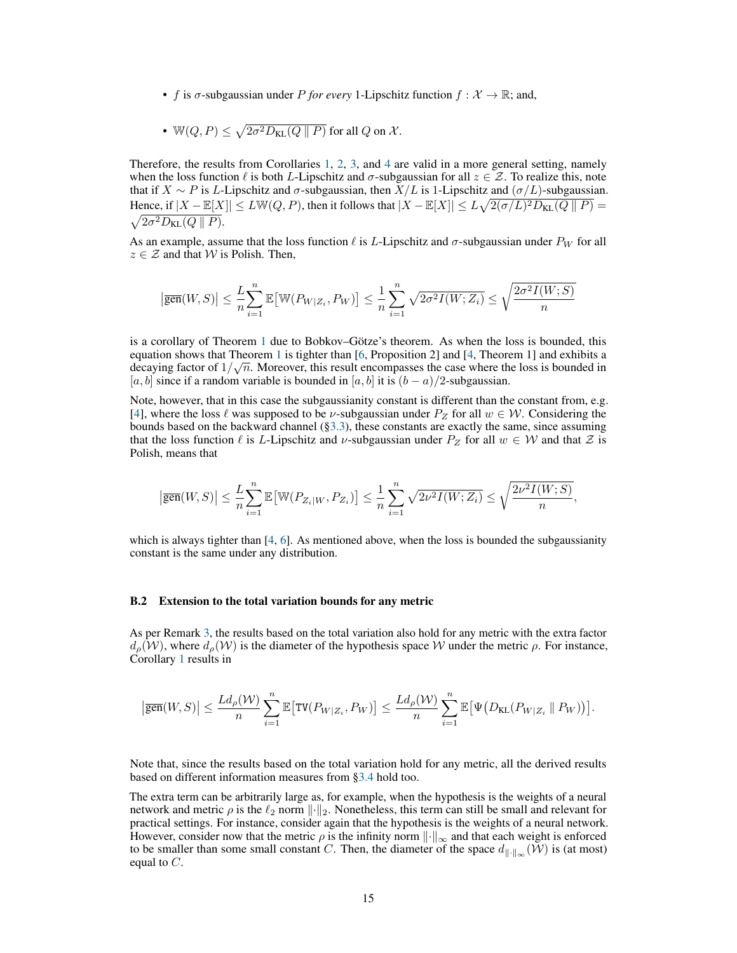• f is  $\sigma$ -subgaussian under P for every 1-Lipschitz function  $f: \mathcal{X} \to \mathbb{R}$ ; and,

• 
$$
\mathbb{W}(Q,P) \leq \sqrt{2\sigma^2 D_{\text{KL}}(Q \parallel P)}
$$
 for all  $Q$  on  $\mathcal{X}.$ 

Therefore, the results from Corollaries [1,](#page-3-1) [2,](#page-4-1) [3,](#page-6-1) and [4](#page-6-2) are valid in a more general setting, namely when the loss function  $\ell$  is both L-Lipschitz and  $\sigma$ -subgaussian for all  $z \in \mathcal{Z}$ . To realize this, note that if  $X \sim P$  is L-Lipschitz and  $\sigma$ -subgaussian, then  $X/L$  is 1-Lipschitz and  $(\sigma/L)$ -subgaussian. Hence, if  $|X - \mathbb{E}[X]| \le L \mathbb{W}(Q, P)$ , then it follows that  $|X - \mathbb{E}[X]| \le L \sqrt{2(\sigma/L)^2 D_{KL}(Q||P)} =$  $\sqrt{2\sigma^2 D_{\text{KL}}(Q \parallel P)}$ .

As an example, assume that the loss function  $\ell$  is L-Lipschitz and  $\sigma$ -subgaussian under  $P_W$  for all  $z \in \mathcal{Z}$  and that W is Polish. Then,

$$
\left|\overline{\text{gen}}(W,S)\right| \leq \frac{L}{n}\sum_{i=1}^{n}\mathbb{E}\left[\mathbb{W}(P_{W|Z_i}, P_W)\right] \leq \frac{1}{n}\sum_{i=1}^{n} \sqrt{2\sigma^2 I(W;Z_i)} \leq \sqrt{\frac{2\sigma^2 I(W;S)}{n}}
$$

is a corollary of Theorem [1](#page-3-0) due to Bobkov–Götze's theorem. As when the loss is bounded, this equation shows that Theorem [1](#page-3-0) is tighter than [\[6,](#page-9-5) Proposition 2] and [\[4,](#page-9-3) Theorem 1] and exhibits a decaying factor of  $1/\sqrt{n}$ . Moreover, this result encompasses the case where the loss is bounded in [a, b] since if a random variable is bounded in [a, b] it is  $(b - a)/2$ -subgaussian.

Note, however, that in this case the subgaussianity constant is different than the constant from, e.g. [\[4\]](#page-9-3), where the loss  $\ell$  was supposed to be  $\nu$ -subgaussian under  $P_Z$  for all  $w \in \mathcal{W}$ . Considering the bounds based on the backward channel ([§3.3\)](#page-7-0), these constants are exactly the same, since assuming that the loss function  $\ell$  is L-Lipschitz and  $\nu$ -subgaussian under  $P_Z$  for all  $w \in W$  and that  $\mathcal Z$  is Polish, means that

$$
\left|\overline{\text{gen}}(W,S)\right|\leq\frac{L}{n}\sum_{i=1}^n\mathbb{E}\big[\mathbb{W}(P_{Z_i|W},P_{Z_i})\big]\leq\frac{1}{n}\sum_{i=1}^n\sqrt{2\nu^2I(W;Z_i)}\leq\sqrt{\frac{2\nu^2I(W;S)}{n}},
$$

which is always tighter than  $[4, 6]$  $[4, 6]$  $[4, 6]$ . As mentioned above, when the loss is bounded the subgaussianity constant is the same under any distribution.

## B.2 Extension to the total variation bounds for any metric

As per Remark [3,](#page-2-1) the results based on the total variation also hold for any metric with the extra factor  $d_{\rho}(W)$ , where  $d_{\rho}(W)$  is the diameter of the hypothesis space W under the metric  $\rho$ . For instance, Corollary [1](#page-3-1) results in

$$
\big|\overline{\text{gen}}(W,S)\big|\leq \frac{Ld_\rho(\mathcal{W})}{n}\sum_{i=1}^n\mathbb{E}\big[\text{TV}(P_{W|Z_i},P_W)\big]\leq \frac{Ld_\rho(\mathcal{W})}{n}\sum_{i=1}^n\mathbb{E}\big[\Psi\big(D_{\text{KL}}(P_{W|Z_i}\ \|\ P_W)\big)\big].
$$

Note that, since the results based on the total variation hold for any metric, all the derived results based on different information measures from [§3.4](#page-7-1) hold too.

The extra term can be arbitrarily large as, for example, when the hypothesis is the weights of a neural network and metric  $\rho$  is the  $\ell_2$  norm  $\lVert \cdot \rVert_2$ . Nonetheless, this term can still be small and relevant for practical settings. For instance, consider again that the hypothesis is the weights of a neural network. However, consider now that the metric  $\rho$  is the infinity norm  $\|\cdot\|_{\infty}$  and that each weight is enforced to be smaller than some small constant C. Then, the diameter of the space  $d_{\|\cdot\|_{\infty}}(\mathcal{W})$  is (at most) equal to  $C$ .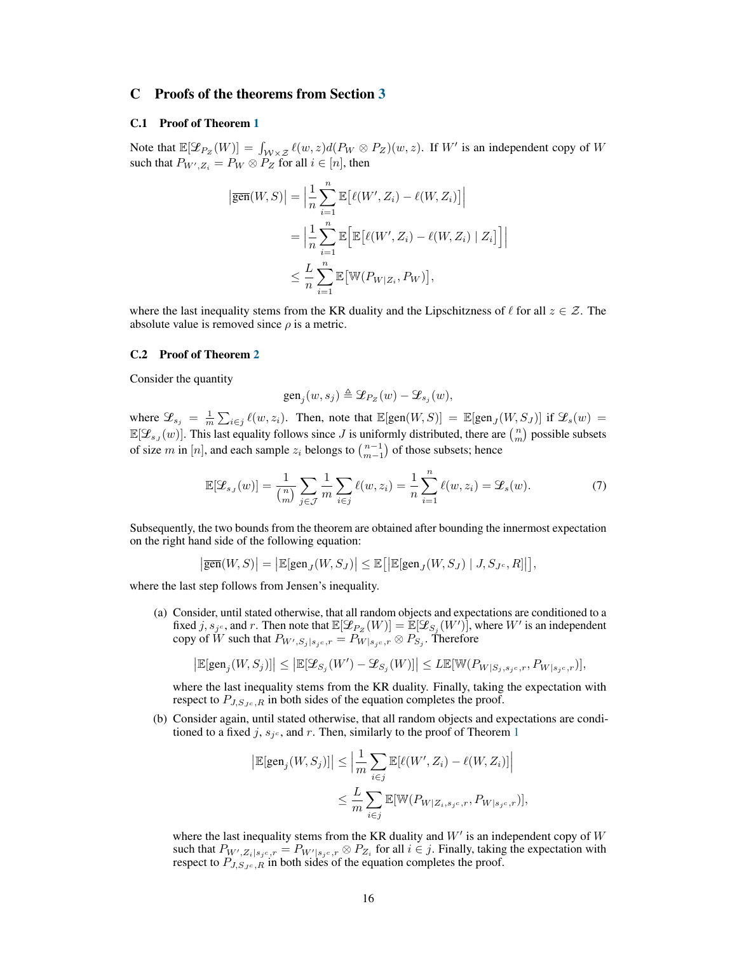# C Proofs of the theorems from Section [3](#page-3-5)

## C.1 Proof of Theorem [1](#page-3-0)

Note that  $\mathbb{E}[\mathcal{L}_{P_Z}(W)] = \int_{\mathcal{W}\times\mathcal{Z}} \ell(w, z) d(P_W \otimes P_Z)(w, z)$ . If W' is an independent copy of W such that  $P_{W',Z_i} = P_W \otimes P_Z$  for all  $i \in [n]$ , then

$$
\begin{aligned} \left| \overline{\text{gen}}(W, S) \right| &= \Big| \frac{1}{n} \sum_{i=1}^n \mathbb{E} \big[ \ell(W', Z_i) - \ell(W, Z_i) \big] \Big| \\ &= \Big| \frac{1}{n} \sum_{i=1}^n \mathbb{E} \Big[ \mathbb{E} \big[ \ell(W', Z_i) - \ell(W, Z_i) \mid Z_i \big] \Big] \Big| \\ &\leq \frac{L}{n} \sum_{i=1}^n \mathbb{E} \big[ \mathbb{W} (P_{W|Z_i}, P_W) \big], \end{aligned}
$$

where the last inequality stems from the KR duality and the Lipschitzness of  $\ell$  for all  $z \in \mathcal{Z}$ . The absolute value is removed since  $\rho$  is a metric.

#### C.2 Proof of Theorem [2](#page-4-0)

Consider the quantity

<span id="page-15-0"></span>
$$
\text{gen}_j(w,s_j) \triangleq \mathcal{L}_{P_Z}(w) - \mathcal{L}_{s_j}(w),
$$

where  $\mathcal{L}_{s_j} = \frac{1}{m} \sum_{i \in j} \ell(w, z_i)$ . Then, note that  $\mathbb{E}[\text{gen}(W, S)] = \mathbb{E}[\text{gen}_J(W, S_J)]$  if  $\mathcal{L}_s(w) =$  $\mathbb{E}[\mathcal{L}_{s,j}(w)]$ . This last equality follows since J is uniformly distributed, there are  $\binom{n}{m}$  possible subsets of size m in [n], and each sample  $z_i$  belongs to  $\binom{n-1}{m-1}$  of those subsets; hence

$$
\mathbb{E}[\mathcal{L}_{s,j}(w)] = \frac{1}{\binom{n}{m}} \sum_{j \in \mathcal{J}} \frac{1}{m} \sum_{i \in j} \ell(w, z_i) = \frac{1}{n} \sum_{i=1}^n \ell(w, z_i) = \mathcal{L}_s(w). \tag{7}
$$

Subsequently, the two bounds from the theorem are obtained after bounding the innermost expectation on the right hand side of the following equation:

$$
\left|\overline{\text{gen}}(W,S)\right|=\left|\mathbb{E}[\text{gen}_{J}(W,S_{J})\right|\leq \mathbb{E}\!\left[\left|\mathbb{E}[\text{gen}_{J}(W,S_{J})\mid J,S_{J^{c}},R]\right|\right],
$$

where the last step follows from Jensen's inequality.

(a) Consider, until stated otherwise, that all random objects and expectations are conditioned to a fixed j,  $s_j$ . and r. Then note that  $\mathbb{E}[\mathcal{L}_{P_Z}(W)] = \mathbb{E}[\mathcal{L}_{S_j}(W')]$ , where  $W'$  is an independent copy of  $W$  such that  $P_{W',S_j | s_jc,r} = P_{W|s_jc,r} \otimes P_{S_j}.$  Therefore

$$
\big|\mathbb{E}[\text{gen}_j(W,S_j)]\big| \leq \big|\mathbb{E}[\mathcal{Z}_{S_j}(W')-\mathcal{Z}_{S_j}(W)]\big| \leq L \mathbb{E}[\mathbb{W}(P_{W|S_j,s_jc,r},P_{W|s_jc,r})],
$$

where the last inequality stems from the KR duality. Finally, taking the expectation with respect to  $P_{J,S_Jc,R}$  in both sides of the equation completes the proof.

(b) Consider again, until stated otherwise, that all random objects and expectations are conditioned to a fixed j,  $s_{j^c}$ , and r. Then, similarly to the proof of Theorem [1](#page-3-0)

$$
\begin{aligned} \left| \mathbb{E}[\text{gen}_j(W, S_j)] \right| &\leq \Big| \frac{1}{m} \sum_{i \in j} \mathbb{E}[\ell(W', Z_i) - \ell(W, Z_i)] \Big| \\ &\leq \frac{L}{m} \sum_{i \in j} \mathbb{E}[\mathbb{W}(P_{W|Z_i, s_j c, r}, P_{W|s_j c, r})], \end{aligned}
$$

where the last inequality stems from the KR duality and  $W'$  is an independent copy of  $W$ such that  $P_{W',Z_i|s_jc,r} = P_{W'|s_jc,r} \otimes P_{Z_i}$  for all  $i \in j$ . Finally, taking the expectation with respect to  $P_{J,S_Jc,R}$  in both sides of the equation completes the proof.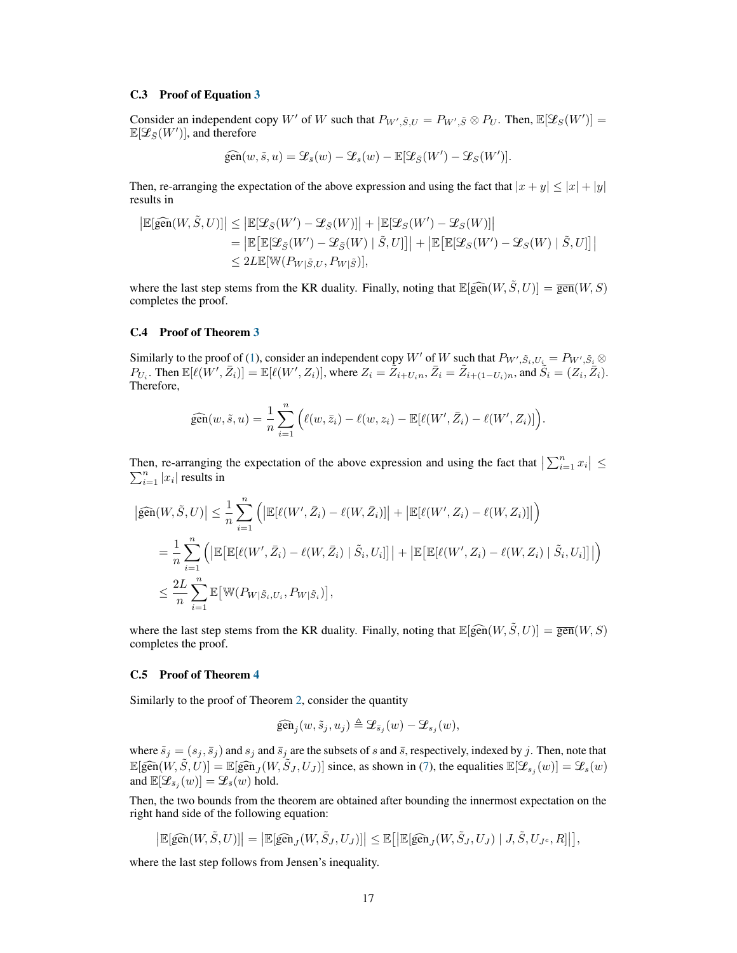## C.3 Proof of Equation [3](#page-5-3)

Consider an independent copy W' of W such that  $P_{W', \tilde{S}, U} = P_{W', \tilde{S}} \otimes P_{U}$ . Then,  $\mathbb{E}[\mathcal{L}_{S}(W')] =$  $\mathbb{E}[\mathscr{L}_{\bar{S}}(W')],$  and therefore

$$
\widehat{\text{gen}}(w,\tilde{s},u) = \mathcal{L}_{\tilde{s}}(w) - \mathcal{L}_{s}(w) - \mathbb{E}[\mathcal{L}_{\tilde{S}}(W') - \mathcal{L}_{S}(W')].
$$

Then, re-arranging the expectation of the above expression and using the fact that  $|x + y| \le |x| + |y|$ results in

$$
\begin{aligned} \left| \mathbb{E}[\widehat{\text{gen}}(W,\tilde{S},U)] \right| &\leq \left| \mathbb{E}[\mathcal{L}_{\bar{S}}(W')-\mathcal{L}_{\bar{S}}(W)] \right| + \left| \mathbb{E}[\mathcal{L}_{S}(W')-\mathcal{L}_{S}(W)] \right| \\ &= \left| \mathbb{E}\big[ \mathbb{E}[\mathcal{L}_{\bar{S}}(W')-\mathcal{L}_{\bar{S}}(W) \mid \tilde{S},U] \big] \right| + \left| \mathbb{E}\big[ \mathbb{E}[\mathcal{L}_{S}(W')-\mathcal{L}_{S}(W) \mid \tilde{S},U] \big] \right| \\ &\leq 2 L \mathbb{E}[\mathbb{W}(P_{W|\tilde{S},U},P_{W|\tilde{S}})], \end{aligned}
$$

where the last step stems from the KR duality. Finally, noting that  $\mathbb{E}[\widehat{gen}(W, \tilde{S}, U)] = \overline{gen}(W, S)$ completes the proof.

#### C.4 Proof of Theorem [3](#page-5-0)

Similarly to the proof of [\(1\)](#page-3-4), consider an independent copy W' of W such that  $P_{W', \tilde{S}_i, U_i} = P_{W', \tilde{S}_i} \otimes$  $P_{U_i}$ . Then  $\mathbb{E}[\ell(W', \bar{Z}_i)] = \mathbb{E}[\ell(W', Z_i)],$  where  $Z_i = \tilde{Z}_{i+U_i n}, \bar{Z}_i = \tilde{Z}_{i+(1-U_i)n}$ , and  $\tilde{S}_i = (Z_i, \bar{Z}_i)$ . Therefore,

$$
\widehat{\text{gen}}(w,\tilde{s},u)=\frac{1}{n}\sum_{i=1}^n\Big(\ell(w,\bar{z}_i)-\ell(w,z_i)-\mathbb{E}[\ell(W',\bar{Z}_i)-\ell(W',Z_i)]\Big).
$$

Then, re-arranging the expectation of the above expression and using the fact that  $\left|\sum_{i=1}^{n} x_i\right| \leq$  $\sum_{i=1}^{n} |x_i|$  results in

$$
\begin{aligned} \left| \widehat{\text{gen}}(W,\tilde{S},U) \right| &\leq \frac{1}{n} \sum_{i=1}^{n} \left( \left| \mathbb{E}[\ell(W',\bar{Z}_i) - \ell(W,\bar{Z}_i)] \right| + \left| \mathbb{E}[\ell(W',Z_i) - \ell(W,Z_i)] \right| \right) \\ &= \frac{1}{n} \sum_{i=1}^{n} \left( \left| \mathbb{E}[\mathbb{E}[\ell(W',\bar{Z}_i) - \ell(W,\bar{Z}_i) \mid \tilde{S}_i, U_i]] \right| + \left| \mathbb{E}[\mathbb{E}[\ell(W',Z_i) - \ell(W,Z_i) \mid \tilde{S}_i, U_i]] \right| \right) \\ &\leq \frac{2L}{n} \sum_{i=1}^{n} \mathbb{E}[\mathbb{W}(P_{W|\tilde{S}_i,U_i}, P_{W|\tilde{S}_i})], \end{aligned}
$$

where the last step stems from the KR duality. Finally, noting that  $\mathbb{E}[\widehat{gen}(W, \tilde{S}, U)] = \overline{gen}(W, S)$ completes the proof.

## C.5 Proof of Theorem [4](#page-6-0)

Similarly to the proof of Theorem [2,](#page-4-0) consider the quantity

$$
\widehat{\text{gen}}_j(w,\tilde{s}_j,u_j)\triangleq \mathcal{L}_{\bar{s}_j}(w)-\mathcal{L}_{s_j}(w),
$$

where  $\tilde{s}_j = (s_j, \bar{s}_j)$  and  $s_j$  and  $\bar{s}_j$  are the subsets of s and  $\bar{s}$ , respectively, indexed by j. Then, note that  $\mathbb{E}[\widehat{gen}(W, \tilde{S}, U)] = \mathbb{E}[\widehat{gen}_J(W, \tilde{S}_J, U_J)]$  since, as shown in [\(7\)](#page-15-0), the equalities  $\mathbb{E}[\mathcal{L}_{s_j}(w)] = \mathcal{L}_{s}(w)$ and  $\mathbb{E}[\mathcal{L}_{\bar{s}_j}(w)] = \mathcal{L}_{\bar{s}}(w)$  hold.

Then, the two bounds from the theorem are obtained after bounding the innermost expectation on the right hand side of the following equation:

$$
\big|\mathbb{E}[\widehat{\text{gen}}(W,\tilde{S},U)]\big| = \big|\mathbb{E}[\widehat{\text{gen}}_J(W,\tilde{S}_J,U_J)]\big| \leq \mathbb{E}\big[\big|\mathbb{E}[\widehat{\text{gen}}_J(W,\tilde{S}_J,U_J) \mid J,\tilde{S},U_{J^c},R]\big|\big],
$$

where the last step follows from Jensen's inequality.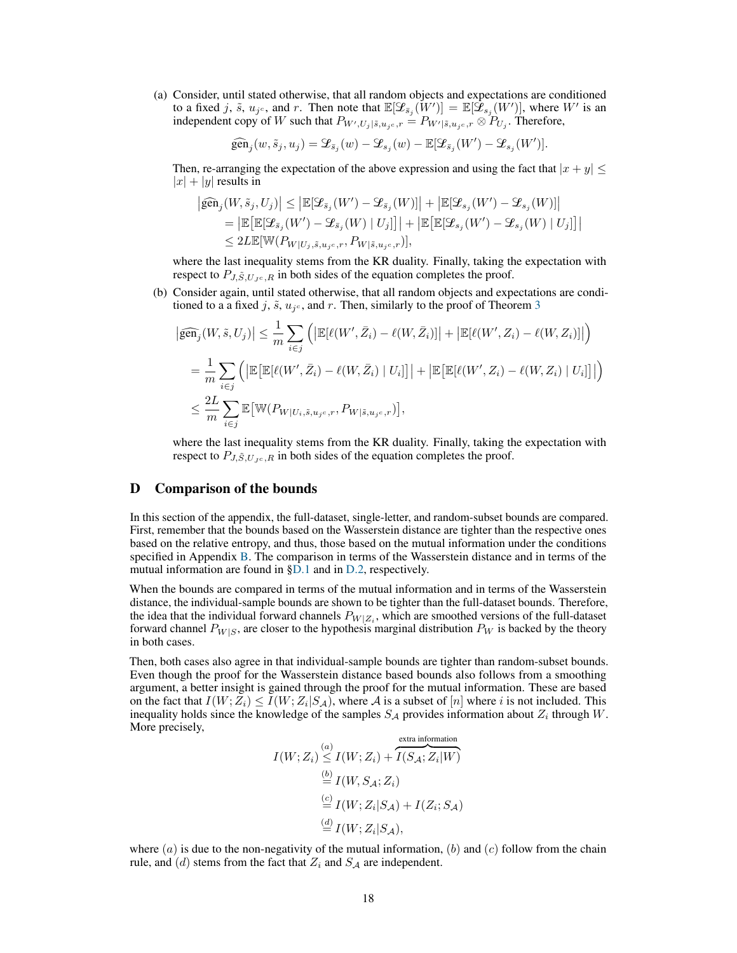(a) Consider, until stated otherwise, that all random objects and expectations are conditioned to a fixed j,  $\tilde{s}$ ,  $u_{j^c}$ , and r. Then note that  $\mathbb{E}[\mathcal{L}_{\bar{s}_j}(W')] = \mathbb{E}[\mathcal{L}_{s_j}(W')]$ , where  $W'$  is an independent copy of W such that  $P_{W',U_j|\tilde{s},u_{j^c},r} = P_{W'|\tilde{s},u_{j^c},r} \otimes P_{U_j}$ . Therefore,

$$
\widehat{\text{gen}}_j(w,\tilde{s}_j,u_j)=\mathcal{L}_{\bar{s}_j}(w)-\mathcal{L}_{s_j}(w)-\mathbb{E}[\mathcal{L}_{\bar{s}_j}(W')-\mathcal{L}_{s_j}(W')].
$$

Then, re-arranging the expectation of the above expression and using the fact that  $|x + y| \leq$  $|x| + |y|$  results in

$$
\begin{aligned} \left| \widehat{\text{gen}}_j(W,\tilde{s}_j,U_j) \right| &\leq \left| \mathbb{E}[\mathcal{L}_{\bar{s}_j}(W')-\mathcal{L}_{\bar{s}_j}(W)] \right| + \left| \mathbb{E}[\mathcal{L}_{s_j}(W')-\mathcal{L}_{s_j}(W)] \right| \\ & = \left| \mathbb{E}[\mathbb{E}[\mathcal{L}_{\bar{s}_j}(W')-\mathcal{L}_{\bar{s}_j}(W) \mid U_j]] \right| + \left| \mathbb{E}[\mathbb{E}[\mathcal{L}_{s_j}(W')-\mathcal{L}_{s_j}(W) \mid U_j]] \right| \\ & \leq 2 L \mathbb{E}[\mathbb{W}(P_{W|U_j,\tilde{s},u_{j^c},r},P_{W|\tilde{s},u_{j^c},r})], \end{aligned}
$$

where the last inequality stems from the KR duality. Finally, taking the expectation with respect to  $P_{J,\tilde{S},U_{Jc},R}$  in both sides of the equation completes the proof.

(b) Consider again, until stated otherwise, that all random objects and expectations are conditioned to a a fixed j,  $\tilde{s}$ ,  $u_{j}$ <sup>c</sup>, and r. Then, similarly to the proof of Theorem [3](#page-5-0)

$$
\begin{split}\n\left|\widehat{\text{gen}}_{j}(W,\tilde{s},U_{j})\right| &\leq \frac{1}{m} \sum_{i\in j} \left( \left|\mathbb{E}[\ell(W',\bar{Z}_{i})-\ell(W,\bar{Z}_{i})]\right| + \left|\mathbb{E}[\ell(W',Z_{i})-\ell(W,Z_{i})]\right|\right) \\
&= \frac{1}{m} \sum_{i\in j} \left( \left|\mathbb{E}\left[\mathbb{E}[\ell(W',\bar{Z}_{i})-\ell(W,\bar{Z}_{i})\mid U_{i}]\right]\right| + \left|\mathbb{E}\left[\mathbb{E}[\ell(W',Z_{i})-\ell(W,Z_{i})\mid U_{i}]\right]\right|\right) \\
&\leq \frac{2L}{m} \sum_{i\in j} \mathbb{E}\left[\mathbb{W}(P_{W|U_{i},\tilde{s},u_{j^c},r},P_{W|\tilde{s},u_{j^c},r})\right],\n\end{split}
$$

where the last inequality stems from the KR duality. Finally, taking the expectation with respect to  $P_{J, \tilde{S}, U_{Jc}, R}$  in both sides of the equation completes the proof.

## D Comparison of the bounds

In this section of the appendix, the full-dataset, single-letter, and random-subset bounds are compared. First, remember that the bounds based on the Wasserstein distance are tighter than the respective ones based on the relative entropy, and thus, those based on the mutual information under the conditions specified in Appendix [B.](#page-13-0) The comparison in terms of the Wasserstein distance and in terms of the mutual information are found in [§D.1](#page-18-0) and in [D.2,](#page-22-0) respectively.

When the bounds are compared in terms of the mutual information and in terms of the Wasserstein distance, the individual-sample bounds are shown to be tighter than the full-dataset bounds. Therefore, the idea that the individual forward channels  $P_{W|Z_i}$ , which are smoothed versions of the full-dataset forward channel  $P_{W|S}$ , are closer to the hypothesis marginal distribution  $P_W$  is backed by the theory in both cases.

Then, both cases also agree in that individual-sample bounds are tighter than random-subset bounds. Even though the proof for the Wasserstein distance based bounds also follows from a smoothing argument, a better insight is gained through the proof for the mutual information. These are based on the fact that  $I(W; Z_i) \leq I(W; Z_i | S_A)$ , where A is a subset of [n] where i is not included. This inequality holds since the knowledge of the samples  $S_A$  provides information about  $Z_i$  through  $W$ . More precisely,

$$
I(W; Z_i) \stackrel{(a)}{\leq} I(W; Z_i) + \overbrace{I(S_A; Z_i|W)}^{\text{extra information}}
$$
  
\n
$$
\stackrel{(b)}{=} I(W, S_A; Z_i)
$$
  
\n
$$
\stackrel{(c)}{=} I(W; Z_i|S_A) + I(Z_i; S_A)
$$
  
\n
$$
\stackrel{(d)}{=} I(W; Z_i|S_A),
$$

where  $(a)$  is due to the non-negativity of the mutual information,  $(b)$  and  $(c)$  follow from the chain rule, and  $(d)$  stems from the fact that  $Z_i$  and  $S_A$  are independent.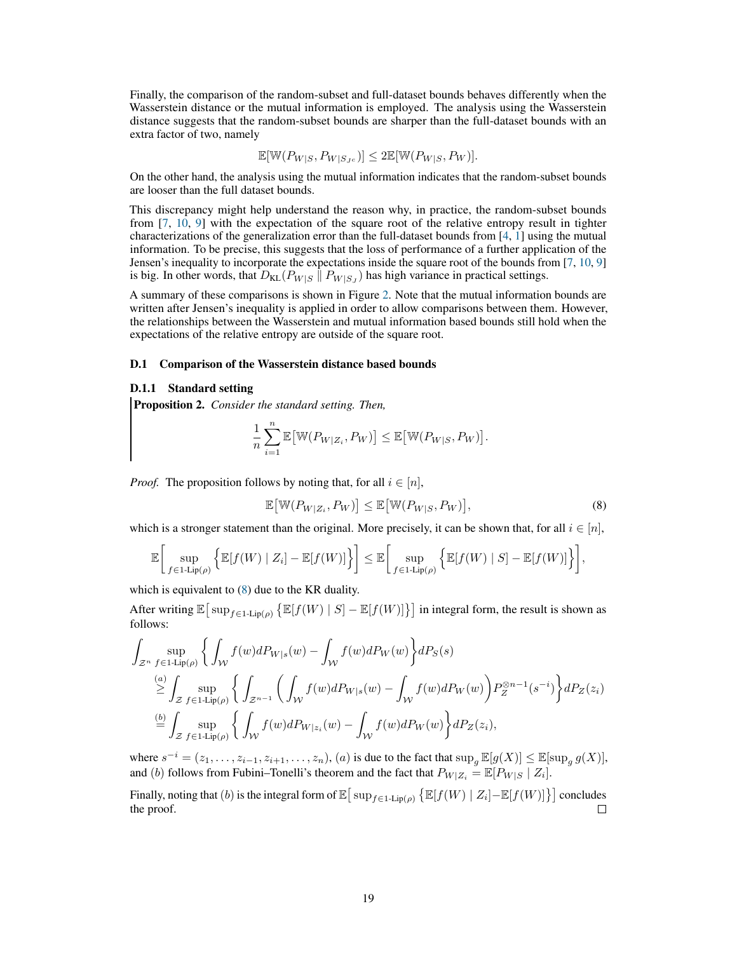Finally, the comparison of the random-subset and full-dataset bounds behaves differently when the Wasserstein distance or the mutual information is employed. The analysis using the Wasserstein distance suggests that the random-subset bounds are sharper than the full-dataset bounds with an extra factor of two, namely

$$
\mathbb{E}[\mathbb{W}(P_{W|S}, P_{W|S_{J^c}})] \le 2\mathbb{E}[\mathbb{W}(P_{W|S}, P_W)].
$$

On the other hand, the analysis using the mutual information indicates that the random-subset bounds are looser than the full dataset bounds.

This discrepancy might help understand the reason why, in practice, the random-subset bounds from [\[7,](#page-9-6) [10,](#page-9-8) [9\]](#page-9-7) with the expectation of the square root of the relative entropy result in tighter characterizations of the generalization error than the full-dataset bounds from [\[4,](#page-9-3) [1\]](#page-9-0) using the mutual information. To be precise, this suggests that the loss of performance of a further application of the Jensen's inequality to incorporate the expectations inside the square root of the bounds from [\[7,](#page-9-6) [10,](#page-9-8) [9\]](#page-9-7) is big. In other words, that  $D_{KL}(P_{W|S} || P_{W|S_J})$  has high variance in practical settings.

A summary of these comparisons is shown in Figure [2.](#page-19-0) Note that the mutual information bounds are written after Jensen's inequality is applied in order to allow comparisons between them. However, the relationships between the Wasserstein and mutual information based bounds still hold when the expectations of the relative entropy are outside of the square root.

## <span id="page-18-0"></span>D.1 Comparison of the Wasserstein distance based bounds

## D.1.1 Standard setting

<span id="page-18-2"></span>Proposition 2. *Consider the standard setting. Then,*

$$
\frac{1}{n}\sum_{i=1}^n \mathbb{E}\big[\mathbb{W}(P_{W|Z_i}, P_W)\big] \le \mathbb{E}\big[\mathbb{W}(P_{W|S}, P_W)\big].
$$

*Proof.* The proposition follows by noting that, for all  $i \in [n]$ ,

<span id="page-18-1"></span>
$$
\mathbb{E}\big[\mathbb{W}(P_{W|Z_i}, P_W)\big] \le \mathbb{E}\big[\mathbb{W}(P_{W|S}, P_W)\big],\tag{8}
$$

which is a stronger statement than the original. More precisely, it can be shown that, for all  $i \in [n]$ ,

$$
\mathbb{E}\bigg[\sup_{f\in 1\text{-Lip}(\rho)}\Big\{\mathbb{E}[f(W)\mid Z_i] - \mathbb{E}[f(W)]\Big\}\bigg] \leq \mathbb{E}\bigg[\sup_{f\in 1\text{-Lip}(\rho)}\Big\{\mathbb{E}[f(W)\mid S] - \mathbb{E}[f(W)]\Big\}\bigg],
$$

which is equivalent to [\(8\)](#page-18-1) due to the KR duality.

After writing  $\mathbb{E}[\sup_{f \in 1 \text{-} \text{Lip}(\rho)} \{\mathbb{E}[f(W) \mid S] - \mathbb{E}[f(W)]\}]$  in integral form, the result is shown as follows:

$$
\int_{\mathcal{Z}^n} \sup_{f \in 1 \text{-Lip}(\rho)} \left\{ \int_{\mathcal{W}} f(w) dP_{W|s}(w) - \int_{\mathcal{W}} f(w) dP_{W}(w) \right\} dP_{S}(s)
$$
\n
$$
\stackrel{(a)}{\geq} \int_{\mathcal{Z}} \sup_{f \in 1 \text{-Lip}(\rho)} \left\{ \int_{\mathcal{Z}^{n-1}} \left( \int_{\mathcal{W}} f(w) dP_{W|s}(w) - \int_{\mathcal{W}} f(w) dP_{W}(w) \right) P_{Z}^{\otimes n-1}(s^{-i}) \right\} dP_{Z}(z_{i})
$$
\n
$$
\stackrel{(b)}{=} \int_{\mathcal{Z}} \sup_{f \in 1 \text{-Lip}(\rho)} \left\{ \int_{\mathcal{W}} f(w) dP_{W|z_{i}}(w) - \int_{\mathcal{W}} f(w) dP_{W}(w) \right\} dP_{Z}(z_{i}),
$$

where  $s^{-i} = (z_1, \ldots, z_{i-1}, z_{i+1}, \ldots, z_n)$ ,  $(a)$  is due to the fact that  $\sup_g \mathbb{E}[g(X)] \leq \mathbb{E}[\sup_g g(X)],$ and (b) follows from Fubini–Tonelli's theorem and the fact that  $P_{W|Z_i} = \mathbb{E}[P_{W|S} | Z_i].$ 

Finally, noting that (b) is the integral form of  $\mathbb{E}[\sup_{f \in 1 \text{-Lip}(\rho)} \left\{ \mathbb{E}[f(W) | Z_i] - \mathbb{E}[f(W)] \right\}]$  concludes the proof.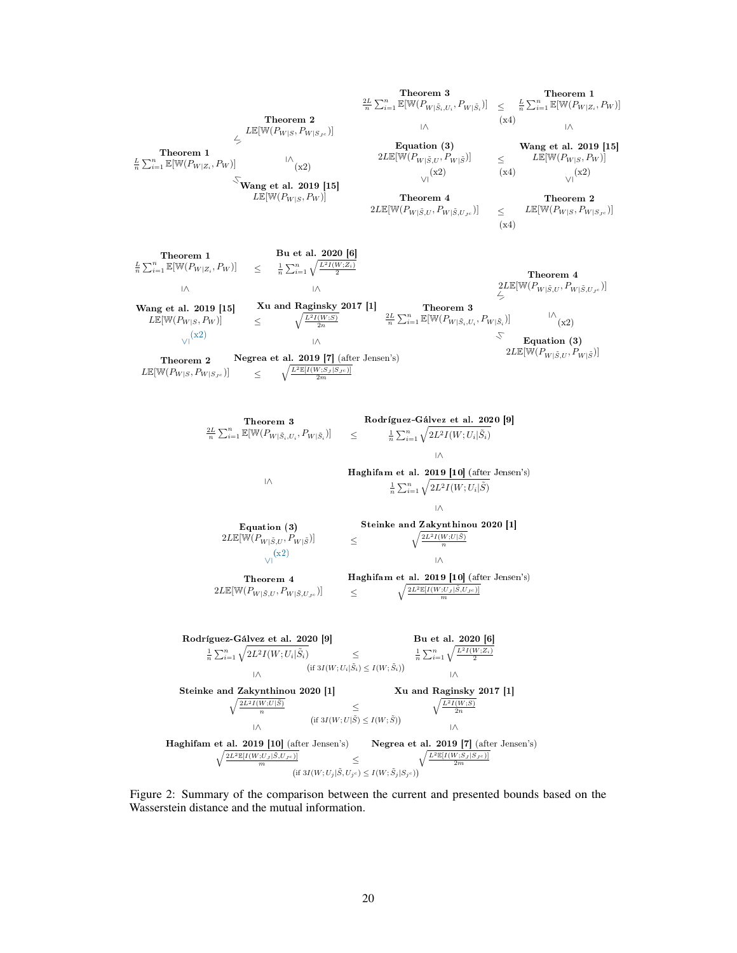<span id="page-19-0"></span>Theorem 1  $\frac{L}{n} \sum_{i=1}^{n} \mathbb{E}[\mathbb{W}(P_{W|Z_i}, P_W)]$  $\leq L \mathbb{E}[\mathbb{W}(P_{W|S}, P_{W|S_{J^c}})]$ Theorem 2  $\sqrt[\backslash]{\text{Wang et al. 2019 [15]}}$  $L\mathbb{E}[\mathbb{W}(P_{W|S}, P_W)]$  $\sqrt{\frac{1}{x^2}}$ Theorem 3  $\frac{2L}{n} \sum_{i=1}^{n} \mathbb{E}[\mathbb{W}(P_{W|\tilde{S}_i,U_i},P_{W|\tilde{S}_i})] \leq \frac{L}{n} \sum_{i=1}^{n} \mathbb{E}[\mathbb{W}(P_{W|Z_i},P_W)]$ l∧. Theorem 4  $2L\mathbb{E}[\mathbb{W}(P_{W|\tilde{S},U},P_{W|\tilde{S},U_{J^c}})]$ (x2)  $(x4)$   $(x4)$ Equation (3)  $2L\mathbb{E}[\mathbb{W}(P_{W|\tilde{S},U},P_{W|\tilde{S}})] \leq$ Theorem 1 ≤ (x4) Theorem 2  $\leq$   $L\mathbb{E}[\mathbb{W}(P_{W|S}, P_{W|S_{J^c}})]$  $\sqrt{1-x^2}$  (x2)  $(x4)$   $\sqrt{1-x^2}$ Wang et al. 2019 [15]  $L\mathbb{E}[\mathbb{W}(P_{W|S}, P_W)]$  $(x4)$ Bu et al. 2020 [6]  $\frac{1}{n} \sum_{i=1}^{n} \sqrt{\frac{L^2 I(W;Z_i)}{2}}$ ≤ Theorem 2 Negrea et al. 2019 [7] (after Jensen's)  $L\mathbb{E}[W(P_{W|S}, P_{W|S,c})]$   $\leq \sqrt{\frac{L^2\mathbb{E}[I(W;S_J|S,c)]}{2m}}$ l∧.  $\text{Xu and Raginsky } 2017 [1]$ <br>  $\leq \sqrt{\frac{L^2 I(W;S)}{2n}}$  $\frac{L}{n} \sum_{i=1}^{n} \mathbb{E}[\mathbb{W}(P_{W|Z_i}, P_W)] \quad \leq$ ≤  $\sqrt{1-x^2}$ Wang et al. 2019 [15]  $L\mathbb{E}[\mathbb{W}(P_{W|S}, P_W)]$ Theorem 3<br> $\frac{2L}{n} \sum_{i=1}^n \mathbb{E}[\mathbb{W}(P_{W|\tilde{S}_i,U_i},P_{W|\tilde{S}_i})]$ ≤ Theorem 4  $2L\mathbb{E}[\mathbb{W}(P_{W|\tilde{S},U},P_{W|\tilde{S},U_{J^c}})]$ ≤ Equation (3)  $2L\mathbb{E}[\mathbb{W}(P_{W|\tilde{S},U},P_{W|\tilde{S}})]$  $\bigwedge^{\mathsf{I}}(\mathbf{x}2)$ Rodríguez-Gálvez et al. 2020 [9]  $\frac{1}{n} \sum_{i=1}^n \sqrt{2L^2 I(W;U_i|\tilde{S}_i)}$ ≤ Haghifam et al. 2019 [10] (after Jensen's)  $\frac{1}{n} \sum_{i=1}^n \sqrt{2L^2 I(W; U_i | \tilde{S})}$ ≤ **Haghifam et al. 2019 [10]** (after Jensen's)  $\frac{2L^2\mathbb{E}[I(W;U_J|\tilde{S},U_{J^c})]}{m}$ l∧.  $\leq$  Steinke and Zakynthinou 2020 [1]<br>  $\leq$  $\frac{2L}{n}\sum_{i=1}^n\mathbb{E}[\mathbb{W}(P_{W|\tilde{S}_i,U_i},P_{W|\tilde{S}_i})] \quad\quad \leq$ ≤ Theorem 4  $2L\mathbb{E}[\mathbb{W}(P_{W|\tilde{S},U},P_{W|\tilde{S},U_{J^c}})]$   $\leq$  $\frac{1}{\sqrt{1}}$ (x2) Equation (3)  $2L\mathbb{E}[\mathbb{W}(P_{W|\tilde{S},U},P_{W|\tilde{S}})]$ Bu et al. 2020 [6]  $\frac{1}{n} \sum_{i=1}^{n} \sqrt{\frac{L^2 I(W; U_i | \tilde{S}_i)}{2}}$   $\leq$   $\frac{1}{n} \sum_{i=1}^{n} \sqrt{\frac{L^2 I(W; Z_i)}{2}}$ l∧. **Negrea et al. 2019 [7]** (after Jensen's)  $\sqrt{L^2 \mathbb{E}[I(W; S_J | S_{J^c})]}$  $\frac{L^2\mathbb{E}[I(W;S_J|S_{J^c})]}{2m}$ l∧ 20 [1]  $\leq \sqrt{\frac{L^2 I(W; S)}{2n}}$  (if 3*I*(*W*; *U*|*Š*)  $\leq I(W; \tilde{S})$ ) Rodríguez-Gálvez et al. 2020 [9] ≤ **Haghifam et al. 2019 [10]** (after Jensen's)<br> $\sqrt{\frac{2L^2 \mathbb{E}[I(W:U_I|\tilde{S},U_{IC})]}{2L^2 \mathbb{E}[I(W:U_I|\tilde{S},U_{IC})]}}}$  $\begin{aligned} \frac{2L^2\mathbb{E}[I(W;U_J|\tilde{S},U_{J^c})]}{m}\quad &\leq \quad \ \ \, \cdot \\ \text{(if } 3I(W;U_j|\tilde{S},U_{j^c})\leq I(W;\tilde{S}_j|S_{j^c})) \end{aligned}$  $\left(\text{if } 3I(W; U_i | \tilde{S}_i) \leq I(W; \tilde{S}_i)\right)$ l∧. Steinke and Zakynthinou 2020 [1]<br> $\sqrt{\frac{2L^2I(W;U|\tilde{S})}{n}}$ 

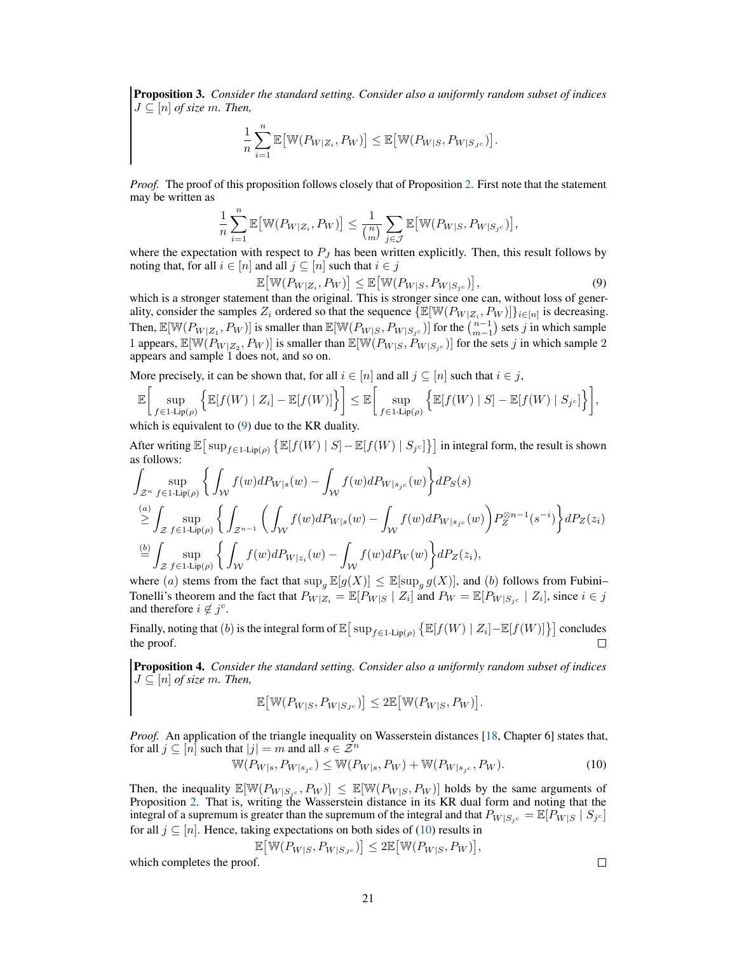Proposition 3. *Consider the standard setting. Consider also a uniformly random subset of indices*  $J \subseteq [n]$  of size m. Then,

$$
\frac{1}{n}\sum_{i=1}^n \mathbb{E}\big[\mathbb{W}(P_{W|Z_i}, P_W)\big] \le \mathbb{E}\big[\mathbb{W}(P_{W|S}, P_{W|S_{J^c}})\big].
$$

*Proof.* The proof of this proposition follows closely that of Proposition [2.](#page-18-2) First note that the statement may be written as

$$
\frac{1}{n}\sum_{i=1}^n \mathbb{E}\big[\mathbb{W}(P_{W|Z_i}, P_W)\big] \le \frac{1}{\binom{n}{m}}\sum_{j\in\mathcal{J}} \mathbb{E}\big[\mathbb{W}(P_{W|S}, P_{W|S_{j^c}})\big],
$$

where the expectation with respect to  $P_J$  has been written explicitly. Then, this result follows by noting that, for all  $i \in [n]$  and all  $j \subseteq [n]$  such that  $i \in j$ 

<span id="page-20-0"></span>
$$
\mathbb{E}\big[\mathbb{W}(P_{W|Z_i}, P_W)\big] \le \mathbb{E}\big[\mathbb{W}(P_{W|S}, P_{W|S_jc})\big],\tag{9}
$$

which is a stronger statement than the original. This is stronger since one can, without loss of generality, consider the samples  $Z_i$  ordered so that the sequence  $\{\mathbb{E}[\mathbb{W}(P_{W|Z_i}, P_W)]\}_{i \in [n]}$  is decreasing. Then,  $\mathbb{E}[\mathbb{W}(P_{W|Z_1}, P_W)]$  is smaller than  $\mathbb{E}[\mathbb{W}(P_{W|S}, P_{W|S_jc})]$  for the  $\binom{n-1}{m-1}$  sets j in which sample 1 appears,  $\mathbb{E}[\mathbb{W}(P_{W|Z_1}, P_{W})]$  is smaller than  $\mathbb{E}[\mathbb{W}(P_{W|S}, P_{W|S_jc})]$  for the sets j in which sample 2 appears and sample 1 does not, and so on.

More precisely, it can be shown that, for all  $i \in [n]$  and all  $j \subseteq [n]$  such that  $i \in j$ ,

$$
\mathbb{E}\bigg[\sup_{f\in 1\text{-Lip}(\rho)}\Big\{\mathbb{E}[f(W) \mid Z_i] - \mathbb{E}[f(W)]\Big\}\bigg] \leq \mathbb{E}\bigg[\sup_{f\in 1\text{-Lip}(\rho)}\Big\{\mathbb{E}[f(W) \mid S] - \mathbb{E}[f(W) \mid S_{j^c}]\Big\}\bigg],
$$

which is equivalent to [\(9\)](#page-20-0) due to the KR duality.

After writing  $\mathbb{E}[\sup_{f \in 1 \text{-Lip}(\rho)} \{\mathbb{E}[f(W) \mid S] - \mathbb{E}[f(W) \mid S_{j^c}]\}]$  in integral form, the result is shown as follows:

$$
\int_{\mathcal{Z}^n} \sup_{f \in 1 \text{-Lip}(\rho)} \left\{ \int_{\mathcal{W}} f(w) dP_{W|s}(w) - \int_{\mathcal{W}} f(w) dP_{W|s_{j^c}}(w) \right\} dP_S(s)
$$
\n
$$
\stackrel{(a)}{\geq} \int_{\mathcal{Z}} \sup_{f \in 1 \text{-Lip}(\rho)} \left\{ \int_{\mathcal{Z}^{n-1}} \left( \int_{\mathcal{W}} f(w) dP_{W|s}(w) - \int_{\mathcal{W}} f(w) dP_{W|s_{j^c}}(w) \right) P_{Z}^{\otimes n-1}(s^{-i}) \right\} dP_Z(z_i)
$$
\n
$$
\stackrel{(b)}{=} \int_{\mathcal{Z}} \sup_{f \in 1 \text{-Lip}(\rho)} \left\{ \int_{\mathcal{W}} f(w) dP_{W|z_i}(w) - \int_{\mathcal{W}} f(w) dP_W(w) \right\} dP_Z(z_i),
$$

where (a) stems from the fact that  $\sup_g \mathbb{E}[g(X)] \leq \mathbb{E}[\sup_g g(X)]$ , and (b) follows from Fubini– Tonelli's theorem and the fact that  $P_{W|Z_i} = \mathbb{E}[P_{W|S} | Z_i]$  and  $P_W = \mathbb{E}[P_{W|S_jc} | Z_i]$ , since  $i \in j$ and therefore  $i \notin j^c$ .

Finally, noting that (b) is the integral form of  $\mathbb{E}[\sup_{f \in 1 \text{-Lip}(\rho)} \left\{ \mathbb{E}[f(W) | Z_i] - \mathbb{E}[f(W)] \right\}]$  concludes the proof.

<span id="page-20-2"></span>Proposition 4. *Consider the standard setting. Consider also a uniformly random subset of indices*  $J \subseteq [n]$  *of size m. Then,* 

<span id="page-20-1"></span>
$$
\mathbb{E}\big[\mathbb{W}(P_{W|S}, P_{W|S_{J^c}})\big] \le 2\mathbb{E}\big[\mathbb{W}(P_{W|S}, P_W)\big].
$$

*Proof.* An application of the triangle inequality on Wasserstein distances [\[18,](#page-10-0) Chapter 6] states that, for all  $j \subseteq [n]$  such that  $|j| = m$  and all  $s \in \mathbb{Z}^n$ <br> $\mathbb{W}(P_{\text{rel}} - P_{\text{rel}}) < \mathbb{W}(P_{\text{rel}})$ 

$$
\mathbb{W}(P_{W|s}, P_{W|s_{j}c}) \le \mathbb{W}(P_{W|s}, P_W) + \mathbb{W}(P_{W|s_{j}c}, P_W). \tag{10}
$$

Then, the inequality  $\mathbb{E}[\mathbb{W}(P_{W|S,c}, P_W)] \leq \mathbb{E}[\mathbb{W}(P_{W|S}, P_W)]$  holds by the same arguments of Proposition [2.](#page-18-2) That is, writing the Wasserstein distance in its KR dual form and noting that the integral of a supremum is greater than the supremum of the integral and that  $P_{W|S_{j^c}} = \mathbb{E}[P_{W|S} | S_{j^c}]$ for all  $j \subseteq [n]$ . Hence, taking expectations on both sides of [\(10\)](#page-20-1) results in

$$
\mathbb{E}\big[\mathbb{W}(P_{W|S}, P_{W|S_{J^c}})\big] \le 2\mathbb{E}\big[\mathbb{W}(P_{W|S}, P_W)\big],
$$

which completes the proof.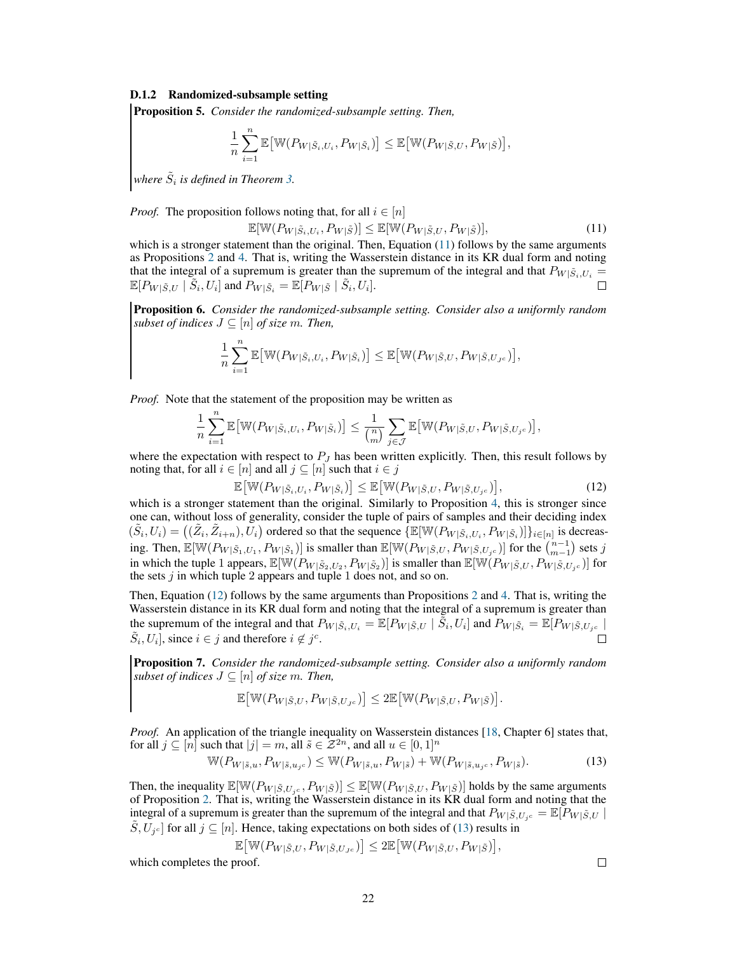#### D.1.2 Randomized-subsample setting

Proposition 5. *Consider the randomized-subsample setting. Then,*

$$
\frac{1}{n}\sum_{i=1}^n \mathbb{E}\big[\mathbb{W}(P_{W|\tilde{S}_i,U_i},P_{W|\tilde{S}_i})\big] \leq \mathbb{E}\big[\mathbb{W}(P_{W|\tilde{S},U},P_{W|\tilde{S}})\big],
$$

where  $\tilde{S}_i$  is defined in Theorem [3.](#page-5-0)

*Proof.* The proposition follows noting that, for all  $i \in [n]$ 

<span id="page-21-0"></span>
$$
\mathbb{E}[\mathbb{W}(P_{W|\tilde{S}_i,U_i},P_{W|\tilde{S}})] \leq \mathbb{E}[\mathbb{W}(P_{W|\tilde{S},U},P_{W|\tilde{S}})],\tag{11}
$$

which is a stronger statement than the original. Then, Equation  $(11)$  follows by the same arguments as Propositions [2](#page-18-2) and [4.](#page-20-2) That is, writing the Wasserstein distance in its KR dual form and noting that the integral of a supremum is greater than the supremum of the integral and that  $P_{W|\tilde{S}_i,U_i} = \mathbb{E}[P_{W|\tilde{S}_i} \mid \tilde{S}_i, U_i]$ .  $\mathbb{E}[P_{W|\tilde{S},U} | \tilde{S}_i, U_i]$  and  $P_{W|\tilde{S}_i} = \mathbb{E}[P_{W|\tilde{S}} | \tilde{S}_i, U_i].$ 

Proposition 6. *Consider the randomized-subsample setting. Consider also a uniformly random subset of indices*  $J \subseteq [n]$  *of size m. Then,* 

$$
\frac{1}{n}\sum_{i=1}^n \mathbb{E}\big[\mathbb{W}(P_{W|\tilde{S}_i,U_i},P_{W|\tilde{S}_i})\big] \leq \mathbb{E}\big[\mathbb{W}(P_{W|\tilde{S},U},P_{W|\tilde{S},U_{J^c}})\big],
$$

*Proof.* Note that the statement of the proposition may be written as

$$
\frac{1}{n}\sum_{i=1}^n \mathbb{E}\big[\mathbb{W}(P_{W|\tilde{S}_i,U_i},P_{W|\tilde{S}_i})\big] \leq \frac{1}{\binom{n}{m}}\sum_{j\in\mathcal{J}} \mathbb{E}\big[\mathbb{W}(P_{W|\tilde{S},U},P_{W|\tilde{S},U_{j^c}})\big],
$$

where the expectation with respect to  $P_J$  has been written explicitly. Then, this result follows by noting that, for all  $i \in [n]$  and all  $j \subseteq [n]$  such that  $i \in j$ 

<span id="page-21-1"></span>
$$
\mathbb{E}\big[\mathbb{W}(P_{W|\tilde{S}_i,U_i},P_{W|\tilde{S}_i})\big] \leq \mathbb{E}\big[\mathbb{W}(P_{W|\tilde{S},U},P_{W|\tilde{S},U_{j}c})\big],\tag{12}
$$

which is a stronger statement than the original. Similarly to Proposition [4,](#page-20-2) this is stronger since one can, without loss of generality, consider the tuple of pairs of samples and their deciding index  $(\tilde{S}_i, U_i) = ((\tilde{Z}_i, \tilde{Z}_{i+n}), U_i)$  ordered so that the sequence  $\{\mathbb{E}[\mathbb{W}(P_{W|\tilde{S}_i, U_i}, P_{W|\tilde{S}_i})]\}_{i \in [n]}$  is decreasing. Then,  $\mathbb{E}[\mathbb{W}(P_W|\tilde{s}_1, U_1, P_W|\tilde{s}_1)]$  is smaller than  $\mathbb{E}[\mathbb{W}(P_W|\tilde{s}, U, P_W|\tilde{s}, U_3c)]$  for the  $\binom{n-1}{m-1}$  sets j in which the tuple 1 appears,  $\mathbb{E}[\mathbb{W}(P_{W|\tilde{S}_2,U_2},P_{W|\tilde{S}_2})]$  is smaller than  $\mathbb{E}[\mathbb{W}(P_{W|\tilde{S},U},P_{W|\tilde{S},U_jc})]$  for the sets  $j$  in which tuple 2 appears and tuple 1 does not, and so on.

Then, Equation [\(12\)](#page-21-1) follows by the same arguments than Propositions [2](#page-18-2) and [4.](#page-20-2) That is, writing the Wasserstein distance in its KR dual form and noting that the integral of a supremum is greater than the supremum of the integral and that  $P_{W|\tilde{S}_i,U_i} = \mathbb{E}[P_{W|\tilde{S}_i,U_i}]$  and  $P_{W|\tilde{S}_i} = \mathbb{E}[P_{W|\tilde{S}_i,U_i} \mid \tilde{S}_i]$  $\tilde{S}_i, U_i$ , since  $i \in j$  and therefore  $i \notin j^c$ .

Proposition 7. *Consider the randomized-subsample setting. Consider also a uniformly random subset of indices*  $J \subseteq [n]$  *of size m. Then,* 

$$
\mathbb{E}\big[\mathbb{W}(P_{W|\tilde{S},U},P_{W|\tilde{S},U_{J^c}})\big]\leq 2\mathbb{E}\big[\mathbb{W}(P_{W|\tilde{S},U},P_{W|\tilde{S}})\big].
$$

*Proof.* An application of the triangle inequality on Wasserstein distances [\[18,](#page-10-0) Chapter 6] states that, for all  $j \subseteq [n]$  such that  $|j| = m$ , all  $\tilde{s} \in \mathbb{Z}^{2n}$ , and all  $u \in [0,1]^n$ 

$$
\mathbb{W}(P_{W|\tilde{s},u}, P_{W|\tilde{s},u_{j}c}) \leq \mathbb{W}(P_{W|\tilde{s},u}, P_{W|\tilde{s}}) + \mathbb{W}(P_{W|\tilde{s},u_{j}c}, P_{W|\tilde{s}}). \tag{13}
$$

Then, the inequality  $\mathbb{E}[\mathbb{W}(P_{W|\tilde{S},U_i}, P_{W|\tilde{S}})] \leq \mathbb{E}[\mathbb{W}(P_{W|\tilde{S},U}, P_{W|\tilde{S}})]$  holds by the same arguments of Proposition [2.](#page-18-2) That is, writing the Wasserstein distance in its KR dual form and noting that the integral of a supremum is greater than the supremum of the integral and that  $P_{W|\tilde{S},U_{j}c} = \mathbb{E}[P_{W|\tilde{S},U}]$  $\tilde{S}, U_{j^c}$  for all  $j \subseteq [n]$ . Hence, taking expectations on both sides of [\(13\)](#page-21-2) results in

$$
\mathbb{E}\big[\mathbb{W}(P_{W|\tilde{S},U},P_{W|\tilde{S},U_{J^c}})\big]\leq 2\mathbb{E}\big[\mathbb{W}(P_{W|\tilde{S},U},P_{W|\tilde{S}})\big],
$$

which completes the proof.

<span id="page-21-2"></span>
$$
\Box
$$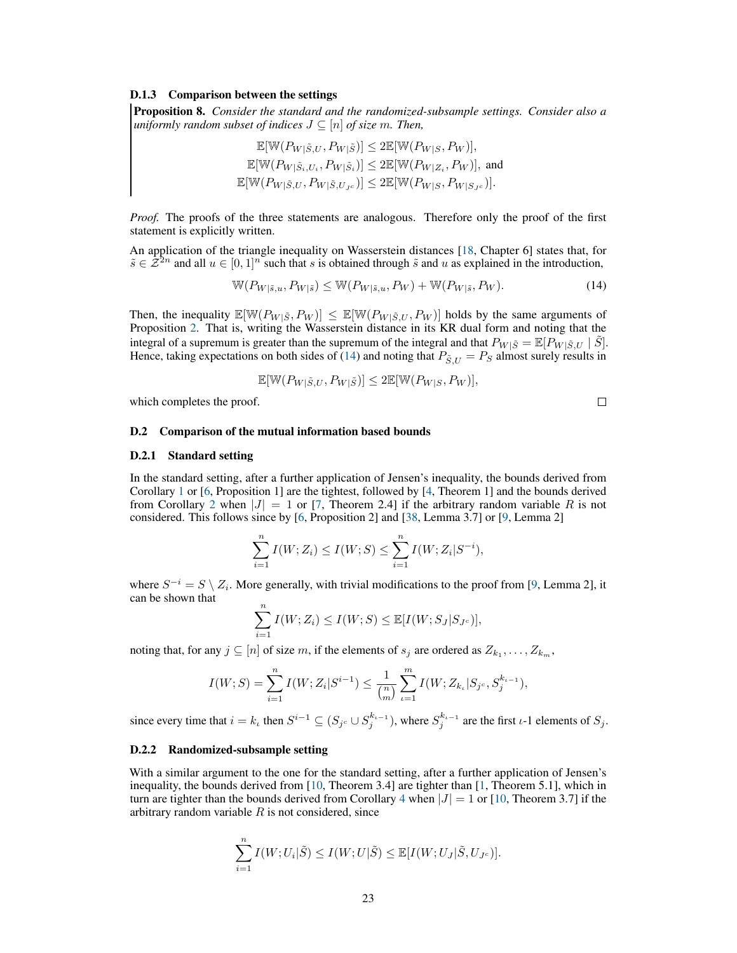#### D.1.3 Comparison between the settings

Proposition 8. *Consider the standard and the randomized-subsample settings. Consider also a uniformly random subset of indices*  $J \subseteq [n]$  *of size m. Then,* 

$$
\mathbb{E}[\mathbb{W}(P_{W|\tilde{S},U}, P_{W|\tilde{S}})] \leq 2\mathbb{E}[\mathbb{W}(P_{W|S}, P_W)],
$$
  
\n
$$
\mathbb{E}[\mathbb{W}(P_{W|\tilde{S}_i,U_i}, P_{W|\tilde{S}_i})] \leq 2\mathbb{E}[\mathbb{W}(P_{W|Z_i}, P_W)],
$$
 and  
\n
$$
\mathbb{E}[\mathbb{W}(P_{W|\tilde{S},U}, P_{W|\tilde{S},U_{J^c}})] \leq 2\mathbb{E}[\mathbb{W}(P_{W|S}, P_{W|S_{J^c}})].
$$

*Proof.* The proofs of the three statements are analogous. Therefore only the proof of the first statement is explicitly written.

An application of the triangle inequality on Wasserstein distances [\[18,](#page-10-0) Chapter 6] states that, for  $\tilde{s} \in \mathcal{Z}^{2n}$  and all  $u \in [0,1]^n$  such that s is obtained through  $\tilde{s}$  and u as explained in the introduction,

$$
\mathbb{W}(P_{W|\tilde{s},u}, P_{W|\tilde{s}}) \leq \mathbb{W}(P_{W|\tilde{s},u}, P_W) + \mathbb{W}(P_{W|\tilde{s}}, P_W). \tag{14}
$$

Then, the inequality  $\mathbb{E}[\mathbb{W}(P_{W|\tilde{S},P_W})] \leq \mathbb{E}[\mathbb{W}(P_{W|\tilde{S},U},P_W)]$  holds by the same arguments of Proposition [2.](#page-18-2) That is, writing the Wasserstein distance in its KR dual form and noting that the integral of a supremum is greater than the supremum of the integral and that  $P_{W|\tilde{S}} = \mathbb{E}[P_{W|\tilde{S},U} | \tilde{S}]$ . Hence, taking expectations on both sides of [\(14\)](#page-22-1) and noting that  $P_{\tilde{S},U} = P_S$  almost surely results in

$$
\mathbb{E}[\mathbb{W}(P_{W|\tilde{S},U},P_{W|\tilde{S}})] \le 2\mathbb{E}[\mathbb{W}(P_{W|S},P_W)],
$$

which completes the proof.

<span id="page-22-1"></span>
$$
\Box_{\parallel}
$$

## <span id="page-22-0"></span>D.2 Comparison of the mutual information based bounds

## D.2.1 Standard setting

In the standard setting, after a further application of Jensen's inequality, the bounds derived from Corollary [1](#page-3-1) or [\[6,](#page-9-5) Proposition 1] are the tightest, followed by [\[4,](#page-9-3) Theorem 1] and the bounds derived from Corollary [2](#page-4-1) when  $|J| = 1$  or [\[7,](#page-9-6) Theorem 2.4] if the arbitrary random variable R is not considered. This follows since by [\[6,](#page-9-5) Proposition 2] and [\[38,](#page-11-0) Lemma 3.7] or [\[9,](#page-9-7) Lemma 2]

$$
\sum_{i=1}^{n} I(W; Z_i) \le I(W; S) \le \sum_{i=1}^{n} I(W; Z_i | S^{-i}),
$$

where  $S^{-i} = S \setminus Z_i$ . More generally, with trivial modifications to the proof from [\[9,](#page-9-7) Lemma 2], it can be shown that

$$
\sum_{i=1}^{n} I(W; Z_i) \le I(W; S) \le \mathbb{E}[I(W; S_J | S_{J^c})],
$$

noting that, for any  $j \subseteq [n]$  of size m, if the elements of  $s_j$  are ordered as  $Z_{k_1}, \ldots, Z_{k_m}$ ,

$$
I(W; S) = \sum_{i=1}^{n} I(W; Z_i | S^{i-1}) \le \frac{1}{\binom{n}{m}} \sum_{i=1}^{m} I(W; Z_{k_i} | S_{j^c}, S_j^{k_{i-1}}),
$$

since every time that  $i = k_{\iota}$  then  $S^{i-1} \subseteq (S_{j^c} \cup S_j^{k_{\iota-1}})$ , where  $S_j^{k_{\iota-1}}$  are the first  $\iota$ -1 elements of  $S_j$ .

## D.2.2 Randomized-subsample setting

With a similar argument to the one for the standard setting, after a further application of Jensen's inequality, the bounds derived from [\[10,](#page-9-8) Theorem 3.4] are tighter than [\[1,](#page-9-0) Theorem 5.1], which in turn are tighter than the bounds derived from Corollary [4](#page-6-2) when  $|J| = 1$  or [\[10,](#page-9-8) Theorem 3.7] if the arbitrary random variable  $R$  is not considered, since

$$
\sum_{i=1}^n I(W; U_i | \tilde{S}) \leq I(W; U | \tilde{S}) \leq \mathbb{E}[I(W; U_J | \tilde{S}, U_{J^c})].
$$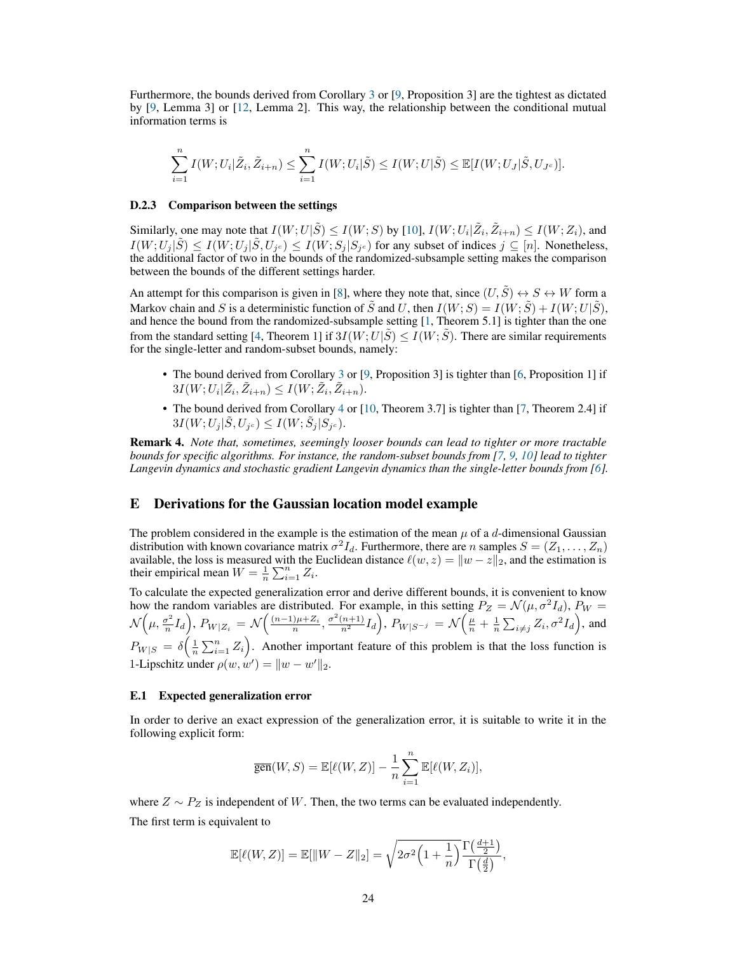Furthermore, the bounds derived from Corollary [3](#page-6-1) or [\[9,](#page-9-7) Proposition 3] are the tightest as dictated by [\[9,](#page-9-7) Lemma 3] or [\[12,](#page-9-11) Lemma 2]. This way, the relationship between the conditional mutual information terms is

$$
\sum_{i=1}^n I(W; U_i | \tilde{Z}_i, \tilde{Z}_{i+n}) \leq \sum_{i=1}^n I(W; U_i | \tilde{S}) \leq I(W; U | \tilde{S}) \leq \mathbb{E}[I(W; U_J | \tilde{S}, U_{J^c})].
$$

#### D.2.3 Comparison between the settings

Similarly, one may note that  $I(W; U|\tilde{S}) \leq I(W; S)$  by [\[10\]](#page-9-8),  $I(W; U_i | \tilde{Z}_i, \tilde{Z}_{i+n}) \leq I(W; Z_i)$ , and  $I(W; U_j | \tilde{S}) \leq I(W; U_j | \tilde{S}, U_{j^c}) \leq I(W; S_j | S_{j^c})$  for any subset of indices  $j \subseteq [n]$ . Nonetheless, the additional factor of two in the bounds of the randomized-subsample setting makes the comparison between the bounds of the different settings harder.

An attempt for this comparison is given in [\[8\]](#page-9-9), where they note that, since  $(U, \tilde{S}) \leftrightarrow S \leftrightarrow W$  form a Markov chain and S is a deterministic function of  $\tilde{S}$  and U, then  $I(W; S) = I(W; \tilde{S}) + I(W; U | \tilde{S})$ , and hence the bound from the randomized-subsample setting [\[1,](#page-9-0) Theorem 5.1] is tighter than the one from the standard setting [\[4,](#page-9-3) Theorem 1] if  $3I(W;U|\tilde{S}) \leq I(W;\tilde{S})$ . There are similar requirements for the single-letter and random-subset bounds, namely:

- The bound derived from Corollary [3](#page-6-1) or [\[9,](#page-9-7) Proposition 3] is tighter than [\[6,](#page-9-5) Proposition 1] if  $3I(W; U_i | \tilde{Z}_i, \tilde{Z}_{i+n}) \leq I(W; \tilde{Z}_i, \tilde{Z}_{i+n}).$
- The bound derived from Corollary [4](#page-6-2) or [\[10,](#page-9-8) Theorem 3.7] is tighter than [\[7,](#page-9-6) Theorem 2.4] if  $3I(W;U_j|\tilde{S},U_{j^c})\leq I(W;\tilde{S}_j|S_{j^c}).$

Remark 4. *Note that, sometimes, seemingly looser bounds can lead to tighter or more tractable bounds for specific algorithms. For instance, the random-subset bounds from [\[7,](#page-9-6) [9,](#page-9-7) [10\]](#page-9-8) lead to tighter* Langevin dynamics and stochastic gradient Langevin dynamics than the single-letter bounds from [\[6\]](#page-9-5).

# <span id="page-23-0"></span>E Derivations for the Gaussian location model example

The problem considered in the example is the estimation of the mean  $\mu$  of a d-dimensional Gaussian distribution with known covariance matrix  $\sigma^2 I_d$ . Furthermore, there are *n* samples  $S = (Z_1, \ldots, Z_n)$ available, the loss is measured with the Euclidean distance  $\ell(w, z) = ||w - z||_2$ , and the estimation is their empirical mean  $W = \frac{1}{n} \sum_{i=1}^{n} Z_i$ .

To calculate the expected generalization error and derive different bounds, it is convenient to know how the random variables are distributed. For example, in this setting  $P_Z = \mathcal{N}(\mu, \sigma^2 I_d)$ ,  $P_W =$ N  $\left(\mu,\frac{\sigma^2}{n}\right)$  $\left(\frac{n}{n}\right)^2 I_d$ ,  $P_{W|Z_i} = \mathcal{N}\left(\frac{(n-1)\mu + Z_i}{n}, \frac{\sigma^2(n+1)}{n^2} I_d\right)$ ,  $P_{W|S^{-j}} = \mathcal{N}\left(\frac{\mu}{n} + \frac{1}{n}\sum_{i\neq j} Z_i, \sigma^2 I_d\right)$ , and  $P_{W|S} = \delta\left(\frac{1}{n}\sum_{i=1}^{n} Z_i\right)$ . Another important feature of this problem is that the loss function is 1-Lipschitz under  $\rho(w, w') = ||w - w'||_2$ .

#### E.1 Expected generalization error

In order to derive an exact expression of the generalization error, it is suitable to write it in the following explicit form:

$$
\overline{\text{gen}}(W, S) = \mathbb{E}[\ell(W, Z)] - \frac{1}{n} \sum_{i=1}^{n} \mathbb{E}[\ell(W, Z_i)],
$$

where  $Z \sim P_Z$  is independent of W. Then, the two terms can be evaluated independently.

The first term is equivalent to

$$
\mathbb{E}[\ell(W,Z)] = \mathbb{E}[\|W-Z\|_2] = \sqrt{2\sigma^2 \left(1 + \frac{1}{n}\right)} \frac{\Gamma\left(\frac{d+1}{2}\right)}{\Gamma\left(\frac{d}{2}\right)},
$$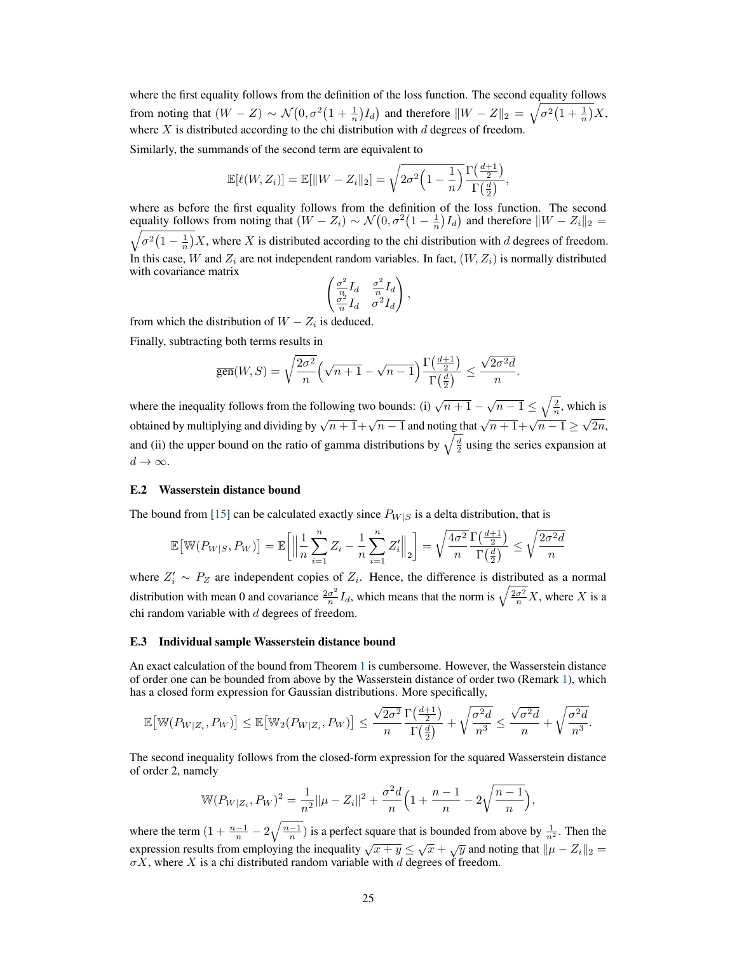where the first equality follows from the definition of the loss function. The second equality follows from noting that  $(W - Z) \sim \mathcal{N}(0, \sigma^2(1 + \frac{1}{n})I_d)$  and therefore  $\|W - Z\|_2 = \sqrt{\sigma^2(1 + \frac{1}{n})}X$ , where  $X$  is distributed according to the chi distribution with  $d$  degrees of freedom.

Similarly, the summands of the second term are equivalent to

$$
\mathbb{E}[\ell(W,Z_i)] = \mathbb{E}[\|W-Z_i\|_2] = \sqrt{2\sigma^2 \left(1 - \frac{1}{n}\right)} \frac{\Gamma\left(\frac{d+1}{2}\right)}{\Gamma\left(\frac{d}{2}\right)},
$$

where as before the first equality follows from the definition of the loss function. The second equality follows from noting that  $(W - Z_i) \sim \mathcal{N}(0, \sigma^2 \left(1 - \frac{1}{n}\right) I_d)$  and therefore  $\|W - Z_i\|_2 =$  $\sigma^2\left(1-\frac{1}{n}\right)X$ , where X is distributed according to the chi distribution with d degrees of freedom. In this case, W and  $Z_i$  are not independent random variables. In fact,  $(W, Z_i)$  is normally distributed with covariance matrix

$$
\begin{pmatrix} \frac{\sigma^2}{n}I_d & \frac{\sigma^2}{n}I_d \\ \frac{\sigma^2}{n}I_d & \sigma^2I_d \end{pmatrix},
$$

from which the distribution of  $W - Z_i$  is deduced.

Finally, subtracting both terms results in

$$
\overline{\text{gen}}(W,S) = \sqrt{\frac{2\sigma^2}{n}} \left(\sqrt{n+1} - \sqrt{n-1}\right) \frac{\Gamma\left(\frac{d+1}{2}\right)}{\Gamma\left(\frac{d}{2}\right)} \le \frac{\sqrt{2\sigma^2 d}}{n}.
$$

where the inequality follows from the following two bounds: (i)  $\sqrt{n+1} - \sqrt{n-1} \leq \sqrt{\frac{2}{n}}$ , which is obtained by multiplying and dividing by  $\sqrt{n+1} + \sqrt{n-1}$  and noting that  $\sqrt{n+1} + \sqrt{n-1} \ge \sqrt{2n}$ , and (ii) the upper bound on the ratio of gamma distributions by  $\sqrt{\frac{d}{2}}$  using the series expansion at  $d \to \infty$ .

## <span id="page-24-0"></span>E.2 Wasserstein distance bound

The bound from [\[15\]](#page-9-14) can be calculated exactly since  $P_{W|S}$  is a delta distribution, that is

$$
\mathbb{E}\big[\mathbb{W}(P_{W|S}, P_W)\big] = \mathbb{E}\bigg[\Big\|\frac{1}{n}\sum_{i=1}^n Z_i - \frac{1}{n}\sum_{i=1}^n Z_i'\Big\|_2\bigg] = \sqrt{\frac{4\sigma^2}{n}\frac{\Gamma\left(\frac{d+1}{2}\right)}{\Gamma\left(\frac{d}{2}\right)}} \le \sqrt{\frac{2\sigma^2 d}{n}}
$$

where  $Z_i' \sim P_Z$  are independent copies of  $Z_i$ . Hence, the difference is distributed as a normal distribution with mean 0 and covariance  $\frac{2\sigma^2}{n}$  $\frac{\sigma^2}{n}I_d$ , which means that the norm is  $\sqrt{\frac{2\sigma^2}{n}}X$ , where X is a chi random variable with  $d$  degrees of freedom.

#### E.3 Individual sample Wasserstein distance bound

An exact calculation of the bound from Theorem [1](#page-3-0) is cumbersome. However, the Wasserstein distance of order one can be bounded from above by the Wasserstein distance of order two (Remark [1\)](#page-2-2), which has a closed form expression for Gaussian distributions. More specifically,

$$
\mathbb{E}\big[\mathbb{W}(P_{W|Z_i}, P_W)\big] \le \mathbb{E}\big[\mathbb{W}_2(P_{W|Z_i}, P_W)\big] \le \frac{\sqrt{2\sigma^2}}{n} \frac{\Gamma\left(\frac{d+1}{2}\right)}{\Gamma\left(\frac{d}{2}\right)} + \sqrt{\frac{\sigma^2 d}{n^3}} \le \frac{\sqrt{\sigma^2 d}}{n} + \sqrt{\frac{\sigma^2 d}{n^3}}.
$$

The second inequality follows from the closed-form expression for the squared Wasserstein distance of order 2, namely

$$
\mathbb{W}(P_{W|Z_i}, P_W)^2 = \frac{1}{n^2} ||\mu - Z_i||^2 + \frac{\sigma^2 d}{n} \left( 1 + \frac{n-1}{n} - 2\sqrt{\frac{n-1}{n}} \right),
$$

where the term  $(1 + \frac{n-1}{n} - 2\sqrt{\frac{n-1}{n}})$  is a perfect square that is bounded from above by  $\frac{1}{n^2}$ . Then the expression results from employing the inequality  $\sqrt{x+y} \leq \sqrt{x} + \sqrt{y}$  and noting that  $\|\mu - Z_i\|_2 =$  $\sigma X$ , where X is a chi distributed random variable with d degrees of freedom.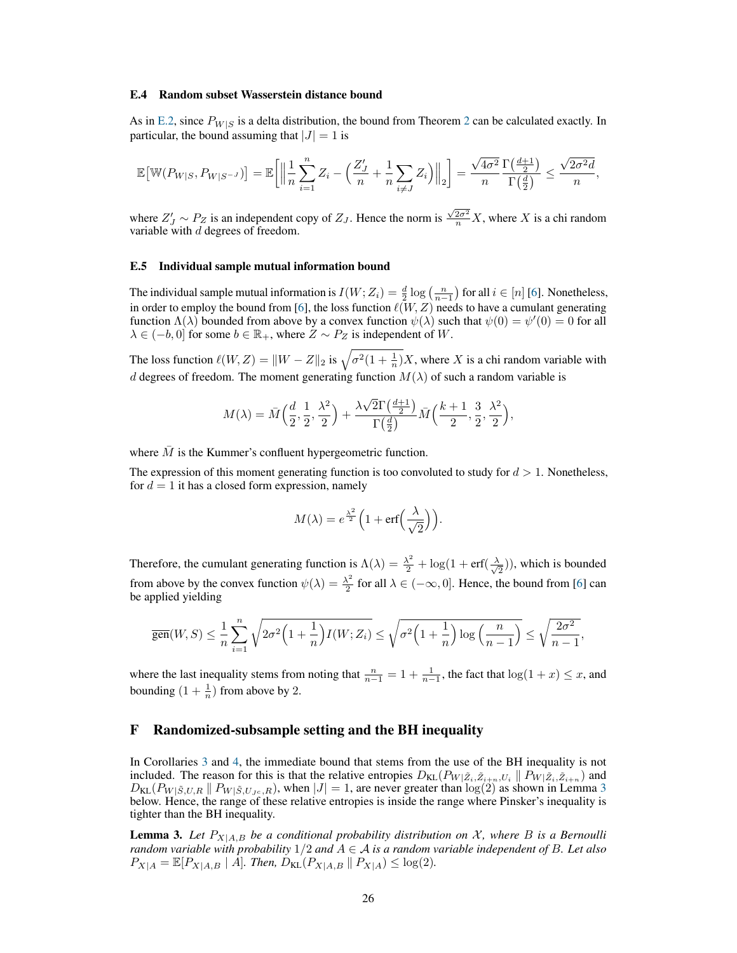#### E.4 Random subset Wasserstein distance bound

As in [E.2,](#page-24-0) since  $P_{W|S}$  is a delta distribution, the bound from Theorem [2](#page-4-0) can be calculated exactly. In particular, the bound assuming that  $|J| = 1$  is

$$
\mathbb{E}\big[\mathbb{W}(P_{W|S}, P_{W|S^{-J}})\big] = \mathbb{E}\bigg[\Big\|\frac{1}{n}\sum_{i=1}^n Z_i - \Big(\frac{Z'_J}{n} + \frac{1}{n}\sum_{i\neq J}Z_i\Big)\Big\|_2\bigg] = \frac{\sqrt{4\sigma^2}}{n}\frac{\Gamma\big(\frac{d+1}{2}\big)}{\Gamma\big(\frac{d}{2}\big)} \le \frac{\sqrt{2\sigma^2 d}}{n},
$$

where  $Z'_J \sim P_Z$  is an independent copy of  $Z_J$ . Hence the norm is  $\frac{\sqrt{2\sigma^2}}{n}X$ , where X is a chi random variable with  $d$  degrees of freedom.

#### E.5 Individual sample mutual information bound

The individual sample mutual information is  $I(W; Z_i) = \frac{d}{2} \log \left( \frac{n}{n-1} \right)$  for all  $i \in [n]$  [\[6\]](#page-9-5). Nonetheless, in order to employ the bound from [\[6\]](#page-9-5), the loss function  $\ell(W, Z)$  needs to have a cumulant generating function  $\Lambda(\lambda)$  bounded from above by a convex function  $\psi(\lambda)$  such that  $\psi(0) = \psi'(0) = 0$  for all  $\lambda \in (-b, 0]$  for some  $b \in \mathbb{R}_+$ , where  $Z \sim P_Z$  is independent of W.

The loss function  $\ell(W, Z) = ||W - Z||_2$  is  $\sqrt{\sigma^2(1 + \frac{1}{n})}X$ , where X is a chi random variable with d degrees of freedom. The moment generating function  $M(\lambda)$  of such a random variable is

$$
M(\lambda) = \bar{M}\left(\frac{d}{2}, \frac{1}{2}, \frac{\lambda^2}{2}\right) + \frac{\lambda\sqrt{2}\Gamma\left(\frac{d+1}{2}\right)}{\Gamma\left(\frac{d}{2}\right)} \bar{M}\left(\frac{k+1}{2}, \frac{3}{2}, \frac{\lambda^2}{2}\right),
$$

where  $M$  is the Kummer's confluent hypergeometric function.

The expression of this moment generating function is too convoluted to study for  $d > 1$ . Nonetheless, for  $d = 1$  it has a closed form expression, namely

$$
M(\lambda) = e^{\frac{\lambda^2}{2}} \Big( 1 + \text{erf}\Big(\frac{\lambda}{\sqrt{2}}\Big) \Big).
$$

Therefore, the cumulant generating function is  $\Lambda(\lambda) = \frac{\lambda^2}{2} + \log(1 + \text{erf}(\frac{\lambda}{\sqrt{\lambda}}))$  $(\frac{1}{2})$ , which is bounded from above by the convex function  $\psi(\lambda) = \frac{\lambda^2}{2}$  $\frac{\lambda^2}{2}$  for all  $\lambda \in (-\infty, 0]$ . Hence, the bound from [\[6\]](#page-9-5) can be applied yielding

$$
\overline{\text{gen}}(W,S) \leq \frac{1}{n} \sum_{i=1}^n \sqrt{2\sigma^2 \left(1 + \frac{1}{n}\right) I(W; Z_i)} \leq \sqrt{\sigma^2 \left(1 + \frac{1}{n}\right) \log\left(\frac{n}{n-1}\right)} \leq \sqrt{\frac{2\sigma^2}{n-1}},
$$

where the last inequality stems from noting that  $\frac{n}{n-1} = 1 + \frac{1}{n-1}$ , the fact that  $\log(1 + x) \leq x$ , and bounding  $(1 + \frac{1}{n})$  from above by 2.

## <span id="page-25-0"></span>F Randomized-subsample setting and the BH inequality

In Corollaries [3](#page-6-1) and [4,](#page-6-2) the immediate bound that stems from the use of the BH inequality is not included. The reason for this is that the relative entropies  $D_{KL}(P_{W|\tilde{Z}_i,\tilde{Z}_{i+n},U_i} \| P_{W|\tilde{Z}_i,\tilde{Z}_{i+n}})$  and  $D_{KL}(P_{W|\tilde{S},U,R} \| P_{W|\tilde{S},U,c,R})$ , when  $|J| = 1$ , are never greater than  $log(2)$  as shown in Lemma [3](#page-25-1) below. Hence, the range of these relative entropies is inside the range where Pinsker's inequality is tighter than the BH inequality.

<span id="page-25-1"></span>**Lemma 3.** Let  $P_{X|A,B}$  be a conditional probability distribution on X, where B is a Bernoulli *random variable with probability* 1/2 *and* A ∈ A *is a random variable independent of* B*. Let also*  $P_{X|A} = \mathbb{E}[P_{X|A,B} | A]$ *. Then,*  $D_{KL}(P_{X|A,B} || P_{X|A}) \le \log(2)$ *.*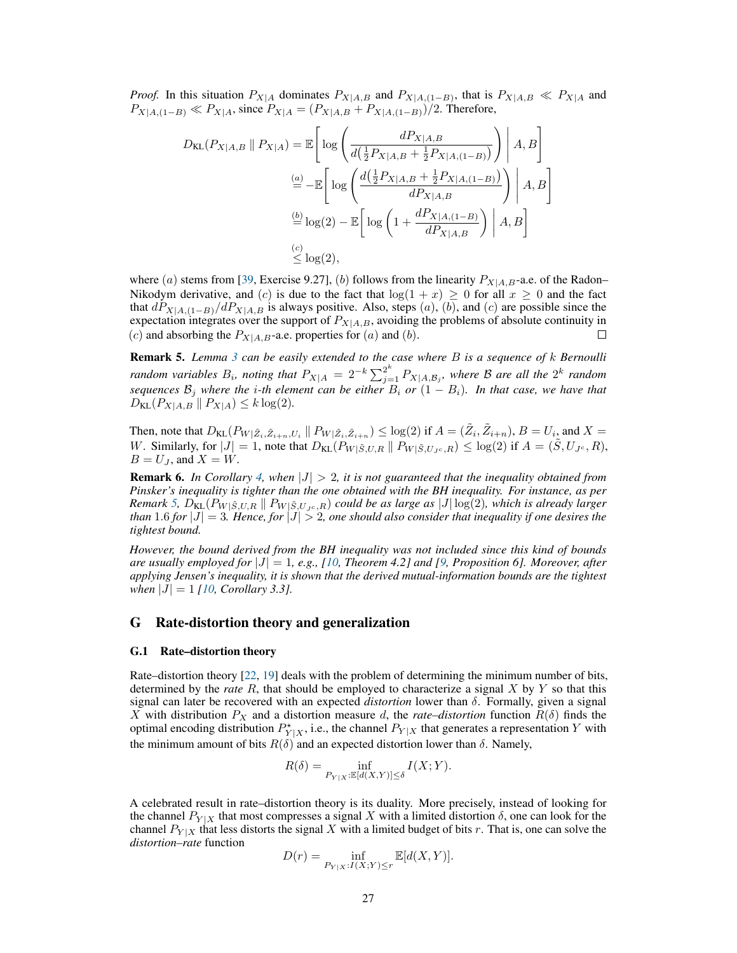*Proof.* In this situation  $P_{X|A}$  dominates  $P_{X|A,B}$  and  $P_{X|A,(1-B)}$ , that is  $P_{X|A,B} \ll P_{X|A}$  and  $P_{X|A,(1-B)} \ll P_{X|A}$ , since  $P_{X|A} = (P_{X|A,B} + P_{X|A,(1-B)})/2$ . Therefore,

$$
D_{\text{KL}}(P_{X|A,B} \parallel P_{X|A}) = \mathbb{E}\left[\log\left(\frac{dP_{X|A,B}}{d\left(\frac{1}{2}P_{X|A,B} + \frac{1}{2}P_{X|A,(1-B)}\right)}\right) \middle| A, B\right]
$$
  
\n
$$
\stackrel{(a)}{=} - \mathbb{E}\left[\log\left(\frac{d\left(\frac{1}{2}P_{X|A,B} + \frac{1}{2}P_{X|A,(1-B)}\right)}{dP_{X|A,B}}\right) \middle| A, B\right]
$$
  
\n
$$
\stackrel{(b)}{=} \log(2) - \mathbb{E}\left[\log\left(1 + \frac{dP_{X|A,(1-B)}}{dP_{X|A,B}}\right) \middle| A, B\right]
$$
  
\n
$$
\stackrel{(c)}{\leq} \log(2),
$$

where (a) stems from [\[39,](#page-11-1) Exercise 9.27], (b) follows from the linearity  $P_{X|A,B}$ -a.e. of the Radon– Nikodym derivative, and (c) is due to the fact that  $log(1 + x) \ge 0$  for all  $x \ge 0$  and the fact that  $dP_{X|A,(1-B)}/dP_{X|A,B}$  is always positive. Also, steps  $(a)$ ,  $(b)$ , and  $(c)$  are possible since the expectation integrates over the support of  $P_{X|A,B}$ , avoiding the problems of absolute continuity in (c) and absorbing the  $P_{X|A,B}$ -a.e. properties for (a) and (b). (c) and absorbing the  $P_{X|A,B}$ -a.e. properties for  $(a)$  and  $(b)$ .

<span id="page-26-1"></span>Remark 5. *Lemma [3](#page-25-1) can be easily extended to the case where* B *is a sequence of* k *Bernoulli random variables*  $B_i$ , noting that  $P_{X|A} = 2^{-k} \sum_{j=1}^{2^k} P_{X|A,B_j}$ , where  $B$  are all the  $2^k$  random *sequences*  $\mathcal{B}_j$  *where the i-th element can be either*  $B_i$  *or*  $(1 - B_i)$ *. In that case, we have that*  $D_{KL}(P_{X|A,B} || P_{X|A}) \leq k \log(2)$ .

Then, note that  $D_{KL}(P_{W|\tilde{Z}_i,\tilde{Z}_{i+n},U_i} \parallel P_{W|\tilde{Z}_i,\tilde{Z}_{i+n}}) \leq \log(2)$  if  $A = (\tilde{Z}_i, \tilde{Z}_{i+n}), B = U_i$  and  $X =$ W. Similarly, for  $|J| = 1$ , note that  $D_{KL}(P_{W|\tilde{S},U,R} || P_{W|\tilde{S},U,c,R}) \leq log(2)$  if  $A = (\tilde{S},U_{Jc},R)$ ,  $B = U<sub>J</sub>$ , and  $X = W$ .

**Remark 6.** In Corollary [4,](#page-6-2) when  $|J| > 2$ , it is not guaranteed that the inequality obtained from *Pinsker's inequality is tighter than the one obtained with the BH inequality. For instance, as per Remark* [5,](#page-26-1)  $D_{KL}(P_{W|\tilde{S},U,R} || P_{W|\tilde{S},U,c,R})$  *could be as large as* |J| log(2), which is already larger *than* 1.6 *for*  $|J| = 3$ *. Hence, for*  $|J| > 2$ *, one should also consider that inequality if one desires the tightest bound.*

*However, the bound derived from the BH inequality was not included since this kind of bounds are usually employed for* |J| = 1*, e.g., [\[10,](#page-9-8) Theorem 4.2] and [\[9,](#page-9-7) Proposition 6]. Moreover, after applying Jensen's inequality, it is shown that the derived mutual-information bounds are the tightest when*  $|J| = 1$  *[\[10,](#page-9-8) Corollary 3.3].* 

## <span id="page-26-0"></span>G Rate-distortion theory and generalization

#### G.1 Rate–distortion theory

Rate–distortion theory [\[22,](#page-10-4) [19\]](#page-10-1) deals with the problem of determining the minimum number of bits, determined by the *rate* R, that should be employed to characterize a signal X by Y so that this signal can later be recovered with an expected *distortion* lower than δ. Formally, given a signal X with distribution  $P_X$  and a distortion measure d, the *rate–distortion* function  $R(\delta)$  finds the optimal encoding distribution  $P_{Y|X}^*$ , i.e., the channel  $P_{Y|X}$  that generates a representation Y with the minimum amount of bits  $R(\delta)$  and an expected distortion lower than  $\delta$ . Namely,

$$
R(\delta) = \inf_{P_{Y|X}: \mathbb{E}[d(X,Y)] \le \delta} I(X;Y).
$$

A celebrated result in rate–distortion theory is its duality. More precisely, instead of looking for the channel  $P_{Y|X}$  that most compresses a signal X with a limited distortion  $\delta$ , one can look for the channel  $P_{Y|X}$  that less distorts the signal X with a limited budget of bits r. That is, one can solve the *distortion–rate* function

$$
D(r) = \inf_{P_{Y|X}: I(X;Y) \le r} \mathbb{E}[d(X,Y)].
$$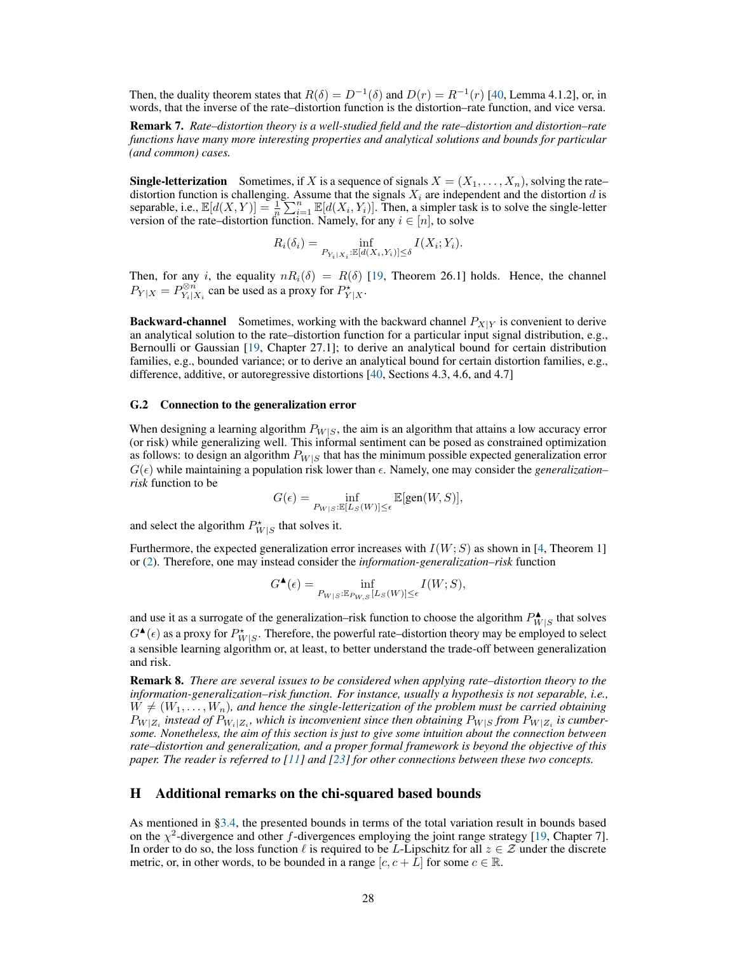Then, the duality theorem states that  $R(\delta) = D^{-1}(\delta)$  and  $D(r) = R^{-1}(r)$  [\[40,](#page-11-2) Lemma 4.1.2], or, in words, that the inverse of the rate–distortion function is the distortion–rate function, and vice versa.

Remark 7. *Rate–distortion theory is a well-studied field and the rate–distortion and distortion–rate functions have many more interesting properties and analytical solutions and bounds for particular (and common) cases.*

**Single-letterization** Sometimes, if X is a sequence of signals  $X = (X_1, \ldots, X_n)$ , solving the rate– distortion function is challenging. Assume that the signals  $X_i$  are independent and the distortion d is separable, i.e.,  $\mathbb{E}[d(X, Y)] = \frac{1}{n} \sum_{i=1}^{n} \mathbb{E}[d(X_i, Y_i)]$ . Then, a simpler task is to solve the single-letter version of the rate–distortion function. Namely, for any  $i \in [n]$ , to solve

$$
R_i(\delta_i) = \inf_{P_{Y_i|X_i}:\mathbb{E}[d(X_i,Y_i)] \leq \delta} I(X_i;Y_i).
$$

Then, for any i, the equality  $nR_i(\delta) = R(\delta)$  [\[19,](#page-10-1) Theorem 26.1] holds. Hence, the channel  $P_{Y|X} = P_{Y_i|X_i}^{\otimes n}$  can be used as a proxy for  $P_{Y|X}^{\star}$ .

**Backward-channel** Sometimes, working with the backward channel  $P_{X|Y}$  is convenient to derive an analytical solution to the rate–distortion function for a particular input signal distribution, e.g., Bernoulli or Gaussian [\[19,](#page-10-1) Chapter 27.1]; to derive an analytical bound for certain distribution families, e.g., bounded variance; or to derive an analytical bound for certain distortion families, e.g., difference, additive, or autoregressive distortions [\[40,](#page-11-2) Sections 4.3, 4.6, and 4.7]

#### G.2 Connection to the generalization error

When designing a learning algorithm  $P_{W|S}$ , the aim is an algorithm that attains a low accuracy error (or risk) while generalizing well. This informal sentiment can be posed as constrained optimization as follows: to design an algorithm  $P_{W|S}$  that has the minimum possible expected generalization error  $G(\epsilon)$  while maintaining a population risk lower than  $\epsilon$ . Namely, one may consider the *generalization*– *risk* function to be

$$
G(\epsilon) = \inf_{P_{W|S}:\mathbb{E}[L_S(W)] \leq \epsilon} \mathbb{E}[\text{gen}(W,S)],
$$

and select the algorithm  $P^{\star}_{W|S}$  that solves it.

Furthermore, the expected generalization error increases with  $I(W; S)$  as shown in [\[4,](#page-9-3) Theorem 1] or [\(2\)](#page-3-6). Therefore, one may instead consider the *information-generalization–risk* function

$$
G^{\blacktriangle}(\epsilon)=\inf_{P_{W|S}:\mathbb{E}_{P_{W,S}}[L_{S}(W)]\leq\epsilon}I(W;S),
$$

and use it as a surrogate of the generalization–risk function to choose the algorithm  $P_{W}^{\blacktriangle}$  $W|S$  that solves  $G^{\blacktriangle}(\epsilon)$  as a proxy for  $P^{\star}_{W|S}$ . Therefore, the powerful rate–distortion theory may be employed to select a sensible learning algorithm or, at least, to better understand the trade-off between generalization and risk.

Remark 8. *There are several issues to be considered when applying rate–distortion theory to the information-generalization–risk function. For instance, usually a hypothesis is not separable, i.e.,*  $W \neq (W_1, \ldots, W_n)$ , and hence the single-letterization of the problem must be carried obtaining  $P_{W|Z_i}$  instead of  $P_{W_i|Z_i}$ , which is inconvenient since then obtaining  $P_{W|S}$  *from*  $P_{W|Z_i}$  is cumber*some. Nonetheless, the aim of this section is just to give some intuition about the connection between rate–distortion and generalization, and a proper formal framework is beyond the objective of this paper. The reader is referred to [\[11\]](#page-9-10) and [\[23\]](#page-10-5) for other connections between these two concepts.*

# <span id="page-27-0"></span>H Additional remarks on the chi-squared based bounds

As mentioned in [§3.4,](#page-7-1) the presented bounds in terms of the total variation result in bounds based on the  $\chi^2$ -divergence and other f-divergences employing the joint range strategy [\[19,](#page-10-1) Chapter 7]. In order to do so, the loss function  $\ell$  is required to be L-Lipschitz for all  $z \in \mathcal{Z}$  under the discrete metric, or, in other words, to be bounded in a range  $[c, c + \overline{L}]$  for some  $c \in \mathbb{R}$ .